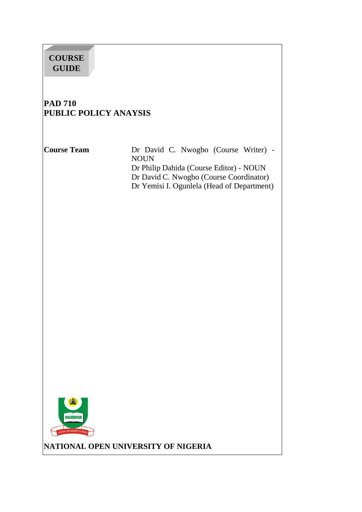# **COURSE GUIDE**

# **PAD 710 PUBLIC POLICY ANAYSIS**

**Course Team** Dr David C. Nwogbo (Course Writer) - NOUN Dr Philip Dahida (Course Editor) - NOUN Dr David C. Nwogbo (Course Coordinator) Dr Yemisi I. Ogunlela (Head of Department)



**NATIONAL OPEN UNIVERSITY OF NIGERIA**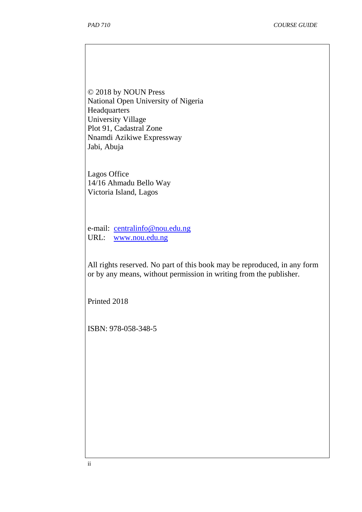© 2018 by NOUN Press National Open University of Nigeria Headquarters University Village Plot 91, Cadastral Zone Nnamdi Azikiwe Expressway Jabi, Abuja

Lagos Office 14/16 Ahmadu Bello Way Victoria Island, Lagos

e-mail: centralinfo@nou.edu.ng URL: www.nou.edu.ng

All rights reserved. No part of this book may be reproduced, in any form or by any means, without permission in writing from the publisher.

Printed 2018

ISBN: 978-058-348-5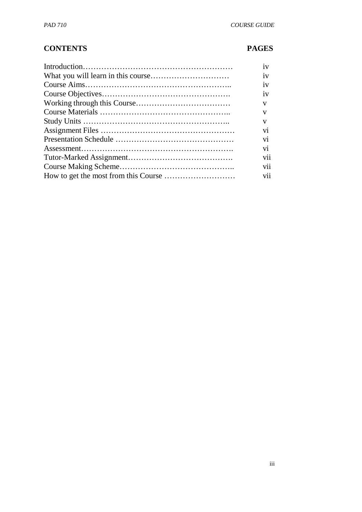## **CONTENTS PAGES**

| 1V  |
|-----|
| 1V  |
| 1V  |
| 1V  |
| V   |
| V   |
| V   |
| V1  |
| V1  |
| V1  |
| V11 |
| V11 |
| V11 |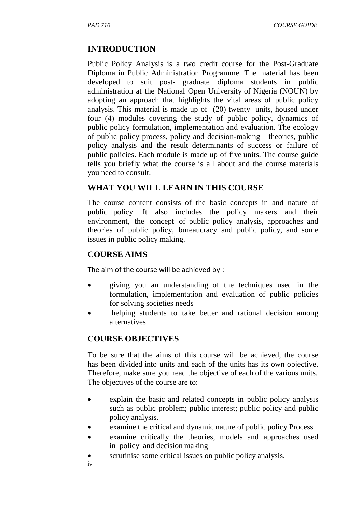## **INTRODUCTION**

Public Policy Analysis is a two credit course for the Post-Graduate Diploma in Public Administration Programme. The material has been developed to suit post- graduate diploma students in public administration at the National Open University of Nigeria (NOUN) by adopting an approach that highlights the vital areas of public policy analysis. This material is made up of (20) twenty units, housed under four (4) modules covering the study of public policy, dynamics of public policy formulation, implementation and evaluation. The ecology of public policy process, policy and decision-making theories, public policy analysis and the result determinants of success or failure of public policies. Each module is made up of five units. The course guide tells you briefly what the course is all about and the course materials you need to consult.

## **WHAT YOU WILL LEARN IN THIS COURSE**

The course content consists of the basic concepts in and nature of public policy. It also includes the policy makers and their environment, the concept of public policy analysis, approaches and theories of public policy, bureaucracy and public policy, and some issues in public policy making.

## **COURSE AIMS**

The aim of the course will be achieved by :

- giving you an understanding of the techniques used in the formulation, implementation and evaluation of public policies for solving societies needs
- helping students to take better and rational decision among alternatives.

## **COURSE OBJECTIVES**

To be sure that the aims of this course will be achieved, the course has been divided into units and each of the units has its own objective. Therefore, make sure you read the objective of each of the various units. The objectives of the course are to:

- explain the basic and related concepts in public policy analysis such as public problem; public interest; public policy and public policy analysis.
- examine the critical and dynamic nature of public policy Process
- examine critically the theories, models and approaches used in policy and decision making
- scrutinise some critical issues on public policy analysis.
- iv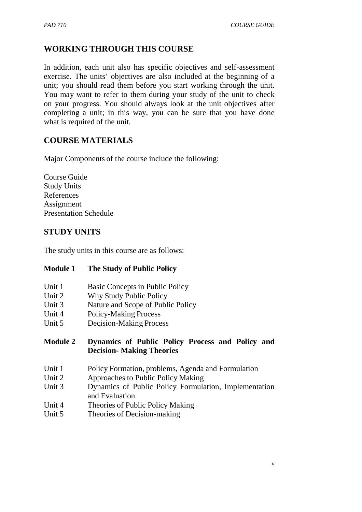## **WORKING THROUGH THIS COURSE**

In addition, each unit also has specific objectives and self-assessment exercise. The units' objectives are also included at the beginning of a unit; you should read them before you start working through the unit. You may want to refer to them during your study of the unit to check on your progress. You should always look at the unit objectives after completing a unit; in this way, you can be sure that you have done what is required of the unit.

## **COURSE MATERIALS**

Major Components of the course include the following:

Course Guide Study Units References Assignment Presentation Schedule

## **STUDY UNITS**

The study units in this course are as follows:

#### **Module 1 The Study of Public Policy**

- Unit 1 Basic Concepts in Public Policy
- Unit 2 Why Study Public Policy
- Unit 3 Nature and Scope of Public Policy
- Unit 4 Policy-Making Process
- Unit 5 Decision-Making Process

#### **Module 2 Dynamics of Public Policy Process and Policy and Decision- Making Theories**

- Unit 1 Policy Formation, problems, Agenda and Formulation
- Unit 2 Approaches to Public Policy Making
- Unit 3 Dynamics of Public Policy Formulation, Implementation and Evaluation
- Unit 4 Theories of Public Policy Making
- Unit 5 Theories of Decision-making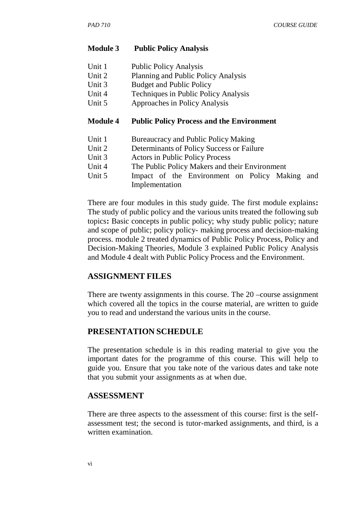#### **Module 3 Public Policy Analysis**

| Unit 1 | <b>Public Policy Analysis</b> |
|--------|-------------------------------|
|--------|-------------------------------|

- Unit 2 Planning and Public Policy Analysis
- Unit 3 Budget and Public Policy
- Unit 4 Techniques in Public Policy Analysis
- Unit 5 Approaches in Policy Analysis

#### **Module 4 Public Policy Process and the Environment**

- Unit 1 Bureaucracy and Public Policy Making
- Unit 2 Determinants of Policy Success or Failure
- Unit 3 Actors in Public Policy Process
- Unit 4 The Public Policy Makers and their Environment
- Unit 5 Impact of the Environment on Policy Making and Implementation

There are four modules in this study guide. The first module explains**:**  The study of public policy and the various units treated the following sub topics**:** Basic concepts in public policy; why study public policy; nature and scope of public; policy policy- making process and decision-making process. module 2 treated dynamics of Public Policy Process, Policy and Decision-Making Theories, Module 3 explained Public Policy Analysis and Module 4 dealt with Public Policy Process and the Environment.

#### **ASSIGNMENT FILES**

There are twenty assignments in this course. The 20 –course assignment which covered all the topics in the course material, are written to guide you to read and understand the various units in the course.

#### **PRESENTATION SCHEDULE**

The presentation schedule is in this reading material to give you the important dates for the programme of this course. This will help to guide you. Ensure that you take note of the various dates and take note that you submit your assignments as at when due.

#### **ASSESSMENT**

There are three aspects to the assessment of this course: first is the selfassessment test; the second is tutor-marked assignments, and third, is a written examination.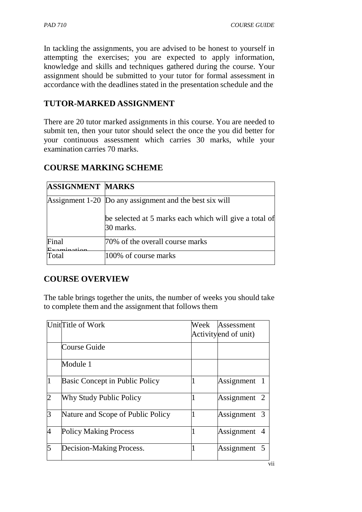In tackling the assignments, you are advised to be honest to yourself in attempting the exercises; you are expected to apply information, knowledge and skills and techniques gathered during the course. Your assignment should be submitted to your tutor for formal assessment in accordance with the deadlines stated in the presentation schedule and the

## **TUTOR-MARKED ASSIGNMENT**

There are 20 tutor marked assignments in this course. You are needed to submit ten, then your tutor should select the once the you did better for your continuous assessment which carries 30 marks, while your examination carries 70 marks.

# **COURSE MARKING SCHEME**

| <b>ASSIGNMENT MARKS</b> |                                                                     |
|-------------------------|---------------------------------------------------------------------|
|                         | Assignment 1-20 Do any assignment and the best six will             |
|                         | be selected at 5 marks each which will give a total of<br>30 marks. |
| Final                   | 70% of the overall course marks                                     |
| Fotal                   | 100% of course marks                                                |

## **COURSE OVERVIEW**

The table brings together the units, the number of weeks you should take to complete them and the assignment that follows them

|    | UnitTitle of Work                     | Week | Assessment           |
|----|---------------------------------------|------|----------------------|
|    |                                       |      | Activityend of unit) |
|    | Course Guide                          |      |                      |
|    | Module 1                              |      |                      |
| 11 | <b>Basic Concept in Public Policy</b> |      | Assignment 1         |
| n  | <b>Why Study Public Policy</b>        |      | Assignment 2         |
| 3  | Nature and Scope of Public Policy     |      | Assignment 3         |
| 4  | <b>Policy Making Process</b>          |      | Assignment 4         |
| 5  | Decision-Making Process.              |      | Assignment 5         |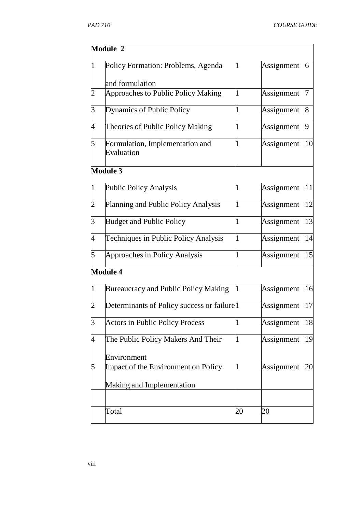|                | Module 2                                                 |    |            |    |
|----------------|----------------------------------------------------------|----|------------|----|
| $\overline{1}$ | Policy Formation: Problems, Agenda                       |    | Assignment | 6  |
|                | and formulation                                          |    |            |    |
| $\overline{c}$ | Approaches to Public Policy Making                       | I  | Assignment | 7  |
| 3              | Dynamics of Public Policy                                |    | Assignment | 8  |
| 4              | Theories of Public Policy Making                         |    | Assignment | 9  |
| 5              | Formulation, Implementation and<br>Evaluation            |    | Assignment | 10 |
|                | <b>Module 3</b>                                          |    |            |    |
| $\overline{1}$ | <b>Public Policy Analysis</b>                            | 1  | Assignment | 11 |
| $\overline{c}$ | Planning and Public Policy Analysis                      | 1  | Assignment | 12 |
| 3              | <b>Budget and Public Policy</b>                          | 1  | Assignment | 13 |
| 4              | Techniques in Public Policy Analysis                     | I  | Assignment | 14 |
| 5              | Approaches in Policy Analysis                            |    | Assignment | 15 |
|                | <b>Module 4</b>                                          |    |            |    |
| $\mathbf{1}$   | Bureaucracy and Public Policy Making                     |    | Assignment | 16 |
| $\overline{2}$ | Determinants of Policy success or failure <sup>[1]</sup> |    | Assignment | 17 |
| 3              | <b>Actors in Public Policy Process</b>                   |    | Assignment | 18 |
| 4              | The Public Policy Makers And Their                       | 1  | Assignment | 19 |
|                | Environment                                              |    |            |    |
| 5              | Impact of the Environment on Policy                      | 1  | Assignment | 20 |
|                | Making and Implementation                                |    |            |    |
|                |                                                          |    |            |    |
|                | Total                                                    | 20 | 20         |    |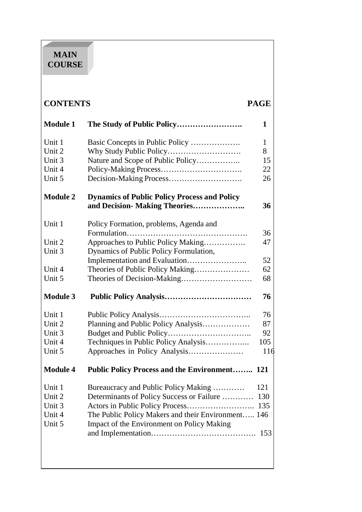# **MAIN COURSE**

| <b>CONTENTS</b> |                                                                                      | <b>PAGE</b> |
|-----------------|--------------------------------------------------------------------------------------|-------------|
| <b>Module 1</b> |                                                                                      | 1           |
| Unit 1          | Basic Concepts in Public Policy                                                      | 1           |
| Unit 2          |                                                                                      | 8           |
| Unit 3          | Nature and Scope of Public Policy                                                    | 15          |
| Unit 4          |                                                                                      | 22          |
| Unit 5          |                                                                                      | 26          |
| <b>Module 2</b> | <b>Dynamics of Public Policy Process and Policy</b><br>and Decision- Making Theories | 36          |
|                 |                                                                                      |             |
| Unit 1          | Policy Formation, problems, Agenda and                                               |             |
|                 | Formulation                                                                          | 36          |
| Unit 2          | Approaches to Public Policy Making                                                   | 47          |
| Unit 3          | Dynamics of Public Policy Formulation,                                               |             |
|                 |                                                                                      | 52          |
| Unit 4          | Theories of Public Policy Making                                                     | 62          |
| Unit 5          | Theories of Decision-Making                                                          | 68          |
| <b>Module 3</b> |                                                                                      | 76          |
| Unit 1          |                                                                                      | 76          |
| Unit 2          | Planning and Public Policy Analysis                                                  | 87          |
| Unit 3          |                                                                                      | 92          |
| Unit 4          | Techniques in Public Policy Analysis                                                 | 105         |
| Unit 5          | Approaches in Policy Analysis                                                        | 116         |
| <b>Module 4</b> | <b>Public Policy Process and the Environment 121</b>                                 |             |
| Unit 1          | Bureaucracy and Public Policy Making                                                 | 121         |
| Unit 2          | Determinants of Policy Success or Failure                                            | 130         |
| Unit 3          |                                                                                      | 135         |
| Unit 4          | The Public Policy Makers and their Environment 146                                   |             |
| Unit 5          | Impact of the Environment on Policy Making                                           |             |
|                 |                                                                                      | 153         |
|                 |                                                                                      |             |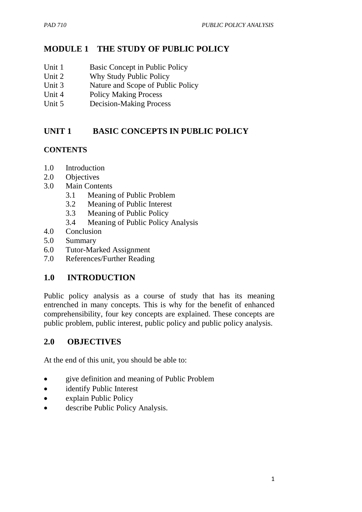## **MODULE 1 THE STUDY OF PUBLIC POLICY**

- Unit 1 Basic Concept in Public Policy
- Unit 2 Why Study Public Policy
- Unit 3 Nature and Scope of Public Policy
- Unit 4 Policy Making Process
- Unit 5 Decision-Making Process

## **UNIT 1 BASIC CONCEPTS IN PUBLIC POLICY**

## **CONTENTS**

- 1.0 Introduction
- 2.0 Objectives
- 3.0 Main Contents
	- 3.1 Meaning of Public Problem
	- 3.2 Meaning of Public Interest
	- 3.3 Meaning of Public Policy
	- 3.4 Meaning of Public Policy Analysis
- 4.0 Conclusion
- 5.0 Summary
- 6.0 Tutor-Marked Assignment
- 7.0 References/Further Reading

## **1.0 INTRODUCTION**

Public policy analysis as a course of study that has its meaning entrenched in many concepts. This is why for the benefit of enhanced comprehensibility, four key concepts are explained. These concepts are public problem, public interest, public policy and public policy analysis.

## **2.0 OBJECTIVES**

At the end of this unit, you should be able to:

- give definition and meaning of Public Problem
- identify Public Interest
- explain Public Policy
- describe Public Policy Analysis.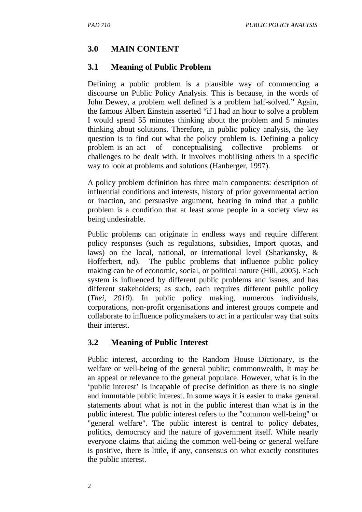## **3.0 MAIN CONTENT**

## **3.1 Meaning of Public Problem**

Defining a public problem is a plausible way of commencing a discourse on Public Policy Analysis. This is because, in the words of John Dewey, a problem well defined is a problem half-solved." Again, the famous Albert Einstein asserted "if I had an hour to solve a problem I would spend 55 minutes thinking about the problem and 5 minutes thinking about solutions. Therefore, in public policy analysis, the key question is to find out what the policy problem is. Defining a policy problem is an act of conceptualising collective problems or challenges to be dealt with. It involves mobilising others in a specific way to look at problems and solutions (Hanberger, 1997).

A policy problem definition has three main components: description of influential conditions and interests, history of prior governmental action or inaction, and persuasive argument, bearing in mind that a public problem is a condition that at least some people in a society view as being undesirable.

Public problems can originate in endless ways and require different policy responses (such as regulations, subsidies, Import quotas, and laws) on the local, national, or international level (Sharkansky, & Hofferbert, nd). The public problems that influence public policy making can be of economic, social, or political nature (Hill, 2005). Each system is influenced by different public problems and issues, and has different stakeholders; as such, each requires different public policy (*Thei, 2010*). In public policy making, numerous individuals, corporations, non-profit organisations and interest groups compete and collaborate to influence policymakers to act in a particular way that suits their interest.

## **3.2 Meaning of Public Interest**

Public interest, according to the Random House Dictionary, is the welfare or well-being of the general public; commonwealth, It may be an appeal or relevance to the general populace. However, what is in the 'public interest' is incapable of precise definition as there is no single and immutable public interest. In some ways it is easier to make general statements about what is not in the public interest than what is in the public interest. The public interest refers to the "common well-being" or "general welfare". The public interest is central to policy debates, politics, democracy and the nature of government itself. While nearly everyone claims that aiding the common well-being or general welfare is positive, there is little, if any, consensus on what exactly constitutes the public interest.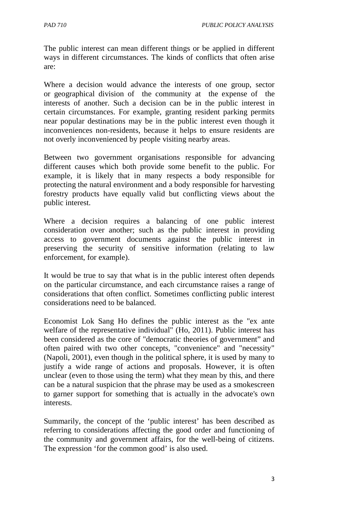The public interest can mean different things or be applied in different ways in different circumstances. The kinds of conflicts that often arise are:

Where a decision would advance the interests of one group, sector or geographical division of the community at the expense of the interests of another. Such a decision can be in the public interest in certain circumstances. For example, granting resident parking permits near popular destinations may be in the public interest even though it inconveniences non-residents, because it helps to ensure residents are not overly inconvenienced by people visiting nearby areas.

Between two government organisations responsible for advancing different causes which both provide some benefit to the public. For example, it is likely that in many respects a body responsible for protecting the natural environment and a body responsible for harvesting forestry products have equally valid but conflicting views about the public interest.

Where a decision requires a balancing of one public interest consideration over another; such as the public interest in providing access to government documents against the public interest in preserving the security of sensitive information (relating to law enforcement, for example).

It would be true to say that what is in the public interest often depends on the particular circumstance, and each circumstance raises a range of considerations that often conflict. Sometimes conflicting public interest considerations need to be balanced.

Economist Lok Sang Ho defines the public interest as the "ex ante welfare of the representative individual" (Ho, 2011). Public interest has been considered as the core of "democratic theories of government" and often paired with two other concepts, "convenience" and "necessity" (Napoli, 2001), even though in the political sphere, it is used by many to justify a wide range of actions and proposals. However, it is often unclear (even to those using the term) what they mean by this, and there can be a natural suspicion that the phrase may be used as a smokescreen to garner support for something that is actually in the advocate's own interests.

Summarily, the concept of the 'public interest' has been described as referring to considerations affecting the good order and functioning of the community and government affairs, for the well-being of citizens. The expression 'for the common good' is also used.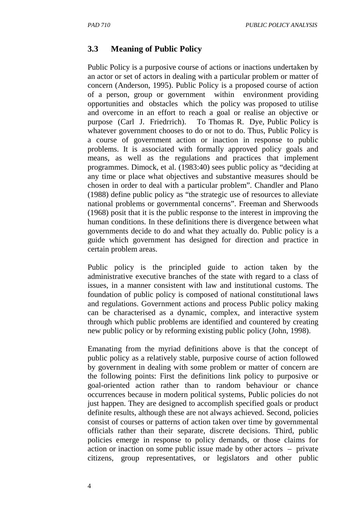## **3.3 Meaning of Public Policy**

Public Policy is a purposive course of actions or inactions undertaken by an actor or set of actors in dealing with a particular problem or matter of concern (Anderson, 1995). Public Policy is a proposed course of action of a person, group or government within environment providing opportunities and obstacles which the policy was proposed to utilise and overcome in an effort to reach a goal or realise an objective or purpose (Carl J. Friedrrich). To Thomas R. Dye, Public Policy is whatever government chooses to do or not to do. Thus, Public Policy is a course of government action or inaction in response to public problems. It is associated with formally approved policy goals and means, as well as the regulations and practices that implement programmes. Dimock, et al. (1983:40) sees public policy as "deciding at any time or place what objectives and substantive measures should be chosen in order to deal with a particular problem". Chandler and Plano (1988) define public policy as "the strategic use of resources to alleviate national problems or governmental concerns". Freeman and Sherwoods (1968) posit that it is the public response to the interest in improving the human conditions. In these definitions there is divergence between what governments decide to do and what they actually do. Public policy is a guide which government has designed for direction and practice in certain problem areas.

Public policy is the principled guide to action taken by the administrative executive branches of the state with regard to a class of issues, in a manner consistent with law and institutional customs. The foundation of public policy is composed of national constitutional laws and regulations. Government actions and process Public policy making can be characterised as a dynamic, complex, and interactive system through which public problems are identified and countered by creating new public policy or by reforming existing public policy (John, 1998).

Emanating from the myriad definitions above is that the concept of public policy as a relatively stable, purposive course of action followed by government in dealing with some problem or matter of concern are the following points: First the definitions link policy to purposive or goal-oriented action rather than to random behaviour or chance occurrences because in modern political systems, Public policies do not just happen. They are designed to accomplish specified goals or product definite results, although these are not always achieved. Second, policies consist of courses or patterns of action taken over time by governmental officials rather than their separate, discrete decisions. Third, public policies emerge in response to policy demands, or those claims for action or inaction on some public issue made by other actors – private citizens, group representatives, or legislators and other public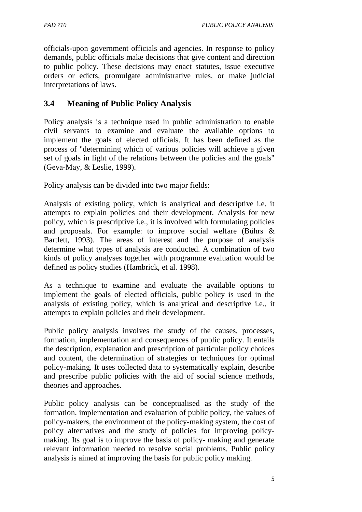officials-upon government officials and agencies. In response to policy demands, public officials make decisions that give content and direction to public policy. These decisions may enact statutes, issue executive orders or edicts, promulgate administrative rules, or make judicial interpretations of laws.

## **3.4 Meaning of Public Policy Analysis**

Policy analysis is a technique used in public administration to enable civil servants to examine and evaluate the available options to implement the goals of elected officials. It has been defined as the process of "determining which of various policies will achieve a given set of goals in light of the relations between the policies and the goals" (Geva-May, & Leslie, 1999).

Policy analysis can be divided into two major fields:

Analysis of existing policy, which is analytical and descriptive i.e. it attempts to explain policies and their development. Analysis for new policy, which is prescriptive i.e., it is involved with formulating policies and proposals. For example: to improve social welfare (Bührs & Bartlett, 1993). The areas of interest and the purpose of analysis determine what types of analysis are conducted. A combination of two kinds of policy analyses together with programme evaluation would be defined as policy studies (Hambrick, et al. 1998).

As a technique to examine and evaluate the available options to implement the goals of elected officials, public policy is used in the analysis of existing policy, which is analytical and descriptive i.e., it attempts to explain policies and their development.

Public policy analysis involves the study of the causes, processes, formation, implementation and consequences of public policy. It entails the description, explanation and prescription of particular policy choices and content, the determination of strategies or techniques for optimal policy-making. It uses collected data to systematically explain, describe and prescribe public policies with the aid of social science methods, theories and approaches.

Public policy analysis can be conceptualised as the study of the formation, implementation and evaluation of public policy, the values of policy-makers, the environment of the policy-making system, the cost of policy alternatives and the study of policies for improving policymaking. Its goal is to improve the basis of policy- making and generate relevant information needed to resolve social problems. Public policy analysis is aimed at improving the basis for public policy making.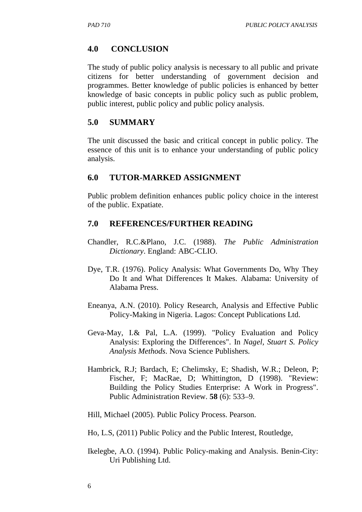## **4.0 CONCLUSION**

The study of public policy analysis is necessary to all public and private citizens for better understanding of government decision and programmes. Better knowledge of public policies is enhanced by better knowledge of basic concepts in public policy such as public problem, public interest, public policy and public policy analysis.

#### **5.0 SUMMARY**

The unit discussed the basic and critical concept in public policy. The essence of this unit is to enhance your understanding of public policy analysis.

#### **6.0 TUTOR-MARKED ASSIGNMENT**

Public problem definition enhances public policy choice in the interest of the public. Expatiate.

#### **7.0 REFERENCES/FURTHER READING**

- Chandler, R.C.&Plano, J.C. (1988). *The Public Administration Dictionary*. England: ABC-CLIO.
- Dye, T.R. (1976). Policy Analysis: What Governments Do, Why They Do It and What Differences It Makes. Alabama: University of Alabama Press.
- Eneanya, A.N. (2010). Policy Research, Analysis and Effective Public Policy-Making in Nigeria. Lagos: Concept Publications Ltd.
- Geva-May, I.& Pal, L.A. (1999). "Policy Evaluation and Policy Analysis: Exploring the Differences". In *Nagel, Stuart S. Policy Analysis Methods*. Nova Science Publishers.
- Hambrick, R.J; Bardach, E; Chelimsky, E; Shadish, W.R.; Deleon, P; Fischer, F; MacRae, D; Whittington, D (1998). "Review: Building the Policy Studies Enterprise: A Work in Progress". Public Administration Review. **58** (6): 533–9.

Hill, Michael (2005). Public Policy Process. Pearson.

Ho, L.S, (2011) Public Policy and the Public Interest, Routledge,

Ikelegbe, A.O. (1994). Public Policy-making and Analysis. Benin-City: Uri Publishing Ltd.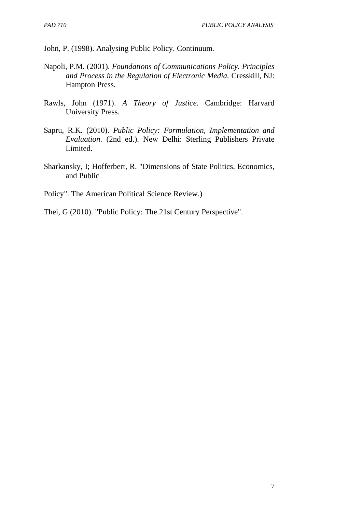John, P. (1998). Analysing Public Policy. Continuum.

- Napoli, P.M. (2001). *Foundations of Communications Policy. Principles and Process in the Regulation of Electronic Media.* Cresskill, NJ: Hampton Press.
- Rawls, John (1971). *A Theory of Justice*. Cambridge: Harvard University Press.
- Sapru, R.K. (2010). *Public Policy: Formulation, Implementation and Evaluation*. (2nd ed.). New Delhi: Sterling Publishers Private Limited.
- Sharkansky, I; Hofferbert, R. "Dimensions of State Politics, Economics, and Public
- Policy". The American Political Science Review.)
- Thei, G (2010). "Public Policy: The 21st Century Perspective".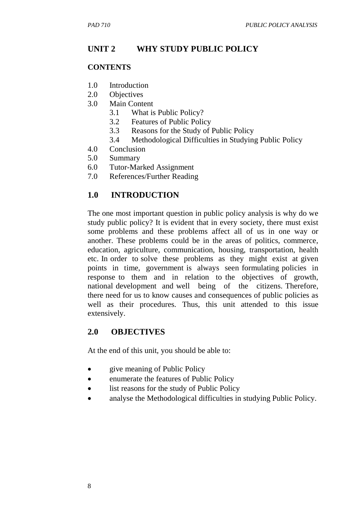# **UNIT 2 WHY STUDY PUBLIC POLICY**

## **CONTENTS**

- 1.0 Introduction
- 2.0 Objectives
- 3.0 Main Content
	- 3.1 What is Public Policy?
	- 3.2 Features of Public Policy
	- 3.3 Reasons for the Study of Public Policy
	- 3.4 Methodological Difficulties in Studying Public Policy
- 4.0 Conclusion
- 5.0 Summary
- 6.0 Tutor-Marked Assignment
- 7.0 References/Further Reading

# **1.0 INTRODUCTION**

The one most important question in public policy analysis is why do we study public policy? It is evident that in every society, there must exist some problems and these problems affect all of us in one way or another. These problems could be in the areas of politics, commerce, education, agriculture, communication, housing, transportation, health etc. In order to solve these problems as they might exist at given points in time, government is always seen formulating policies in response to them and in relation to the objectives of growth, national development and well being of the citizens. Therefore, there need for us to know causes and consequences of public policies as well as their procedures. Thus, this unit attended to this issue extensively.

## **2.0 OBJECTIVES**

At the end of this unit, you should be able to:

- give meaning of Public Policy
- enumerate the features of Public Policy
- list reasons for the study of Public Policy
- analyse the Methodological difficulties in studying Public Policy.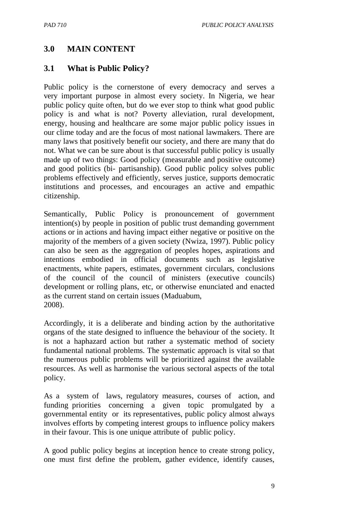## **3.0 MAIN CONTENT**

## **3.1 What is Public Policy?**

Public policy is the cornerstone of every democracy and serves a very important purpose in almost every society. In Nigeria, we hear public policy quite often, but do we ever stop to think what good public policy is and what is not? Poverty alleviation, rural development, energy, housing and healthcare are some major public policy issues in our clime today and are the focus of most national lawmakers. There are many laws that positively benefit our society, and there are many that do not. What we can be sure about is that successful public policy is usually made up of two things: Good policy (measurable and positive outcome) and good politics (bi- partisanship). Good public policy solves public problems effectively and efficiently, serves justice, supports democratic institutions and processes, and encourages an active and empathic citizenship.

Semantically, Public Policy is pronouncement of government intention(s) by people in position of public trust demanding government actions or in actions and having impact either negative or positive on the majority of the members of a given society (Nwiza, 1997). Public policy can also be seen as the aggregation of peoples hopes, aspirations and intentions embodied in official documents such as legislative enactments, white papers, estimates, government circulars, conclusions of the council of the council of ministers (executive councils) development or rolling plans, etc, or otherwise enunciated and enacted as the current stand on certain issues (Maduabum, 2008).

Accordingly, it is a deliberate and binding action by the authoritative organs of the state designed to influence the behaviour of the society. It is not a haphazard action but rather a systematic method of society fundamental national problems. The systematic approach is vital so that the numerous public problems will be prioritized against the available resources. As well as harmonise the various sectoral aspects of the total policy.

As a system of laws, regulatory measures, courses of action, and funding priorities concerning a given topic promulgated by a governmental entity or its representatives, public policy almost always involves efforts by competing interest groups to influence policy makers in their favour. This is one unique attribute of public policy.

A good public policy begins at inception hence to create strong policy, one must first define the problem, gather evidence, identify causes,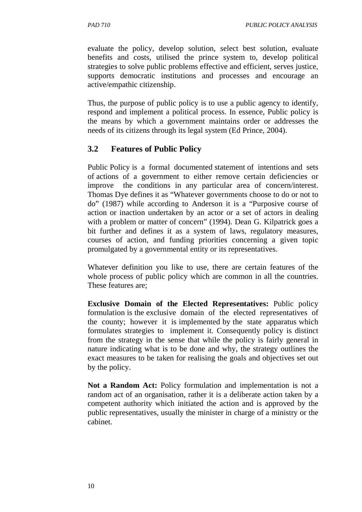evaluate the policy, develop solution, select best solution, evaluate benefits and costs, utilised the prince system to, develop political strategies to solve public problems effective and efficient, serves justice, supports democratic institutions and processes and encourage an active/empathic citizenship.

Thus, the purpose of public policy is to use a public agency to identify, respond and implement a political process. In essence, Public policy is the means by which a government maintains order or addresses the needs of its citizens through its legal system (Ed Prince, 2004).

## **3.2 Features of Public Policy**

Public Policy is a formal documented statement of intentions and sets of actions of a government to either remove certain deficiencies or improve the conditions in any particular area of concern/interest. Thomas Dye defines it as "Whatever governments choose to do or not to do" (1987) while according to Anderson it is a "Purposive course of action or inaction undertaken by an actor or a set of actors in dealing with a problem or matter of concern" (1994). Dean G. Kilpatrick goes a bit further and defines it as a system of laws, regulatory measures, courses of action, and funding priorities concerning a given topic promulgated by a governmental entity or its representatives.

Whatever definition you like to use, there are certain features of the whole process of public policy which are common in all the countries. These features are;

**Exclusive Domain of the Elected Representatives:** Public policy formulation is the exclusive domain of the elected representatives of the county; however it is implemented by the state apparatus which formulates strategies to implement it. Consequently policy is distinct from the strategy in the sense that while the policy is fairly general in nature indicating what is to be done and why, the strategy outlines the exact measures to be taken for realising the goals and objectives set out by the policy.

**Not a Random Act:** Policy formulation and implementation is not a random act of an organisation, rather it is a deliberate action taken by a competent authority which initiated the action and is approved by the public representatives, usually the minister in charge of a ministry or the cabinet.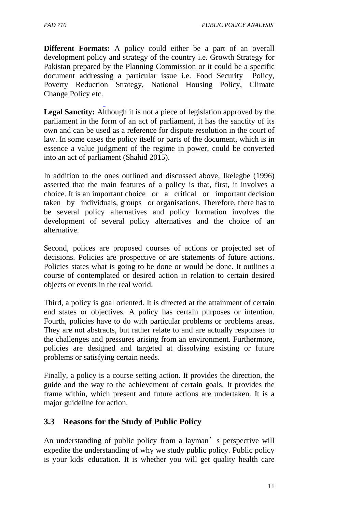**Different Formats:** A policy could either be a part of an overall development policy and strategy of the country i.e. Growth Strategy for Pakistan prepared by the Planning Commission or it could be a specific document addressing a particular issue i.e. Food Security Policy, Poverty Reduction Strategy, National Housing Policy, Climate Change Policy etc.

**Legal Sanctity:** Although it is not a piece of legislation approved by the parliament in the form of an act of parliament, it has the sanctity of its own and can be used as a reference for dispute resolution in the court of law. In some cases the policy itself or parts of the document, which is in essence a value judgment of the regime in power, could be converted into an act of parliament (Shahid 2015).

In addition to the ones outlined and discussed above, Ikelegbe (1996) asserted that the main features of a policy is that, first, it involves a choice. It is an important choice or a critical or important decision taken by individuals, groups or organisations. Therefore, there has to be several policy alternatives and policy formation involves the development of several policy alternatives and the choice of an alternative.

Second, polices are proposed courses of actions or projected set of decisions. Policies are prospective or are statements of future actions. Policies states what is going to be done or would be done. It outlines a course of contemplated or desired action in relation to certain desired objects or events in the real world.

Third, a policy is goal oriented. It is directed at the attainment of certain end states or objectives. A policy has certain purposes or intention. Fourth, policies have to do with particular problems or problems areas. They are not abstracts, but rather relate to and are actually responses to the challenges and pressures arising from an environment. Furthermore, policies are designed and targeted at dissolving existing or future problems or satisfying certain needs.

Finally, a policy is a course setting action. It provides the direction, the guide and the way to the achievement of certain goals. It provides the frame within, which present and future actions are undertaken. It is a major guideline for action.

#### **3.3 Reasons for the Study of Public Policy**

An understanding of public policy from a layman's perspective will expedite the understanding of why we study public policy. Public policy is your kids' education. It is whether you will get quality health care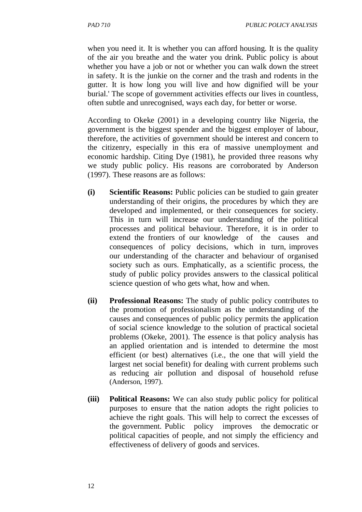when you need it. It is whether you can afford housing. It is the quality of the air you breathe and the water you drink. Public policy is about whether you have a job or not or whether you can walk down the street in safety. It is the junkie on the corner and the trash and rodents in the gutter. It is how long you will live and how dignified will be your burial.' The scope of government activities effects our lives in countless, often subtle and unrecognised, ways each day, for better or worse.

According to Okeke (2001) in a developing country like Nigeria, the government is the biggest spender and the biggest employer of labour, therefore, the activities of government should be interest and concern to the citizenry, especially in this era of massive unemployment and economic hardship. Citing Dye (1981), he provided three reasons why we study public policy. His reasons are corroborated by Anderson (1997). These reasons are as follows:

- **(i) Scientific Reasons:** Public policies can be studied to gain greater understanding of their origins, the procedures by which they are developed and implemented, or their consequences for society. This in turn will increase our understanding of the political processes and political behaviour. Therefore, it is in order to extend the frontiers of our knowledge of the causes and consequences of policy decisions, which in turn, improves our understanding of the character and behaviour of organised society such as ours. Emphatically, as a scientific process, the study of public policy provides answers to the classical political science question of who gets what, how and when.
- **(ii) Professional Reasons:** The study of public policy contributes to the promotion of professionalism as the understanding of the causes and consequences of public policy permits the application of social science knowledge to the solution of practical societal problems (Okeke, 2001). The essence is that policy analysis has an applied orientation and is intended to determine the most efficient (or best) alternatives (i.e., the one that will yield the largest net social benefit) for dealing with current problems such as reducing air pollution and disposal of household refuse (Anderson, 1997).
- **(iii) Political Reasons:** We can also study public policy for political purposes to ensure that the nation adopts the right policies to achieve the right goals. This will help to correct the excesses of the government. Public policy improves the democratic or political capacities of people, and not simply the efficiency and effectiveness of delivery of goods and services.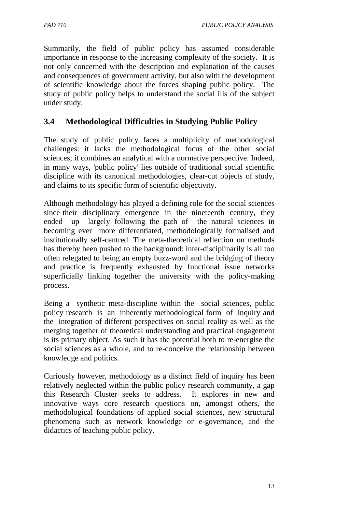Summarily, the field of public policy has assumed considerable importance in response to the increasing complexity of the society. It is not only concerned with the description and explanation of the causes and consequences of government activity, but also with the development of scientific knowledge about the forces shaping public policy. The study of public policy helps to understand the social ills of the subject under study.

## **3.4 Methodological Difficulties in Studying Public Policy**

The study of public policy faces a multiplicity of methodological challenges: it lacks the methodological focus of the other social sciences; it combines an analytical with a normative perspective. Indeed, in many ways, 'public policy' lies outside of traditional social scientific discipline with its canonical methodologies, clear-cut objects of study, and claims to its specific form of scientific objectivity.

Although methodology has played a defining role for the social sciences since their disciplinary emergence in the nineteenth century, they ended up largely following the path of the natural sciences in becoming ever more differentiated, methodologically formalised and institutionally self-centred. The meta-theoretical reflection on methods has thereby been pushed to the background: inter-disciplinarily is all too often relegated to being an empty buzz-word and the bridging of theory and practice is frequently exhausted by functional issue networks superficially linking together the university with the policy-making process.

Being a synthetic meta-discipline within the social sciences, public policy research is an inherently methodological form of inquiry and the integration of different perspectives on social reality as well as the merging together of theoretical understanding and practical engagement is its primary object. As such it has the potential both to re-energise the social sciences as a whole, and to re-conceive the relationship between knowledge and politics.

Curiously however, methodology as a distinct field of inquiry has been relatively neglected within the public policy research community, a gap this Research Cluster seeks to address. It explores in new and innovative ways core research questions on, amongst others, the methodological foundations of applied social sciences, new structural phenomena such as network knowledge or e-governance, and the didactics of teaching public policy.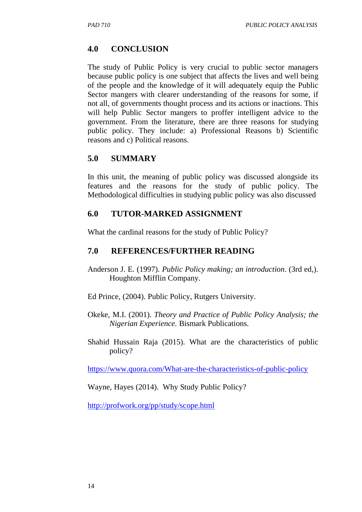### **4.0 CONCLUSION**

The study of Public Policy is very crucial to public sector managers because public policy is one subject that affects the lives and well being of the people and the knowledge of it will adequately equip the Public Sector mangers with clearer understanding of the reasons for some, if not all, of governments thought process and its actions or inactions. This will help Public Sector mangers to proffer intelligent advice to the government. From the literature, there are three reasons for studying public policy. They include: a) Professional Reasons b) Scientific reasons and c) Political reasons.

#### **5.0 SUMMARY**

In this unit, the meaning of public policy was discussed alongside its features and the reasons for the study of public policy. The Methodological difficulties in studying public policy was also discussed

#### **6.0 TUTOR-MARKED ASSIGNMENT**

What the cardinal reasons for the study of Public Policy?

#### **7.0 REFERENCES/FURTHER READING**

- Anderson J. E. (1997). *Public Policy making; an introduction*. (3rd ed,). Houghton Mifflin Company.
- Ed Prince, (2004). Public Policy, Rutgers University.
- Okeke, M.I. (2001). *Theory and Practice of Public Policy Analysis; the Nigerian Experience.* Bismark Publications.
- Shahid Hussain Raja (2015). What are the characteristics of public policy?

https://www.quora.com/What-are-the-characteristics-of-public-policy

Wayne, Hayes (2014). Why Study Public Policy?

http://profwork.org/pp/study/scope.html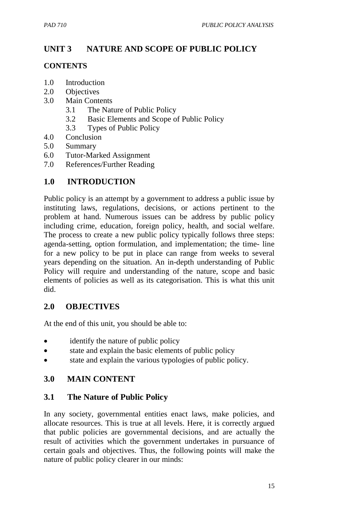# **UNIT 3 NATURE AND SCOPE OF PUBLIC POLICY**

#### **CONTENTS**

- 1.0 Introduction
- 2.0 Objectives
- 3.0 Main Contents
	- 3.1 The Nature of Public Policy
	- 3.2 Basic Elements and Scope of Public Policy
	- 3.3 Types of Public Policy
- 4.0 Conclusion
- 5.0 Summary
- 6.0 Tutor-Marked Assignment
- 7.0 References/Further Reading

## **1.0 INTRODUCTION**

Public policy is an attempt by a government to address a public issue by instituting laws, regulations, decisions, or actions pertinent to the problem at hand. Numerous issues can be address by public policy including crime, education, foreign policy, health, and social welfare. The process to create a new public policy typically follows three steps: agenda-setting, option formulation, and implementation; the time- line for a new policy to be put in place can range from weeks to several years depending on the situation. An in-depth understanding of Public Policy will require and understanding of the nature, scope and basic elements of policies as well as its categorisation. This is what this unit did.

## **2.0 OBJECTIVES**

At the end of this unit, you should be able to:

- identify the nature of public policy
- state and explain the basic elements of public policy
- state and explain the various typologies of public policy.

## **3.0 MAIN CONTENT**

#### **3.1 The Nature of Public Policy**

In any society, governmental entities enact laws, make policies, and allocate resources. This is true at all levels. Here, it is correctly argued that public policies are governmental decisions, and are actually the result of activities which the government undertakes in pursuance of certain goals and objectives. Thus, the following points will make the nature of public policy clearer in our minds: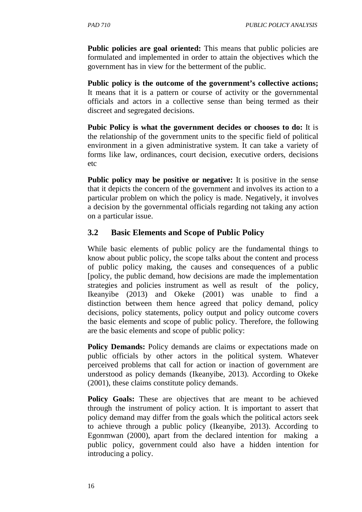**Public policies are goal oriented:** This means that public policies are formulated and implemented in order to attain the objectives which the government has in view for the betterment of the public.

**Public policy is the outcome of the government's collective actions;**  It means that it is a pattern or course of activity or the governmental officials and actors in a collective sense than being termed as their discreet and segregated decisions.

**Pubic Policy is what the government decides or chooses to do:** It is the relationship of the government units to the specific field of political environment in a given administrative system. It can take a variety of forms like law, ordinances, court decision, executive orders, decisions etc

**Public policy may be positive or negative:** It is positive in the sense that it depicts the concern of the government and involves its action to a particular problem on which the policy is made. Negatively, it involves a decision by the governmental officials regarding not taking any action on a particular issue.

## **3.2 Basic Elements and Scope of Public Policy**

While basic elements of public policy are the fundamental things to know about public policy, the scope talks about the content and process of public policy making, the causes and consequences of a public [policy, the public demand, how decisions are made the implementation strategies and policies instrument as well as result of the policy, Ikeanyibe (2013) and Okeke (2001) was unable to find a distinction between them hence agreed that policy demand, policy decisions, policy statements, policy output and policy outcome covers the basic elements and scope of public policy. Therefore, the following are the basic elements and scope of public policy:

**Policy Demands:** Policy demands are claims or expectations made on public officials by other actors in the political system. Whatever perceived problems that call for action or inaction of government are understood as policy demands (Ikeanyibe, 2013). According to Okeke (2001), these claims constitute policy demands.

**Policy Goals:** These are objectives that are meant to be achieved through the instrument of policy action. It is important to assert that policy demand may differ from the goals which the political actors seek to achieve through a public policy (Ikeanyibe, 2013). According to Egonmwan (2000), apart from the declared intention for making a public policy, government could also have a hidden intention for introducing a policy.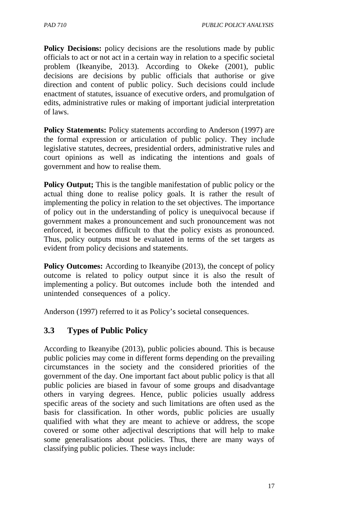**Policy Decisions:** policy decisions are the resolutions made by public officials to act or not act in a certain way in relation to a specific societal problem (Ikeanyibe, 2013). According to Okeke (2001), public decisions are decisions by public officials that authorise or give direction and content of public policy. Such decisions could include enactment of statutes, issuance of executive orders, and promulgation of edits, administrative rules or making of important judicial interpretation of laws.

**Policy Statements:** Policy statements according to Anderson (1997) are the formal expression or articulation of public policy. They include legislative statutes, decrees, presidential orders, administrative rules and court opinions as well as indicating the intentions and goals of government and how to realise them.

**Policy Output;** This is the tangible manifestation of public policy or the actual thing done to realise policy goals. It is rather the result of implementing the policy in relation to the set objectives. The importance of policy out in the understanding of policy is unequivocal because if government makes a pronouncement and such pronouncement was not enforced, it becomes difficult to that the policy exists as pronounced. Thus, policy outputs must be evaluated in terms of the set targets as evident from policy decisions and statements.

**Policy Outcomes:** According to Ikeanyibe (2013), the concept of policy outcome is related to policy output since it is also the result of implementing a policy. But outcomes include both the intended and unintended consequences of a policy.

Anderson (1997) referred to it as Policy's societal consequences.

## **3.3 Types of Public Policy**

According to Ikeanyibe (2013), public policies abound. This is because public policies may come in different forms depending on the prevailing circumstances in the society and the considered priorities of the government of the day. One important fact about public policy is that all public policies are biased in favour of some groups and disadvantage others in varying degrees. Hence, public policies usually address specific areas of the society and such limitations are often used as the basis for classification. In other words, public policies are usually qualified with what they are meant to achieve or address, the scope covered or some other adjectival descriptions that will help to make some generalisations about policies. Thus, there are many ways of classifying public policies. These ways include: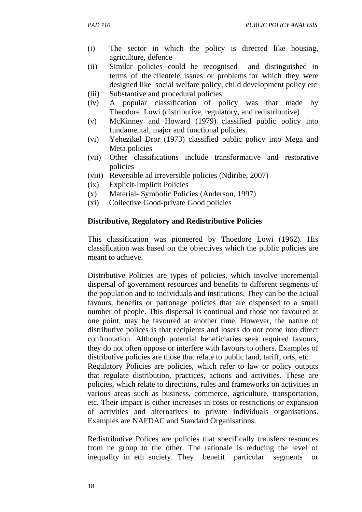- (i) The sector in which the policy is directed like housing, agriculture, defence
- (ii) Similar policies could be recognised and distinguished in terms of the clientele, issues or problems for which they were designed like social welfare policy, child development policy etc
- (iii) Substantive and procedural policies
- (iv) A popular classification of policy was that made by Theodore Lowi (distributive, regulatory, and redistributive)
- (v) McKinney and Howard (1979) classified public policy into fundamental, major and functional policies.
- (vi) Yehezikel Dror (1973) classified public policy into Mega and Meta policies
- (vii) Other classifications include transformative and restorative policies
- (viii) Reversible ad irreversible policies (Ndiribe, 2007)
- (ix) Explicit-Implicit Policies
- (x) Material- Symbolic Policies (Anderson, 1997)
- (xi) Collective Good-private Good policies

#### **Distributive, Regulatory and Redistributive Policies**

This classification was pioneered by Thoedore Lowi (1962). His classification was based on the objectives which the public policies are meant to achieve.

Distributive Policies are types of policies, which involve incremental dispersal of government resources and benefits to different segments of the population and to individuals and institutions. They can be the actual favours, benefits or patronage policies that are dispensed to a small number of people. This dispersal is continual and those not favoured at one point, may be favoured at another time. However, the nature of distributive polices is that recipients and losers do not come into direct confrontation. Although potential beneficiaries seek required favours, they do not often oppose or interfere with favours to others. Examples of distributive policies are those that relate to public land, tariff, orts, etc.

Regulatory Policies are policies, which refer to law or policy outputs that regulate distribution, practices, actions and activities. These are policies, which relate to directions, rules and frameworks on activities in various areas such as business, commerce, agriculture, transportation, etc. Their impact is either increases in costs or restrictions or expansion of activities and alternatives to private individuals organisations. Examples are NAFDAC and Standard Organisations.

Redistributive Polices are policies that specifically transfers resources from ne group to the other. The rationale is reducing the level of inequality in eth society. They benefit particular segments or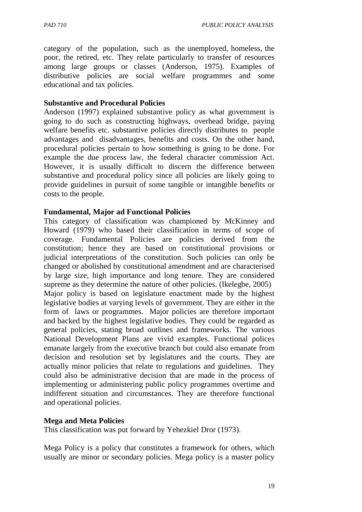category of the population, such as the unemployed, homeless, the poor, the retired, etc. They relate particularly to transfer of resources among large groups or classes (Anderson, 1975). Examples of distributive policies are social welfare programmes and some educational and tax policies.

#### **Substantive and Procedural Policies**

Anderson (1997) explained substantive policy as what government is going to do such as constructing highways, overhead bridge, paying welfare benefits etc. substantive policies directly distributes to people advantages and disadvantages, benefits and costs. On the other hand, procedural policies pertain to how something is going to be done. For example the due process law, the federal character commission Act. However, it is usually difficult to discern the difference between substantive and procedural policy since all policies are likely going to provide guidelines in pursuit of some tangible or intangible benefits or costs to the people.

#### **Fundamental, Major ad Functional Policies**

This category of classification was championed by McKinney and Howard (1979) who based their classification in terms of scope of coverage. Fundamental Policies are policies derived from the constitution; hence they are based on constitutional provisions or judicial interpretations of the constitution. Such policies can only be changed or abolished by constitutional amendment and are characterised by large size, high importance and long tenure. They are considered supreme as they determine the nature of other policies. (Ikelegbe, 2005) Major policy is based on legislature enactment made by the highest legislative bodies at varying levels of government. They are either in the form of laws or programmes. Major policies are therefore important and backed by the highest legislative bodies. They could be regarded as general policies, stating broad outlines and frameworks. The various National Development Plans are vivid examples. Functional polices emanate largely from the executive branch but could also emanate from decision and resolution set by legislatures and the courts. They are actually minor policies that relate to regulations and guidelines. They could also be administrative decision that are made in the process of implementing or administering public policy programmes overtime and indifferent situation and circumstances. They are therefore functional and operational policies.

#### **Mega and Meta Policies**

This classification was put forward by Yehezkiel Dror (1973).

Mega Policy is a policy that constitutes a framework for others, which usually are minor or secondary policies. Mega policy is a master policy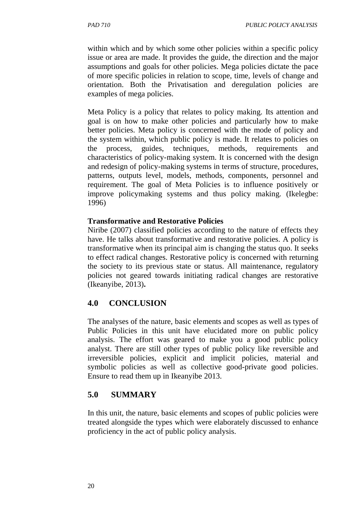within which and by which some other policies within a specific policy issue or area are made. It provides the guide, the direction and the major assumptions and goals for other policies. Mega policies dictate the pace of more specific policies in relation to scope, time, levels of change and orientation. Both the Privatisation and deregulation policies are examples of mega policies.

Meta Policy is a policy that relates to policy making. Its attention and goal is on how to make other policies and particularly how to make better policies. Meta policy is concerned with the mode of policy and the system within, which public policy is made. It relates to policies on the process, guides, techniques, methods, requirements and characteristics of policy-making system. It is concerned with the design and redesign of policy-making systems in terms of structure, procedures, patterns, outputs level, models, methods, components, personnel and requirement. The goal of Meta Policies is to influence positively or improve policymaking systems and thus policy making. (Ikelegbe: 1996)

#### **Transformative and Restorative Policies**

Niribe (2007) classified policies according to the nature of effects they have. He talks about transformative and restorative policies. A policy is transformative when its principal aim is changing the status quo. It seeks to effect radical changes. Restorative policy is concerned with returning the society to its previous state or status. All maintenance, regulatory policies not geared towards initiating radical changes are restorative (Ikeanyibe, 2013)**.**

## **4.0 CONCLUSION**

The analyses of the nature, basic elements and scopes as well as types of Public Policies in this unit have elucidated more on public policy analysis. The effort was geared to make you a good public policy analyst. There are still other types of public policy like reversible and irreversible policies, explicit and implicit policies, material and symbolic policies as well as collective good-private good policies. Ensure to read them up in Ikeanyibe 2013.

## **5.0 SUMMARY**

In this unit, the nature, basic elements and scopes of public policies were treated alongside the types which were elaborately discussed to enhance proficiency in the act of public policy analysis.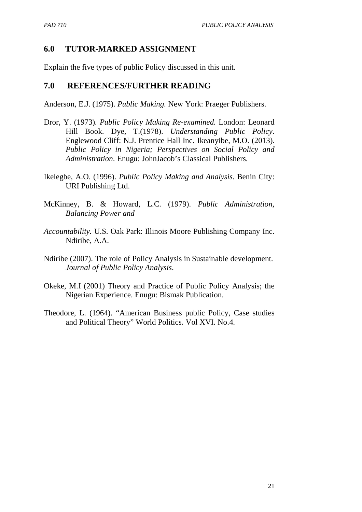#### **6.0 TUTOR-MARKED ASSIGNMENT**

Explain the five types of public Policy discussed in this unit.

#### **7.0 REFERENCES/FURTHER READING**

Anderson, E.J. (1975). *Public Making.* New York: Praeger Publishers.

- Dror, Y. (1973). *Public Policy Making Re-examined.* London: Leonard Hill Book. Dye, T.(1978). *Understanding Public Policy*. Englewood Cliff: N.J. Prentice Hall Inc. Ikeanyibe, M.O. (2013). *Public Policy in Nigeria; Perspectives on Social Policy and Administration*. Enugu: JohnJacob's Classical Publishers.
- Ikelegbe, A.O. (1996). *Public Policy Making and Analysis*. Benin City: URI Publishing Ltd.
- McKinney, B. & Howard, L.C. (1979). *Public Administration, Balancing Power and*
- *Accountability.* U.S. Oak Park: Illinois Moore Publishing Company Inc. Ndiribe, A.A.
- Ndiribe (2007). The role of Policy Analysis in Sustainable development. *Journal of Public Policy Analysis*.
- Okeke, M.I (2001) Theory and Practice of Public Policy Analysis; the Nigerian Experience. Enugu: Bismak Publication.
- Theodore, L. (1964). "American Business public Policy, Case studies and Political Theory" World Politics. Vol XVI. No.4.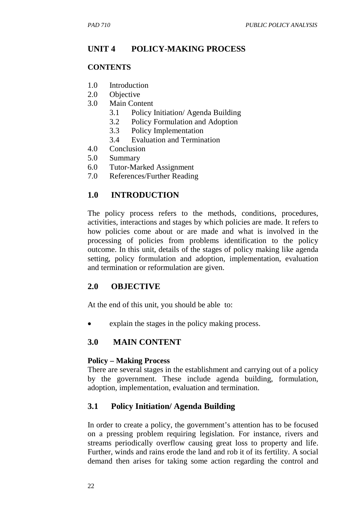# **UNIT 4 POLICY-MAKING PROCESS**

## **CONTENTS**

- 1.0 Introduction
- 2.0 Objective
- 3.0 Main Content
	- 3.1 Policy Initiation/ Agenda Building
	- 3.2 Policy Formulation and Adoption
	- 3.3 Policy Implementation
	- 3.4 Evaluation and Termination
- 4.0 Conclusion
- 5.0 Summary
- 6.0 Tutor-Marked Assignment
- 7.0 References/Further Reading

## **1.0 INTRODUCTION**

The policy process refers to the methods, conditions, procedures, activities, interactions and stages by which policies are made. It refers to how policies come about or are made and what is involved in the processing of policies from problems identification to the policy outcome. In this unit, details of the stages of policy making like agenda setting, policy formulation and adoption, implementation, evaluation and termination or reformulation are given.

## **2.0 OBJECTIVE**

At the end of this unit, you should be able to:

explain the stages in the policy making process.

## **3.0 MAIN CONTENT**

#### **Policy – Making Process**

There are several stages in the establishment and carrying out of a policy by the government. These include agenda building, formulation, adoption, implementation, evaluation and termination.

## **3.1 Policy Initiation/ Agenda Building**

In order to create a policy, the government's attention has to be focused on a pressing problem requiring legislation. For instance, rivers and streams periodically overflow causing great loss to property and life. Further, winds and rains erode the land and rob it of its fertility. A social demand then arises for taking some action regarding the control and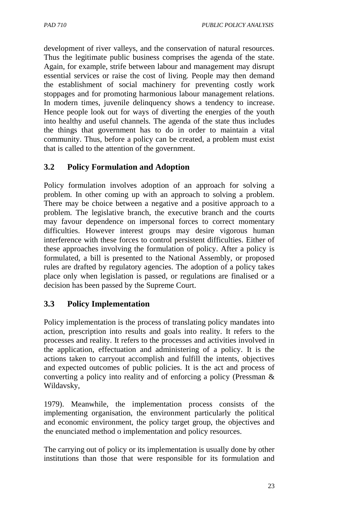development of river valleys, and the conservation of natural resources. Thus the legitimate public business comprises the agenda of the state. Again, for example, strife between labour and management may disrupt essential services or raise the cost of living. People may then demand the establishment of social machinery for preventing costly work stoppages and for promoting harmonious labour management relations. In modern times, juvenile delinquency shows a tendency to increase. Hence people look out for ways of diverting the energies of the youth into healthy and useful channels. The agenda of the state thus includes the things that government has to do in order to maintain a vital community. Thus, before a policy can be created, a problem must exist that is called to the attention of the government.

## **3.2 Policy Formulation and Adoption**

Policy formulation involves adoption of an approach for solving a problem. In other coming up with an approach to solving a problem. There may be choice between a negative and a positive approach to a problem. The legislative branch, the executive branch and the courts may favour dependence on impersonal forces to correct momentary difficulties. However interest groups may desire vigorous human interference with these forces to control persistent difficulties. Either of these approaches involving the formulation of policy. After a policy is formulated, a bill is presented to the National Assembly, or proposed rules are drafted by regulatory agencies. The adoption of a policy takes place only when legislation is passed, or regulations are finalised or a decision has been passed by the Supreme Court.

## **3.3 Policy Implementation**

Policy implementation is the process of translating policy mandates into action, prescription into results and goals into reality. It refers to the processes and reality. It refers to the processes and activities involved in the application, effectuation and administering of a policy. It is the actions taken to carryout accomplish and fulfill the intents, objectives and expected outcomes of public policies. It is the act and process of converting a policy into reality and of enforcing a policy (Pressman & Wildavsky,

1979). Meanwhile, the implementation process consists of the implementing organisation, the environment particularly the political and economic environment, the policy target group, the objectives and the enunciated method o implementation and policy resources.

The carrying out of policy or its implementation is usually done by other institutions than those that were responsible for its formulation and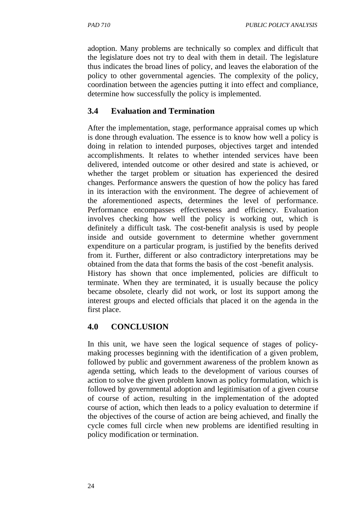adoption. Many problems are technically so complex and difficult that the legislature does not try to deal with them in detail. The legislature thus indicates the broad lines of policy, and leaves the elaboration of the policy to other governmental agencies. The complexity of the policy, coordination between the agencies putting it into effect and compliance, determine how successfully the policy is implemented.

# **3.4 Evaluation and Termination**

After the implementation, stage, performance appraisal comes up which is done through evaluation. The essence is to know how well a policy is doing in relation to intended purposes, objectives target and intended accomplishments. It relates to whether intended services have been delivered, intended outcome or other desired and state is achieved, or whether the target problem or situation has experienced the desired changes. Performance answers the question of how the policy has fared in its interaction with the environment. The degree of achievement of the aforementioned aspects, determines the level of performance. Performance encompasses effectiveness and efficiency. Evaluation involves checking how well the policy is working out, which is definitely a difficult task. The cost-benefit analysis is used by people inside and outside government to determine whether government expenditure on a particular program, is justified by the benefits derived from it. Further, different or also contradictory interpretations may be obtained from the data that forms the basis of the cost -benefit analysis. History has shown that once implemented, policies are difficult to terminate. When they are terminated, it is usually because the policy became obsolete, clearly did not work, or lost its support among the interest groups and elected officials that placed it on the agenda in the

# **4.0 CONCLUSION**

first place.

In this unit, we have seen the logical sequence of stages of policymaking processes beginning with the identification of a given problem, followed by public and government awareness of the problem known as agenda setting, which leads to the development of various courses of action to solve the given problem known as policy formulation, which is followed by governmental adoption and legitimisation of a given course of course of action, resulting in the implementation of the adopted course of action, which then leads to a policy evaluation to determine if the objectives of the course of action are being achieved, and finally the cycle comes full circle when new problems are identified resulting in policy modification or termination.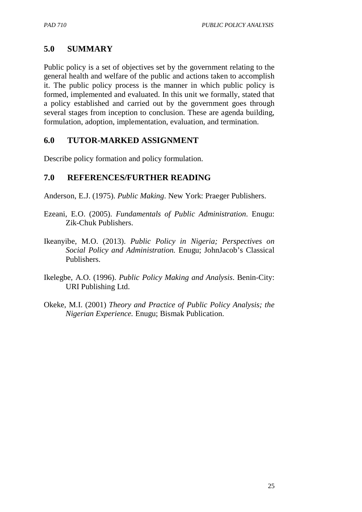## **5.0 SUMMARY**

Public policy is a set of objectives set by the government relating to the general health and welfare of the public and actions taken to accomplish it. The public policy process is the manner in which public policy is formed, implemented and evaluated. In this unit we formally, stated that a policy established and carried out by the government goes through several stages from inception to conclusion. These are agenda building, formulation, adoption, implementation, evaluation, and termination.

## **6.0 TUTOR-MARKED ASSIGNMENT**

Describe policy formation and policy formulation.

## **7.0 REFERENCES/FURTHER READING**

Anderson, E.J. (1975). *Public Making*. New York: Praeger Publishers.

- Ezeani, E.O. (2005). *Fundamentals of Public Administration*. Enugu: Zik-Chuk Publishers.
- Ikeanyibe, M.O. (2013). *Public Policy in Nigeria; Perspectives on Social Policy and Administration.* Enugu; JohnJacob's Classical Publishers.
- Ikelegbe, A.O. (1996). *Public Policy Making and Analysis*. Benin-City: URI Publishing Ltd.
- Okeke, M.I. (2001) *Theory and Practice of Public Policy Analysis; the Nigerian Experience.* Enugu; Bismak Publication.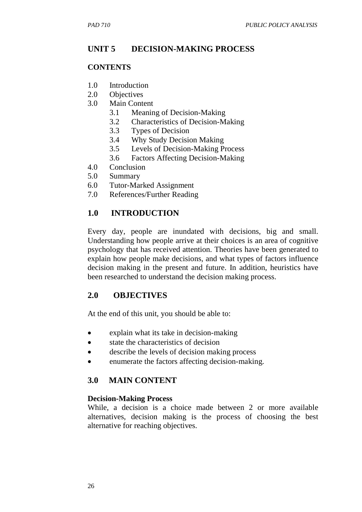## **UNIT 5 DECISION-MAKING PROCESS**

#### **CONTENTS**

- 1.0 Introduction
- 2.0 Objectives
- 3.0 Main Content
	- 3.1 Meaning of Decision-Making
	- 3.2 Characteristics of Decision-Making
	- 3.3 Types of Decision
	- 3.4 Why Study Decision Making
	- 3.5 Levels of Decision-Making Process
	- 3.6 Factors Affecting Decision-Making
- 4.0 Conclusion
- 5.0 Summary
- 6.0 Tutor-Marked Assignment
- 7.0 References/Further Reading

#### **1.0 INTRODUCTION**

Every day, people are inundated with decisions, big and small. Understanding how people arrive at their choices is an area of cognitive psychology that has received attention. Theories have been generated to explain how people make decisions, and what types of factors influence decision making in the present and future. In addition, heuristics have been researched to understand the decision making process.

#### **2.0 OBJECTIVES**

At the end of this unit, you should be able to:

- explain what its take in decision-making
- state the characteristics of decision
- describe the levels of decision making process
- enumerate the factors affecting decision-making.

#### **3.0 MAIN CONTENT**

#### **Decision-Making Process**

While, a decision is a choice made between 2 or more available alternatives, decision making is the process of choosing the best alternative for reaching objectives.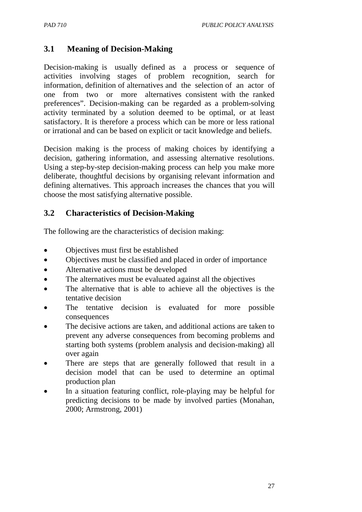## **3.1 Meaning of Decision-Making**

Decision-making is usually defined as a process or sequence of activities involving stages of problem recognition, search for information, definition of alternatives and the selection of an actor of one from two or more alternatives consistent with the ranked preferences". Decision-making can be regarded as a problem-solving activity terminated by a solution deemed to be optimal, or at least satisfactory. It is therefore a process which can be more or less rational or irrational and can be based on explicit or tacit knowledge and beliefs.

Decision making is the process of making choices by identifying a decision, gathering information, and assessing alternative resolutions. Using a step-by-step decision-making process can help you make more deliberate, thoughtful decisions by organising relevant information and defining alternatives. This approach increases the chances that you will choose the most satisfying alternative possible.

## **3.2 Characteristics of Decision-Making**

The following are the characteristics of decision making:

- Objectives must first be established
- Objectives must be classified and placed in order of importance
- Alternative actions must be developed
- The alternatives must be evaluated against all the objectives
- The alternative that is able to achieve all the objectives is the tentative decision
- The tentative decision is evaluated for more possible consequences
- The decisive actions are taken, and additional actions are taken to prevent any adverse consequences from becoming problems and starting both systems (problem analysis and decision-making) all over again
- There are steps that are generally followed that result in a decision model that can be used to determine an optimal production plan
- In a situation featuring conflict, role-playing may be helpful for predicting decisions to be made by involved parties (Monahan, 2000; Armstrong, 2001)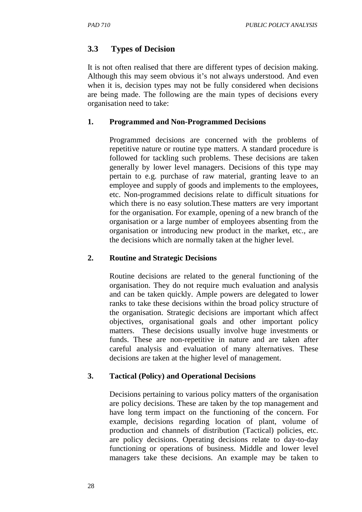# **3.3 Types of Decision**

It is not often realised that there are different types of decision making. Although this may seem obvious it's not always understood. And even when it is, decision types may not be fully considered when decisions are being made. The following are the main types of decisions every organisation need to take:

## **1. Programmed and Non-Programmed Decisions**

Programmed decisions are concerned with the problems of repetitive nature or routine type matters. A standard procedure is followed for tackling such problems. These decisions are taken generally by lower level managers. Decisions of this type may pertain to e.g. purchase of raw material, granting leave to an employee and supply of goods and implements to the employees, etc. Non-programmed decisions relate to difficult situations for which there is no easy solution.These matters are very important for the organisation. For example, opening of a new branch of the organisation or a large number of employees absenting from the organisation or introducing new product in the market, etc., are the decisions which are normally taken at the higher level.

### **2. Routine and Strategic Decisions**

Routine decisions are related to the general functioning of the organisation. They do not require much evaluation and analysis and can be taken quickly. Ample powers are delegated to lower ranks to take these decisions within the broad policy structure of the organisation. Strategic decisions are important which affect objectives, organisational goals and other important policy matters. These decisions usually involve huge investments or funds. These are non-repetitive in nature and are taken after careful analysis and evaluation of many alternatives. These decisions are taken at the higher level of management.

### **3. Tactical (Policy) and Operational Decisions**

Decisions pertaining to various policy matters of the organisation are policy decisions. These are taken by the top management and have long term impact on the functioning of the concern. For example, decisions regarding location of plant, volume of production and channels of distribution (Tactical) policies, etc. are policy decisions. Operating decisions relate to day-to-day functioning or operations of business. Middle and lower level managers take these decisions. An example may be taken to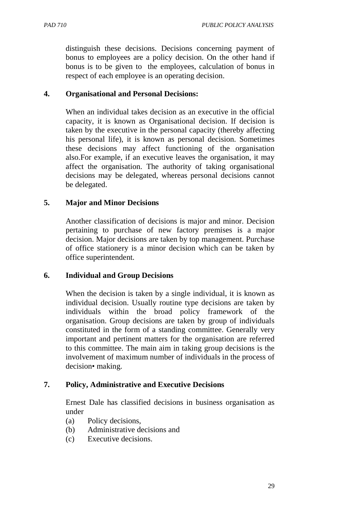distinguish these decisions. Decisions concerning payment of bonus to employees are a policy decision. On the other hand if bonus is to be given to the employees, calculation of bonus in respect of each employee is an operating decision.

#### **4. Organisational and Personal Decisions:**

When an individual takes decision as an executive in the official capacity, it is known as Organisational decision. If decision is taken by the executive in the personal capacity (thereby affecting his personal life), it is known as personal decision. Sometimes these decisions may affect functioning of the organisation also.For example, if an executive leaves the organisation, it may affect the organisation. The authority of taking organisational decisions may be delegated, whereas personal decisions cannot be delegated.

#### **5. Major and Minor Decisions**

Another classification of decisions is major and minor. Decision pertaining to purchase of new factory premises is a major decision. Major decisions are taken by top management. Purchase of office stationery is a minor decision which can be taken by office superintendent.

#### **6. Individual and Group Decisions**

When the decision is taken by a single individual, it is known as individual decision. Usually routine type decisions are taken by individuals within the broad policy framework of the organisation. Group decisions are taken by group of individuals constituted in the form of a standing committee. Generally very important and pertinent matters for the organisation are referred to this committee. The main aim in taking group decisions is the involvement of maximum number of individuals in the process of decision• making.

## **7. Policy, Administrative and Executive Decisions**

Ernest Dale has classified decisions in business organisation as under

- (a) Policy decisions,
- (b) Administrative decisions and
- (c) Executive decisions.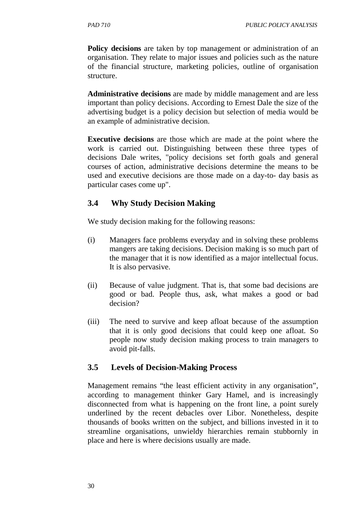**Policy decisions** are taken by top management or administration of an organisation. They relate to major issues and policies such as the nature of the financial structure, marketing policies, outline of organisation structure.

**Administrative decisions** are made by middle management and are less important than policy decisions. According to Ernest Dale the size of the advertising budget is a policy decision but selection of media would be an example of administrative decision.

**Executive decisions** are those which are made at the point where the work is carried out. Distinguishing between these three types of decisions Dale writes, "policy decisions set forth goals and general courses of action, administrative decisions determine the means to be used and executive decisions are those made on a day-to- day basis as particular cases come up".

## **3.4 Why Study Decision Making**

We study decision making for the following reasons:

- (i) Managers face problems everyday and in solving these problems mangers are taking decisions. Decision making is so much part of the manager that it is now identified as a major intellectual focus. It is also pervasive.
- (ii) Because of value judgment. That is, that some bad decisions are good or bad. People thus, ask, what makes a good or bad decision?
- (iii) The need to survive and keep afloat because of the assumption that it is only good decisions that could keep one afloat. So people now study decision making process to train managers to avoid pit-falls.

### **3.5 Levels of Decision-Making Process**

Management remains "the least efficient activity in any organisation", according to management thinker Gary Hamel, and is increasingly disconnected from what is happening on the front line, a point surely underlined by the recent debacles over Libor. Nonetheless, despite thousands of books written on the subject, and billions invested in it to streamline organisations, unwieldy hierarchies remain stubbornly in place and here is where decisions usually are made.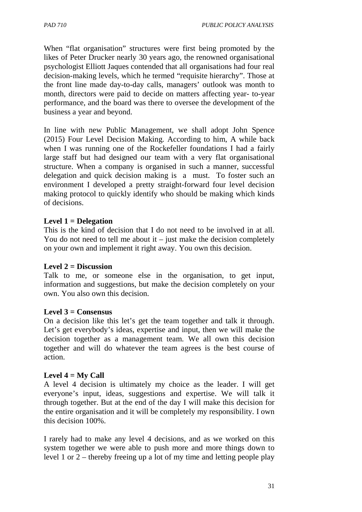When "flat organisation" structures were first being promoted by the likes of Peter Drucker nearly 30 years ago, the renowned organisational psychologist Elliott Jaques contended that all organisations had four real decision-making levels, which he termed "requisite hierarchy". Those at the front line made day-to-day calls, managers' outlook was month to month, directors were paid to decide on matters affecting year- to-year performance, and the board was there to oversee the development of the business a year and beyond.

In line with new Public Management, we shall adopt John Spence (2015) Four Level Decision Making. According to him, A while back when I was running one of the Rockefeller foundations I had a fairly large staff but had designed our team with a very flat organisational structure. When a company is organised in such a manner, successful delegation and quick decision making is a must. To foster such an environment I developed a pretty straight-forward four level decision making protocol to quickly identify who should be making which kinds of decisions.

### **Level 1 = Delegation**

This is the kind of decision that I do not need to be involved in at all. You do not need to tell me about it  $-$  just make the decision completely on your own and implement it right away. You own this decision.

### **Level 2 = Discussion**

Talk to me, or someone else in the organisation, to get input, information and suggestions, but make the decision completely on your own. You also own this decision.

### **Level 3 = Consensus**

On a decision like this let's get the team together and talk it through. Let's get everybody's ideas, expertise and input, then we will make the decision together as a management team. We all own this decision together and will do whatever the team agrees is the best course of action.

### **Level 4 = My Call**

A level 4 decision is ultimately my choice as the leader. I will get everyone's input, ideas, suggestions and expertise. We will talk it through together. But at the end of the day I will make this decision for the entire organisation and it will be completely my responsibility. I own this decision 100%.

I rarely had to make any level 4 decisions, and as we worked on this system together we were able to push more and more things down to level 1 or 2 – thereby freeing up a lot of my time and letting people play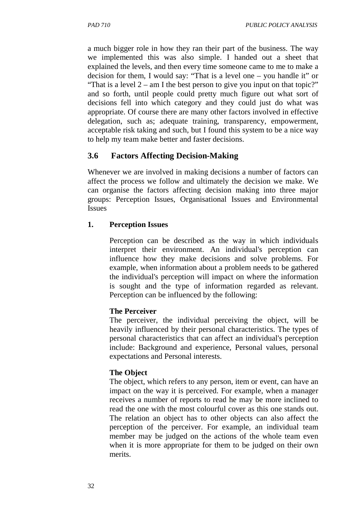a much bigger role in how they ran their part of the business. The way we implemented this was also simple. I handed out a sheet that explained the levels, and then every time someone came to me to make a decision for them, I would say: "That is a level one – you handle it" or "That is a level  $2 - am I$  the best person to give you input on that topic?" and so forth, until people could pretty much figure out what sort of decisions fell into which category and they could just do what was appropriate. Of course there are many other factors involved in effective delegation, such as; adequate training, transparency, empowerment, acceptable risk taking and such, but I found this system to be a nice way to help my team make better and faster decisions.

# **3.6 Factors Affecting Decision-Making**

Whenever we are involved in making decisions a number of factors can affect the process we follow and ultimately the decision we make. We can organise the factors affecting decision making into three major groups: Perception Issues, Organisational Issues and Environmental Issues

### **1. Perception Issues**

Perception can be described as the way in which individuals interpret their environment. An individual's perception can influence how they make decisions and solve problems. For example, when information about a problem needs to be gathered the individual's perception will impact on where the information is sought and the type of information regarded as relevant. Perception can be influenced by the following:

### **The Perceiver**

The perceiver, the individual perceiving the object, will be heavily influenced by their personal characteristics. The types of personal characteristics that can affect an individual's perception include: Background and experience, Personal values, personal expectations and Personal interests.

## **The Object**

The object, which refers to any person, item or event, can have an impact on the way it is perceived. For example, when a manager receives a number of reports to read he may be more inclined to read the one with the most colourful cover as this one stands out. The relation an object has to other objects can also affect the perception of the perceiver. For example, an individual team member may be judged on the actions of the whole team even when it is more appropriate for them to be judged on their own merits.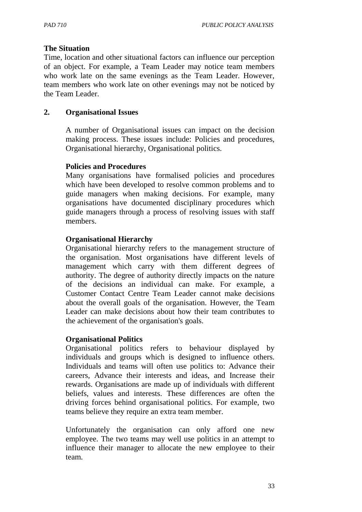#### **The Situation**

Time, location and other situational factors can influence our perception of an object. For example, a Team Leader may notice team members who work late on the same evenings as the Team Leader. However, team members who work late on other evenings may not be noticed by the Team Leader.

#### **2. Organisational Issues**

A number of Organisational issues can impact on the decision making process. These issues include: Policies and procedures, Organisational hierarchy, Organisational politics.

#### **Policies and Procedures**

Many organisations have formalised policies and procedures which have been developed to resolve common problems and to guide managers when making decisions. For example, many organisations have documented disciplinary procedures which guide managers through a process of resolving issues with staff members.

#### **Organisational Hierarchy**

Organisational hierarchy refers to the management structure of the organisation. Most organisations have different levels of management which carry with them different degrees of authority. The degree of authority directly impacts on the nature of the decisions an individual can make. For example, a Customer Contact Centre Team Leader cannot make decisions about the overall goals of the organisation. However, the Team Leader can make decisions about how their team contributes to the achievement of the organisation's goals.

#### **Organisational Politics**

Organisational politics refers to behaviour displayed by individuals and groups which is designed to influence others. Individuals and teams will often use politics to: Advance their careers, Advance their interests and ideas, and Increase their rewards. Organisations are made up of individuals with different beliefs, values and interests. These differences are often the driving forces behind organisational politics. For example, two teams believe they require an extra team member.

Unfortunately the organisation can only afford one new employee. The two teams may well use politics in an attempt to influence their manager to allocate the new employee to their team.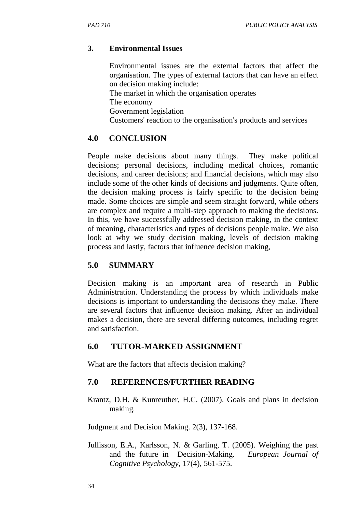## **3. Environmental Issues**

Environmental issues are the external factors that affect the organisation. The types of external factors that can have an effect on decision making include: The market in which the organisation operates The economy Government legislation Customers' reaction to the organisation's products and services

## **4.0 CONCLUSION**

People make decisions about many things. They make political decisions; personal decisions, including medical choices, romantic decisions, and career decisions; and financial decisions, which may also include some of the other kinds of decisions and judgments. Quite often, the decision making process is fairly specific to the decision being made. Some choices are simple and seem straight forward, while others are complex and require a multi-step approach to making the decisions. In this, we have successfully addressed decision making, in the context of meaning, characteristics and types of decisions people make. We also look at why we study decision making, levels of decision making process and lastly, factors that influence decision making,

## **5.0 SUMMARY**

Decision making is an important area of research in Public Administration. Understanding the process by which individuals make decisions is important to understanding the decisions they make. There are several factors that influence decision making. After an individual makes a decision, there are several differing outcomes, including regret and satisfaction.

## **6.0 TUTOR-MARKED ASSIGNMENT**

What are the factors that affects decision making?

## **7.0 REFERENCES/FURTHER READING**

Krantz, D.H. & Kunreuther, H.C. (2007). Goals and plans in decision making.

Judgment and Decision Making. 2(3), 137-168.

Jullisson, E.A., Karlsson, N. & Garling, T. (2005). Weighing the past and the future in Decision-Making. *European Journal of Cognitive Psychology*, 17(4), 561-575.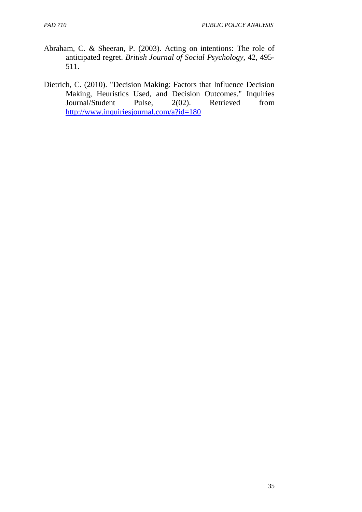- Abraham, C. & Sheeran, P. (2003). Acting on intentions: The role of anticipated regret. *British Journal of Social Psychology*, 42, 495- 511.
- Dietrich, C. (2010). "Decision Making: Factors that Influence Decision Making, Heuristics Used, and Decision Outcomes." Inquiries Journal/Student Pulse, 2(02). Retrieved from http://www.inquiriesjournal.com/a?id=180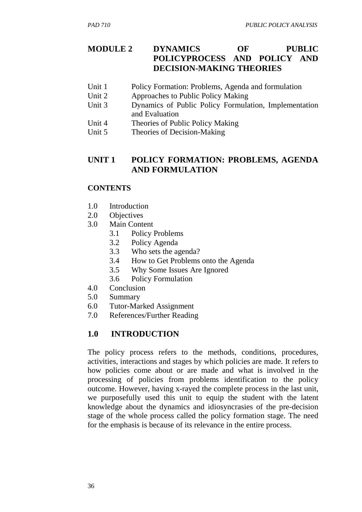# **MODULE 2 DYNAMICS OF PUBLIC POLICYPROCESS AND POLICY AND DECISION-MAKING THEORIES**

- Unit 1 Policy Formation: Problems, Agenda and formulation
- Unit 2 Approaches to Public Policy Making
- Unit 3 Dynamics of Public Policy Formulation, Implementation and Evaluation
- Unit 4 Theories of Public Policy Making
- Unit 5 Theories of Decision-Making

## **UNIT 1 POLICY FORMATION: PROBLEMS, AGENDA AND FORMULATION**

### **CONTENTS**

- 1.0 Introduction
- 2.0 Objectives
- 3.0 Main Content
	- 3.1 Policy Problems
	- 3.2 Policy Agenda
	- 3.3 Who sets the agenda?
	- 3.4 How to Get Problems onto the Agenda
	- 3.5 Why Some Issues Are Ignored
	- 3.6 Policy Formulation
- 4.0 Conclusion
- 5.0 Summary
- 6.0 Tutor-Marked Assignment
- 7.0 References/Further Reading

# **1.0 INTRODUCTION**

The policy process refers to the methods, conditions, procedures, activities, interactions and stages by which policies are made. It refers to how policies come about or are made and what is involved in the processing of policies from problems identification to the policy outcome. However, having x-rayed the complete process in the last unit, we purposefully used this unit to equip the student with the latent knowledge about the dynamics and idiosyncrasies of the pre-decision stage of the whole process called the policy formation stage. The need for the emphasis is because of its relevance in the entire process.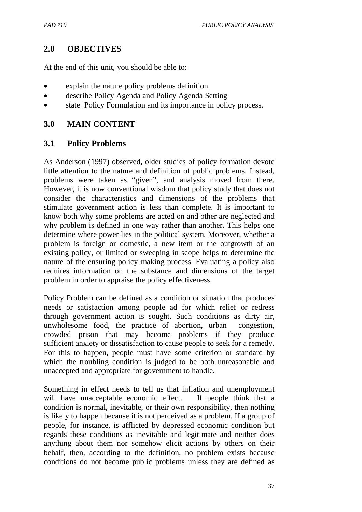### **2.0 OBJECTIVES**

At the end of this unit, you should be able to:

- explain the nature policy problems definition
- describe Policy Agenda and Policy Agenda Setting
- state Policy Formulation and its importance in policy process.

### **3.0 MAIN CONTENT**

### **3.1 Policy Problems**

As Anderson (1997) observed, older studies of policy formation devote little attention to the nature and definition of public problems. Instead, problems were taken as "given", and analysis moved from there. However, it is now conventional wisdom that policy study that does not consider the characteristics and dimensions of the problems that stimulate government action is less than complete. It is important to know both why some problems are acted on and other are neglected and why problem is defined in one way rather than another. This helps one determine where power lies in the political system. Moreover, whether a problem is foreign or domestic, a new item or the outgrowth of an existing policy, or limited or sweeping in scope helps to determine the nature of the ensuring policy making process. Evaluating a policy also requires information on the substance and dimensions of the target problem in order to appraise the policy effectiveness.

Policy Problem can be defined as a condition or situation that produces needs or satisfaction among people ad for which relief or redress through government action is sought. Such conditions as dirty air, unwholesome food, the practice of abortion, urban congestion, crowded prison that may become problems if they produce sufficient anxiety or dissatisfaction to cause people to seek for a remedy. For this to happen, people must have some criterion or standard by which the troubling condition is judged to be both unreasonable and unaccepted and appropriate for government to handle.

Something in effect needs to tell us that inflation and unemployment will have unacceptable economic effect. If people think that a condition is normal, inevitable, or their own responsibility, then nothing is likely to happen because it is not perceived as a problem. If a group of people, for instance, is afflicted by depressed economic condition but regards these conditions as inevitable and legitimate and neither does anything about them nor somehow elicit actions by others on their behalf, then, according to the definition, no problem exists because conditions do not become public problems unless they are defined as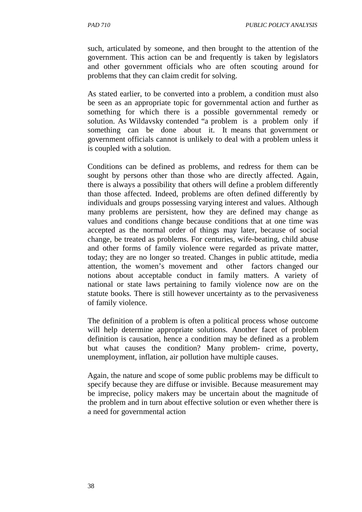such, articulated by someone, and then brought to the attention of the government. This action can be and frequently is taken by legislators and other government officials who are often scouting around for problems that they can claim credit for solving.

As stated earlier, to be converted into a problem, a condition must also be seen as an appropriate topic for governmental action and further as something for which there is a possible governmental remedy or solution. As Wildavsky contended "a problem is a problem only if something can be done about it. It means that government or government officials cannot is unlikely to deal with a problem unless it is coupled with a solution.

Conditions can be defined as problems, and redress for them can be sought by persons other than those who are directly affected. Again, there is always a possibility that others will define a problem differently than those affected. Indeed, problems are often defined differently by individuals and groups possessing varying interest and values. Although many problems are persistent, how they are defined may change as values and conditions change because conditions that at one time was accepted as the normal order of things may later, because of social change, be treated as problems. For centuries, wife-beating, child abuse and other forms of family violence were regarded as private matter, today; they are no longer so treated. Changes in public attitude, media attention, the women's movement and other factors changed our notions about acceptable conduct in family matters. A variety of national or state laws pertaining to family violence now are on the statute books. There is still however uncertainty as to the pervasiveness of family violence.

The definition of a problem is often a political process whose outcome will help determine appropriate solutions. Another facet of problem definition is causation, hence a condition may be defined as a problem but what causes the condition? Many problem- crime, poverty, unemployment, inflation, air pollution have multiple causes.

Again, the nature and scope of some public problems may be difficult to specify because they are diffuse or invisible. Because measurement may be imprecise, policy makers may be uncertain about the magnitude of the problem and in turn about effective solution or even whether there is a need for governmental action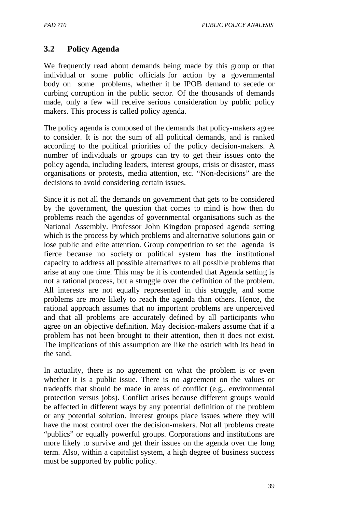## **3.2 Policy Agenda**

We frequently read about demands being made by this group or that individual or some public officials for action by a governmental body on some problems, whether it be IPOB demand to secede or curbing corruption in the public sector. Of the thousands of demands made, only a few will receive serious consideration by public policy makers. This process is called policy agenda.

The policy agenda is composed of the demands that policy-makers agree to consider. It is not the sum of all political demands, and is ranked according to the political priorities of the policy decision-makers. A number of individuals or groups can try to get their issues onto the policy agenda, including leaders, interest groups, crisis or disaster, mass organisations or protests, media attention, etc. "Non-decisions" are the decisions to avoid considering certain issues.

Since it is not all the demands on government that gets to be considered by the government, the question that comes to mind is how then do problems reach the agendas of governmental organisations such as the National Assembly. Professor John Kingdon proposed agenda setting which is the process by which problems and alternative solutions gain or lose public and elite attention. Group competition to set the agenda is fierce because no society or political system has the institutional capacity to address all possible alternatives to all possible problems that arise at any one time. This may be it is contended that Agenda setting is not a rational process, but a struggle over the definition of the problem. All interests are not equally represented in this struggle, and some problems are more likely to reach the agenda than others. Hence, the rational approach assumes that no important problems are unperceived and that all problems are accurately defined by all participants who agree on an objective definition. May decision-makers assume that if a problem has not been brought to their attention, then it does not exist. The implications of this assumption are like the ostrich with its head in the sand.

In actuality, there is no agreement on what the problem is or even whether it is a public issue. There is no agreement on the values or tradeoffs that should be made in areas of conflict (e.g., environmental protection versus jobs). Conflict arises because different groups would be affected in different ways by any potential definition of the problem or any potential solution. Interest groups place issues where they will have the most control over the decision-makers. Not all problems create "publics" or equally powerful groups. Corporations and institutions are more likely to survive and get their issues on the agenda over the long term. Also, within a capitalist system, a high degree of business success must be supported by public policy.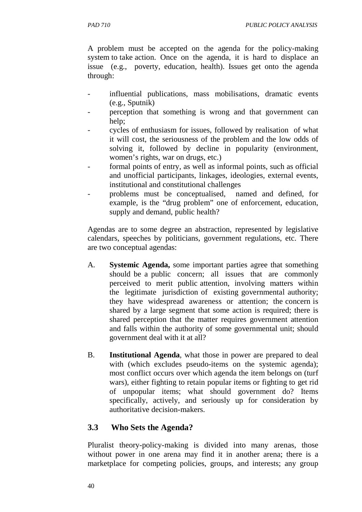A problem must be accepted on the agenda for the policy-making system to take action. Once on the agenda, it is hard to displace an issue (e.g., poverty, education, health). Issues get onto the agenda through:

- influential publications, mass mobilisations, dramatic events (e.g., Sputnik)
- perception that something is wrong and that government can help;
- cycles of enthusiasm for issues, followed by realisation of what it will cost, the seriousness of the problem and the low odds of solving it, followed by decline in popularity (environment, women's rights, war on drugs, etc.)
- formal points of entry, as well as informal points, such as official and unofficial participants, linkages, ideologies, external events, institutional and constitutional challenges
- problems must be conceptualised, named and defined, for example, is the "drug problem" one of enforcement, education, supply and demand, public health?

Agendas are to some degree an abstraction, represented by legislative calendars, speeches by politicians, government regulations, etc. There are two conceptual agendas:

- A. **Systemic Agenda,** some important parties agree that something should be a public concern; all issues that are commonly perceived to merit public attention, involving matters within the legitimate jurisdiction of existing governmental authority; they have widespread awareness or attention; the concern is shared by a large segment that some action is required; there is shared perception that the matter requires government attention and falls within the authority of some governmental unit; should government deal with it at all?
- B. **Institutional Agenda**, what those in power are prepared to deal with (which excludes pseudo-items on the systemic agenda); most conflict occurs over which agenda the item belongs on (turf wars), either fighting to retain popular items or fighting to get rid of unpopular items; what should government do? Items specifically, actively, and seriously up for consideration by authoritative decision-makers.

# **3.3 Who Sets the Agenda?**

Pluralist theory-policy-making is divided into many arenas, those without power in one arena may find it in another arena; there is a marketplace for competing policies, groups, and interests; any group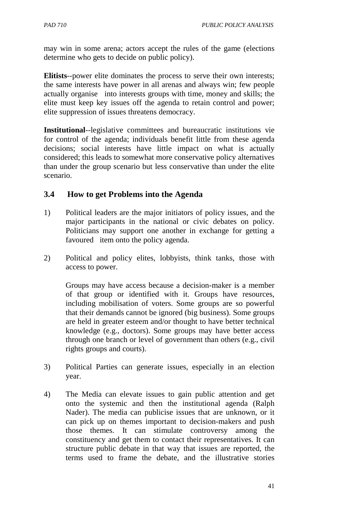may win in some arena; actors accept the rules of the game (elections determine who gets to decide on public policy).

**Elitists**--power elite dominates the process to serve their own interests; the same interests have power in all arenas and always win; few people actually organise into interests groups with time, money and skills; the elite must keep key issues off the agenda to retain control and power; elite suppression of issues threatens democracy.

**Institutional**--legislative committees and bureaucratic institutions vie for control of the agenda; individuals benefit little from these agenda decisions; social interests have little impact on what is actually considered; this leads to somewhat more conservative policy alternatives than under the group scenario but less conservative than under the elite scenario.

### **3.4 How to get Problems into the Agenda**

- 1) Political leaders are the major initiators of policy issues, and the major participants in the national or civic debates on policy. Politicians may support one another in exchange for getting a favoured item onto the policy agenda.
- 2) Political and policy elites, lobbyists, think tanks, those with access to power.

Groups may have access because a decision-maker is a member of that group or identified with it. Groups have resources, including mobilisation of voters. Some groups are so powerful that their demands cannot be ignored (big business). Some groups are held in greater esteem and/or thought to have better technical knowledge (e.g., doctors). Some groups may have better access through one branch or level of government than others (e.g., civil rights groups and courts).

- 3) Political Parties can generate issues, especially in an election year.
- 4) The Media can elevate issues to gain public attention and get onto the systemic and then the institutional agenda (Ralph Nader). The media can publicise issues that are unknown, or it can pick up on themes important to decision-makers and push those themes. It can stimulate controversy among the constituency and get them to contact their representatives. It can structure public debate in that way that issues are reported, the terms used to frame the debate, and the illustrative stories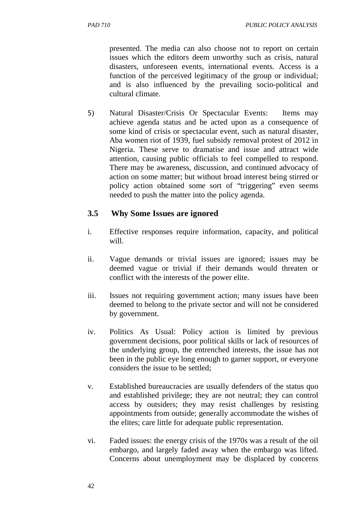presented. The media can also choose not to report on certain issues which the editors deem unworthy such as crisis, natural disasters, unforeseen events, international events. Access is a function of the perceived legitimacy of the group or individual; and is also influenced by the prevailing socio-political and cultural climate.

5) Natural Disaster/Crisis Or Spectacular Events: Items may achieve agenda status and be acted upon as a consequence of some kind of crisis or spectacular event, such as natural disaster, Aba women riot of 1939, fuel subsidy removal protest of 2012 in Nigeria. These serve to dramatise and issue and attract wide attention, causing public officials to feel compelled to respond. There may be awareness, discussion, and continued advocacy of action on some matter; but without broad interest being stirred or policy action obtained some sort of "triggering" even seems needed to push the matter into the policy agenda.

## **3.5 Why Some Issues are ignored**

- i. Effective responses require information, capacity, and political will.
- ii. Vague demands or trivial issues are ignored; issues may be deemed vague or trivial if their demands would threaten or conflict with the interests of the power elite.
- iii. Issues not requiring government action; many issues have been deemed to belong to the private sector and will not be considered by government.
- iv. Politics As Usual: Policy action is limited by previous government decisions, poor political skills or lack of resources of the underlying group, the entrenched interests, the issue has not been in the public eye long enough to garner support, or everyone considers the issue to be settled;
- v. Established bureaucracies are usually defenders of the status quo and established privilege; they are not neutral; they can control access by outsiders; they may resist challenges by resisting appointments from outside; generally accommodate the wishes of the elites; care little for adequate public representation.
- vi. Faded issues: the energy crisis of the 1970s was a result of the oil embargo, and largely faded away when the embargo was lifted. Concerns about unemployment may be displaced by concerns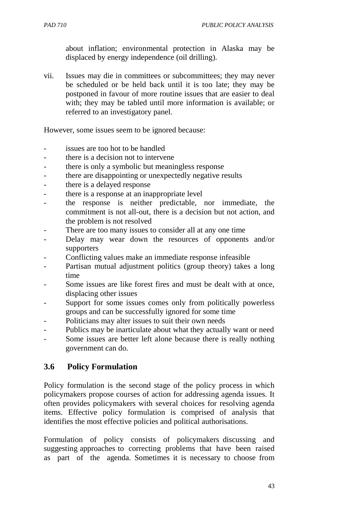about inflation; environmental protection in Alaska may be displaced by energy independence (oil drilling).

vii. Issues may die in committees or subcommittees; they may never be scheduled or be held back until it is too late; they may be postponed in favour of more routine issues that are easier to deal with; they may be tabled until more information is available; or referred to an investigatory panel.

However, some issues seem to be ignored because:

- issues are too hot to be handled
- there is a decision not to intervene
- there is only a symbolic but meaningless response
- there are disappointing or unexpectedly negative results
- there is a delayed response
- there is a response at an inappropriate level
- the response is neither predictable, nor immediate, the commitment is not all-out, there is a decision but not action, and the problem is not resolved
- There are too many issues to consider all at any one time
- Delay may wear down the resources of opponents and/or supporters
- Conflicting values make an immediate response infeasible
- Partisan mutual adjustment politics (group theory) takes a long time
- Some issues are like forest fires and must be dealt with at once, displacing other issues
- Support for some issues comes only from politically powerless groups and can be successfully ignored for some time
- Politicians may alter issues to suit their own needs
- Publics may be inarticulate about what they actually want or need
- Some issues are better left alone because there is really nothing government can do.

### **3.6 Policy Formulation**

Policy formulation is the second stage of the policy process in which policymakers propose courses of action for addressing agenda issues. It often provides policymakers with several choices for resolving agenda items. Effective policy formulation is comprised of analysis that identifies the most effective policies and political authorisations.

Formulation of policy consists of policymakers discussing and suggesting approaches to correcting problems that have been raised as part of the agenda. Sometimes it is necessary to choose from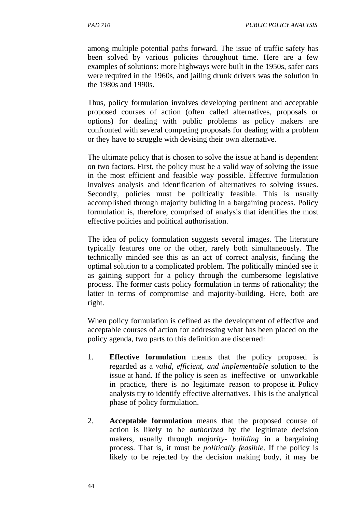among multiple potential paths forward. The issue of traffic safety has been solved by various policies throughout time. Here are a few examples of solutions: more highways were built in the 1950s, safer cars were required in the 1960s, and jailing drunk drivers was the solution in the 1980s and 1990s.

Thus, policy formulation involves developing pertinent and acceptable proposed courses of action (often called alternatives, proposals or options) for dealing with public problems as policy makers are confronted with several competing proposals for dealing with a problem or they have to struggle with devising their own alternative.

The ultimate policy that is chosen to solve the issue at hand is dependent on two factors. First, the policy must be a valid way of solving the issue in the most efficient and feasible way possible. Effective formulation involves analysis and identification of alternatives to solving issues. Secondly, policies must be politically feasible. This is usually accomplished through majority building in a bargaining process. Policy formulation is, therefore, comprised of analysis that identifies the most effective policies and political authorisation.

The idea of policy formulation suggests several images. The literature typically features one or the other, rarely both simultaneously. The technically minded see this as an act of correct analysis, finding the optimal solution to a complicated problem. The politically minded see it as gaining support for a policy through the cumbersome legislative process. The former casts policy formulation in terms of rationality; the latter in terms of compromise and majority-building. Here, both are right.

When policy formulation is defined as the development of effective and acceptable courses of action for addressing what has been placed on the policy agenda, two parts to this definition are discerned:

- 1. **Effective formulation** means that the policy proposed is regarded as a *valid, efficient, and implementable* solution to the issue at hand. If the policy is seen as ineffective or unworkable in practice, there is no legitimate reason to propose it. Policy analysts try to identify effective alternatives. This is the analytical phase of policy formulation.
- 2. **Acceptable formulation** means that the proposed course of action is likely to be *authorized* by the legitimate decision makers, usually through *majority- building* in a bargaining process. That is, it must be *politically feasible*. If the policy is likely to be rejected by the decision making body, it may be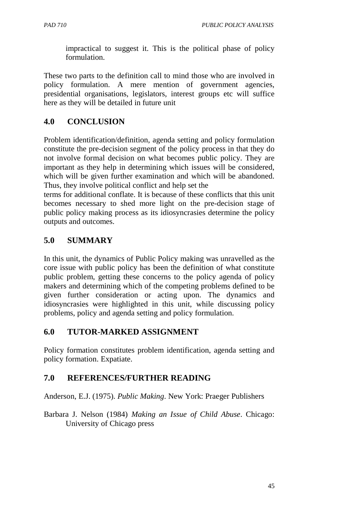impractical to suggest it. This is the political phase of policy formulation.

These two parts to the definition call to mind those who are involved in policy formulation. A mere mention of government agencies, presidential organisations, legislators, interest groups etc will suffice here as they will be detailed in future unit

## **4.0 CONCLUSION**

Problem identification/definition, agenda setting and policy formulation constitute the pre-decision segment of the policy process in that they do not involve formal decision on what becomes public policy. They are important as they help in determining which issues will be considered, which will be given further examination and which will be abandoned. Thus, they involve political conflict and help set the

terms for additional conflate. It is because of these conflicts that this unit becomes necessary to shed more light on the pre-decision stage of public policy making process as its idiosyncrasies determine the policy outputs and outcomes.

## **5.0 SUMMARY**

In this unit, the dynamics of Public Policy making was unravelled as the core issue with public policy has been the definition of what constitute public problem, getting these concerns to the policy agenda of policy makers and determining which of the competing problems defined to be given further consideration or acting upon. The dynamics and idiosyncrasies were highlighted in this unit, while discussing policy problems, policy and agenda setting and policy formulation.

## **6.0 TUTOR-MARKED ASSIGNMENT**

Policy formation constitutes problem identification, agenda setting and policy formation. Expatiate.

# **7.0 REFERENCES/FURTHER READING**

Anderson, E.J. (1975). *Public Making*. New York: Praeger Publishers

Barbara J. Nelson (1984) *Making an Issue of Child Abuse*. Chicago: University of Chicago press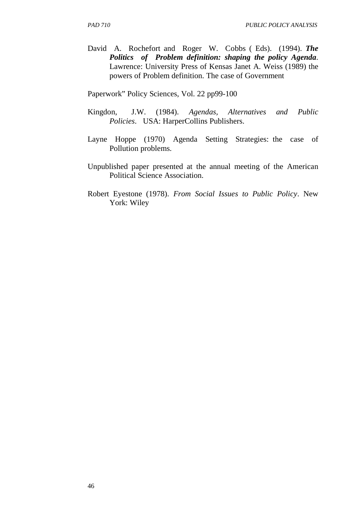David A. Rochefort and Roger W. Cobbs ( Eds). (1994). *The Politics of Problem definition: shaping the policy Agenda*. Lawrence: University Press of Kensas Janet A. Weiss (1989) the powers of Problem definition. The case of Government

Paperwork" Policy Sciences, Vol. 22 pp99-100

- Kingdon, J.W. (1984). *Agendas, Alternatives and Public Policies*. USA: HarperCollins Publishers.
- Layne Hoppe (1970) Agenda Setting Strategies: the case of Pollution problems.
- Unpublished paper presented at the annual meeting of the American Political Science Association.
- Robert Eyestone (1978). *From Social Issues to Public Policy*. New York: Wiley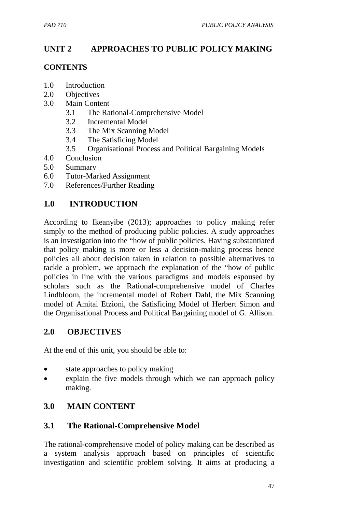# **UNIT 2 APPROACHES TO PUBLIC POLICY MAKING**

### **CONTENTS**

- 1.0 Introduction
- 2.0 Objectives
- 3.0 Main Content
	- 3.1 The Rational-Comprehensive Model
	- 3.2 Incremental Model
	- 3.3 The Mix Scanning Model
	- 3.4 The Satisficing Model
	- 3.5 Organisational Process and Political Bargaining Models
- 4.0 Conclusion
- 5.0 Summary
- 6.0 Tutor-Marked Assignment
- 7.0 References/Further Reading

## **1.0 INTRODUCTION**

According to Ikeanyibe (2013); approaches to policy making refer simply to the method of producing public policies. A study approaches is an investigation into the "how of public policies. Having substantiated that policy making is more or less a decision-making process hence policies all about decision taken in relation to possible alternatives to tackle a problem, we approach the explanation of the "how of public policies in line with the various paradigms and models espoused by scholars such as the Rational-comprehensive model of Charles Lindbloom, the incremental model of Robert Dahl, the Mix Scanning model of Amitai Etzioni, the Satisficing Model of Herbert Simon and the Organisational Process and Political Bargaining model of G. Allison.

## **2.0 OBJECTIVES**

At the end of this unit, you should be able to:

- state approaches to policy making
- explain the five models through which we can approach policy making.

## **3.0 MAIN CONTENT**

## **3.1 The Rational-Comprehensive Model**

The rational-comprehensive model of policy making can be described as a system analysis approach based on principles of scientific investigation and scientific problem solving. It aims at producing a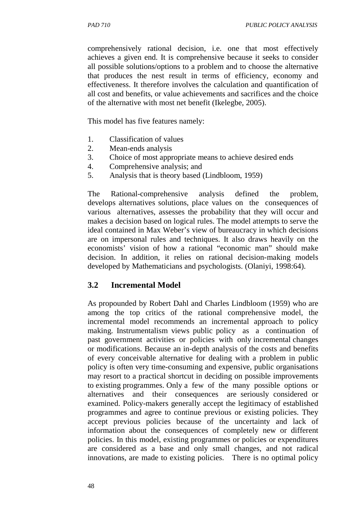comprehensively rational decision, i.e. one that most effectively achieves a given end. It is comprehensive because it seeks to consider all possible solutions/options to a problem and to choose the alternative that produces the nest result in terms of efficiency, economy and effectiveness. It therefore involves the calculation and quantification of all cost and benefits, or value achievements and sacrifices and the choice of the alternative with most net benefit (Ikelegbe, 2005).

This model has five features namely:

- 1. Classification of values
- 2. Mean-ends analysis
- 3. Choice of most appropriate means to achieve desired ends
- 4. Comprehensive analysis; and
- 5. Analysis that is theory based (Lindbloom, 1959)

The Rational-comprehensive analysis defined the problem, develops alternatives solutions, place values on the consequences of various alternatives, assesses the probability that they will occur and makes a decision based on logical rules. The model attempts to serve the ideal contained in Max Weber's view of bureaucracy in which decisions are on impersonal rules and techniques. It also draws heavily on the economists' vision of how a rational "economic man" should make decision. In addition, it relies on rational decision-making models developed by Mathematicians and psychologists. (Olaniyi, 1998:64).

#### **3.2 Incremental Model**

As propounded by Robert Dahl and Charles Lindbloom (1959) who are among the top critics of the rational comprehensive model, the incremental model recommends an incremental approach to policy making. Instrumentalism views public policy as a continuation of past government activities or policies with only incremental changes or modifications. Because an in-depth analysis of the costs and benefits of every conceivable alternative for dealing with a problem in public policy is often very time-consuming and expensive, public organisations may resort to a practical shortcut in deciding on possible improvements to existing programmes. Only a few of the many possible options or alternatives and their consequences are seriously considered or examined. Policy-makers generally accept the legitimacy of established programmes and agree to continue previous or existing policies. They accept previous policies because of the uncertainty and lack of information about the consequences of completely new or different policies. In this model, existing programmes or policies or expenditures are considered as a base and only small changes, and not radical innovations, are made to existing policies. There is no optimal policy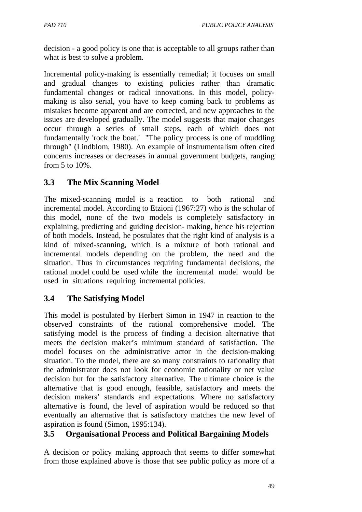decision - a good policy is one that is acceptable to all groups rather than what is best to solve a problem.

Incremental policy-making is essentially remedial; it focuses on small and gradual changes to existing policies rather than dramatic fundamental changes or radical innovations. In this model, policymaking is also serial, you have to keep coming back to problems as mistakes become apparent and are corrected, and new approaches to the issues are developed gradually. The model suggests that major changes occur through a series of small steps, each of which does not fundamentally 'rock the boat.' "The policy process is one of muddling through" (Lindblom, 1980). An example of instrumentalism often cited concerns increases or decreases in annual government budgets, ranging from 5 to 10%.

## **3.3 The Mix Scanning Model**

The mixed-scanning model is a reaction to both rational and incremental model. According to Etzioni (1967:27) who is the scholar of this model, none of the two models is completely satisfactory in explaining, predicting and guiding decision- making, hence his rejection of both models. Instead, he postulates that the right kind of analysis is a kind of mixed-scanning, which is a mixture of both rational and incremental models depending on the problem, the need and the situation. Thus in circumstances requiring fundamental decisions, the rational model could be used while the incremental model would be used in situations requiring incremental policies.

# **3.4 The Satisfying Model**

This model is postulated by Herbert Simon in 1947 in reaction to the observed constraints of the rational comprehensive model. The satisfying model is the process of finding a decision alternative that meets the decision maker's minimum standard of satisfaction. The model focuses on the administrative actor in the decision-making situation. To the model, there are so many constraints to rationality that the administrator does not look for economic rationality or net value decision but for the satisfactory alternative. The ultimate choice is the alternative that is good enough, feasible, satisfactory and meets the decision makers' standards and expectations. Where no satisfactory alternative is found, the level of aspiration would be reduced so that eventually an alternative that is satisfactory matches the new level of aspiration is found (Simon, 1995:134).

## **3.5 Organisational Process and Political Bargaining Models**

A decision or policy making approach that seems to differ somewhat from those explained above is those that see public policy as more of a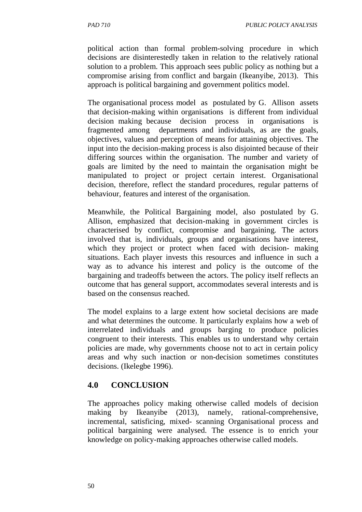political action than formal problem-solving procedure in which decisions are disinterestedly taken in relation to the relatively rational solution to a problem. This approach sees public policy as nothing but a compromise arising from conflict and bargain (Ikeanyibe, 2013). This approach is political bargaining and government politics model.

The organisational process model as postulated by G. Allison assets that decision-making within organisations is different from individual decision making because decision process in organisations fragmented among departments and individuals, as are the goals, objectives, values and perception of means for attaining objectives. The input into the decision-making process is also disjointed because of their differing sources within the organisation. The number and variety of goals are limited by the need to maintain the organisation might be manipulated to project or project certain interest. Organisational decision, therefore, reflect the standard procedures, regular patterns of behaviour, features and interest of the organisation.

Meanwhile, the Political Bargaining model, also postulated by G. Allison, emphasized that decision-making in government circles is characterised by conflict, compromise and bargaining. The actors involved that is, individuals, groups and organisations have interest, which they project or protect when faced with decision- making situations. Each player invests this resources and influence in such a way as to advance his interest and policy is the outcome of the bargaining and tradeoffs between the actors. The policy itself reflects an outcome that has general support, accommodates several interests and is based on the consensus reached.

The model explains to a large extent how societal decisions are made and what determines the outcome. It particularly explains how a web of interrelated individuals and groups barging to produce policies congruent to their interests. This enables us to understand why certain policies are made, why governments choose not to act in certain policy areas and why such inaction or non-decision sometimes constitutes decisions. (Ikelegbe 1996).

## **4.0 CONCLUSION**

The approaches policy making otherwise called models of decision making by Ikeanyibe (2013), namely, rational-comprehensive, incremental, satisficing, mixed- scanning Organisational process and political bargaining were analysed. The essence is to enrich your knowledge on policy-making approaches otherwise called models.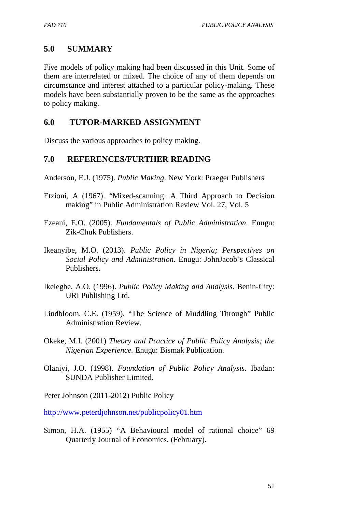## **5.0 SUMMARY**

Five models of policy making had been discussed in this Unit. Some of them are interrelated or mixed. The choice of any of them depends on circumstance and interest attached to a particular policy-making. These models have been substantially proven to be the same as the approaches to policy making.

### **6.0 TUTOR-MARKED ASSIGNMENT**

Discuss the various approaches to policy making.

### **7.0 REFERENCES/FURTHER READING**

Anderson, E.J. (1975). *Public Making*. New York: Praeger Publishers

- Etzioni, A (1967). "Mixed-scanning: A Third Approach to Decision making" in Public Administration Review Vol. 27, Vol. 5
- Ezeani, E.O. (2005). *Fundamentals of Public Administration*. Enugu: Zik-Chuk Publishers.
- Ikeanyibe, M.O. (2013). *Public Policy in Nigeria; Perspectives on Social Policy and Administration*. Enugu: JohnJacob's Classical Publishers.
- Ikelegbe, A.O. (1996). *Public Policy Making and Analysis*. Benin-City: URI Publishing Ltd.
- Lindbloom. C.E. (1959). "The Science of Muddling Through" Public Administration Review.
- Okeke, M.I. (2001) *Theory and Practice of Public Policy Analysis; the Nigerian Experience.* Enugu: Bismak Publication.
- Olaniyi, J.O. (1998). *Foundation of Public Policy Analysis*. Ibadan: SUNDA Publisher Limited.

Peter Johnson (2011-2012) Public Policy

http://www.peterdjohnson.net/publicpolicy01.htm

Simon, H.A. (1955) "A Behavioural model of rational choice" 69 Quarterly Journal of Economics. (February).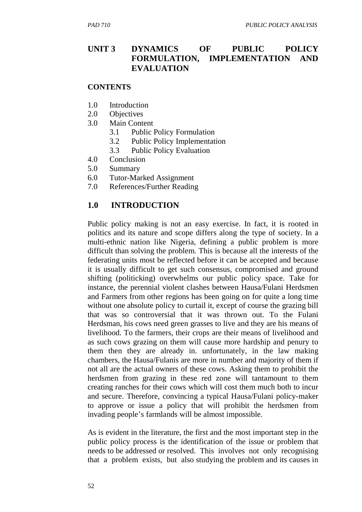## **UNIT 3 DYNAMICS OF PUBLIC POLICY FORMULATION, IMPLEMENTATION AND EVALUATION**

#### **CONTENTS**

- 1.0 Introduction
- 2.0 Objectives
- 3.0 Main Content
	- 3.1 Public Policy Formulation
	- 3.2 Public Policy Implementation
	- 3.3 Public Policy Evaluation
- 4.0 Conclusion
- 5.0 Summary
- 6.0 Tutor-Marked Assignment
- 7.0 References/Further Reading

### **1.0 INTRODUCTION**

Public policy making is not an easy exercise. In fact, it is rooted in politics and its nature and scope differs along the type of society. In a multi-ethnic nation like Nigeria, defining a public problem is more difficult than solving the problem. This is because all the interests of the federating units most be reflected before it can be accepted and because it is usually difficult to get such consensus, compromised and ground shifting (politicking) overwhelms our public policy space. Take for instance, the perennial violent clashes between Hausa/Fulani Herdsmen and Farmers from other regions has been going on for quite a long time without one absolute policy to curtail it, except of course the grazing bill that was so controversial that it was thrown out. To the Fulani Herdsman, his cows need green grasses to live and they are his means of livelihood. To the farmers, their crops are their means of livelihood and as such cows grazing on them will cause more hardship and penury to them then they are already in. unfortunately, in the law making chambers, the Hausa/Fulanis are more in number and majority of them if not all are the actual owners of these cows. Asking them to prohibit the herdsmen from grazing in these red zone will tantamount to them creating ranches for their cows which will cost them much both to incur and secure. Therefore, convincing a typical Hausa/Fulani policy-maker to approve or issue a policy that will prohibit the herdsmen from invading people's farmlands will be almost impossible.

As is evident in the literature, the first and the most important step in the public policy process is the identification of the issue or problem that needs to be addressed or resolved. This involves not only recognising that a problem exists, but also studying the problem and its causes in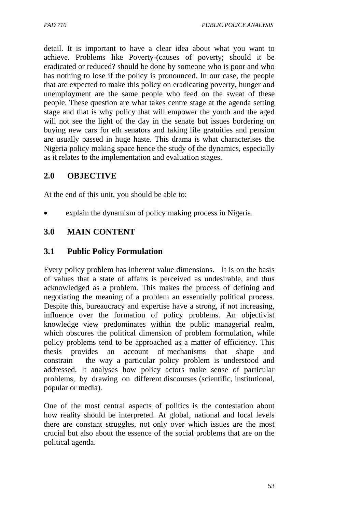detail. It is important to have a clear idea about what you want to achieve. Problems like Poverty-(causes of poverty; should it be eradicated or reduced? should be done by someone who is poor and who has nothing to lose if the policy is pronounced. In our case, the people that are expected to make this policy on eradicating poverty, hunger and unemployment are the same people who feed on the sweat of these people. These question are what takes centre stage at the agenda setting stage and that is why policy that will empower the youth and the aged will not see the light of the day in the senate but issues bordering on buying new cars for eth senators and taking life gratuities and pension are usually passed in huge haste. This drama is what characterises the Nigeria policy making space hence the study of the dynamics, especially as it relates to the implementation and evaluation stages.

## **2.0 OBJECTIVE**

At the end of this unit, you should be able to:

explain the dynamism of policy making process in Nigeria.

### **3.0 MAIN CONTENT**

### **3.1 Public Policy Formulation**

Every policy problem has inherent value dimensions. It is on the basis of values that a state of affairs is perceived as undesirable, and thus acknowledged as a problem. This makes the process of defining and negotiating the meaning of a problem an essentially political process. Despite this, bureaucracy and expertise have a strong, if not increasing, influence over the formation of policy problems. An objectivist knowledge view predominates within the public managerial realm, which obscures the political dimension of problem formulation, while policy problems tend to be approached as a matter of efficiency. This thesis provides an account of mechanisms that shape and constrain the way a particular policy problem is understood and addressed. It analyses how policy actors make sense of particular problems, by drawing on different discourses (scientific, institutional, popular or media).

One of the most central aspects of politics is the contestation about how reality should be interpreted. At global, national and local levels there are constant struggles, not only over which issues are the most crucial but also about the essence of the social problems that are on the political agenda.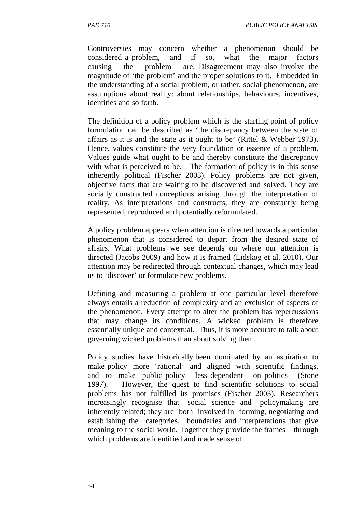Controversies may concern whether a phenomenon should be considered a problem, and if so, what the major factors causing the problem are. Disagreement may also involve the magnitude of 'the problem' and the proper solutions to it. Embedded in the understanding of a social problem, or rather, social phenomenon, are assumptions about reality: about relationships, behaviours, incentives, identities and so forth.

The definition of a policy problem which is the starting point of policy formulation can be described as 'the discrepancy between the state of affairs as it is and the state as it ought to be' (Rittel & Webber 1973). Hence, values constitute the very foundation or essence of a problem. Values guide what ought to be and thereby constitute the discrepancy with what is perceived to be. The formation of policy is in this sense inherently political (Fischer 2003). Policy problems are not given, objective facts that are waiting to be discovered and solved. They are socially constructed conceptions arising through the interpretation of reality. As interpretations and constructs, they are constantly being represented, reproduced and potentially reformulated.

A policy problem appears when attention is directed towards a particular phenomenon that is considered to depart from the desired state of affairs. What problems we see depends on where our attention is directed (Jacobs 2009) and how it is framed (Lidskog et al. 2010). Our attention may be redirected through contextual changes, which may lead us to 'discover' or formulate new problems.

Defining and measuring a problem at one particular level therefore always entails a reduction of complexity and an exclusion of aspects of the phenomenon. Every attempt to alter the problem has repercussions that may change its conditions. A wicked problem is therefore essentially unique and contextual. Thus, it is more accurate to talk about governing wicked problems than about solving them.

Policy studies have historically been dominated by an aspiration to make policy more 'rational' and aligned with scientific findings, and to make public policy less dependent on politics (Stone 1997). However, the quest to find scientific solutions to social problems has not fulfilled its promises (Fischer 2003). Researchers increasingly recognise that social science and policymaking are inherently related; they are both involved in forming, negotiating and establishing the categories, boundaries and interpretations that give meaning to the social world. Together they provide the frames through which problems are identified and made sense of.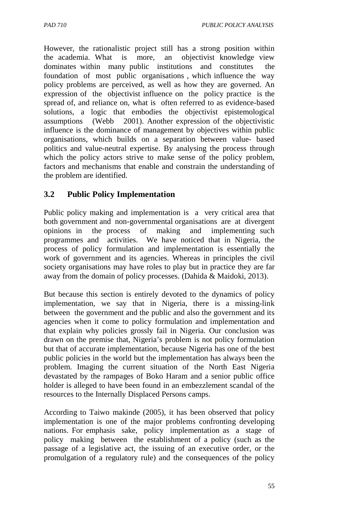*PAD 710 PUBLIC POLICY ANALYSIS* 

However, the rationalistic project still has a strong position within the academia. What is more, an objectivist knowledge view dominates within many public institutions and constitutes the foundation of most public organisations , which influence the way policy problems are perceived, as well as how they are governed. An expression of the objectivist influence on the policy practice is the spread of, and reliance on, what is often referred to as evidence-based solutions, a logic that embodies the objectivist epistemological assumptions (Webb 2001). Another expression of the objectivistic influence is the dominance of management by objectives within public organisations, which builds on a separation between value- based politics and value-neutral expertise. By analysing the process through which the policy actors strive to make sense of the policy problem, factors and mechanisms that enable and constrain the understanding of the problem are identified.

## **3.2 Public Policy Implementation**

Public policy making and implementation is a very critical area that both government and non-governmental organisations are at divergent opinions in the process of making and implementing such programmes and activities. We have noticed that in Nigeria, the process of policy formulation and implementation is essentially the work of government and its agencies. Whereas in principles the civil society organisations may have roles to play but in practice they are far away from the domain of policy processes. (Dahida & Maidoki, 2013).

But because this section is entirely devoted to the dynamics of policy implementation, we say that in Nigeria, there is a missing-link between the government and the public and also the government and its agencies when it come to policy formulation and implementation and that explain why policies grossly fail in Nigeria. Our conclusion was drawn on the premise that, Nigeria's problem is not policy formulation but that of accurate implementation, because Nigeria has one of the best public policies in the world but the implementation has always been the problem. Imaging the current situation of the North East Nigeria devastated by the rampages of Boko Haram and a senior public office holder is alleged to have been found in an embezzlement scandal of the resources to the Internally Displaced Persons camps.

According to Taiwo makinde (2005), it has been observed that policy implementation is one of the major problems confronting developing nations. For emphasis sake, policy implementation as a stage of policy making between the establishment of a policy (such as the passage of a legislative act, the issuing of an executive order, or the promulgation of a regulatory rule) and the consequences of the policy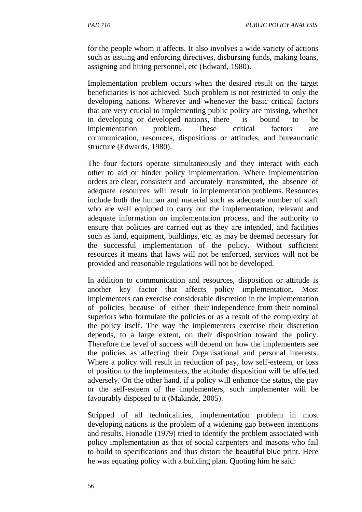for the people whom it affects. It also involves a wide variety of actions such as issuing and enforcing directives, disbursing funds, making loans, assigning and hiring personnel, etc (Edward, 1980).

Implementation problem occurs when the desired result on the target beneficiaries is not achieved. Such problem is not restricted to only the developing nations. Wherever and whenever the basic critical factors that are very crucial to implementing public policy are missing, whether in developing or developed nations, there is bound to be implementation problem. These critical factors are communication, resources, dispositions or attitudes, and bureaucratic structure (Edwards, 1980).

The four factors operate simultaneously and they interact with each other to aid or hinder policy implementation. Where implementation orders are clear, consistent and accurately transmitted, the absence of adequate resources will result in implementation problems. Resources include both the human and material such as adequate number of staff who are well equipped to carry out the implementation, relevant and adequate information on implementation process, and the authority to ensure that policies are carried out as they are intended, and facilities such as land, equipment, buildings, etc. as may be deemed necessary for the successful implementation of the policy. Without sufficient resources it means that laws will not be enforced, services will not be provided and reasonable regulations will not be developed.

In addition to communication and resources, disposition or attitude is another key factor that affects policy implementation. Most implementers can exercise considerable discretion in the implementation of policies because of either their independence from their nominal superiors who formulate the policies or as a result of the complexity of the policy itself. The way the implementers exercise their discretion depends, to a large extent, on their disposition toward the policy. Therefore the level of success will depend on how the implementers see the policies as affecting their Organisational and personal interests. Where a policy will result in reduction of pay, low self-esteem, or loss of position to the implementers, the attitude/ disposition will be affected adversely. On the other hand, if a policy will enhance the status, the pay or the self-esteem of the implementers, such implementer will be favourably disposed to it (Makinde, 2005).

Stripped of all technicalities, implementation problem in most developing nations is the problem of a widening gap between intentions and results. Honadle (1979) tried to identify the problem associated with policy implementation as that of social carpenters and masons who fail to build to specifications and thus distort the beautiful blue print. Here he was equating policy with a building plan. Quoting him he said: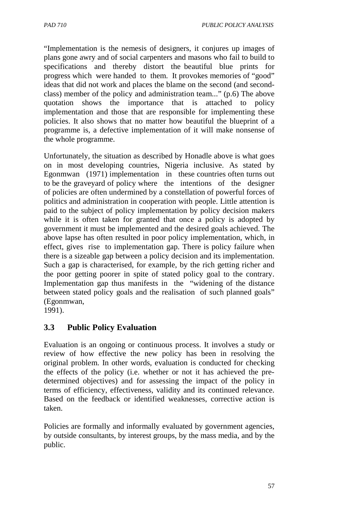*PAD 710 PUBLIC POLICY ANALYSIS* 

"Implementation is the nemesis of designers, it conjures up images of plans gone awry and of social carpenters and masons who fail to build to specifications and thereby distort the beautiful blue prints for progress which were handed to them. It provokes memories of "good" ideas that did not work and places the blame on the second (and secondclass) member of the policy and administration team..." (p.6) The above quotation shows the importance that is attached to policy implementation and those that are responsible for implementing these policies. It also shows that no matter how beautiful the blueprint of a programme is, a defective implementation of it will make nonsense of the whole programme.

Unfortunately, the situation as described by Honadle above is what goes on in most developing countries, Nigeria inclusive. As stated by Egonmwan (1971) implementation in these countries often turns out to be the graveyard of policy where the intentions of the designer of policies are often undermined by a constellation of powerful forces of politics and administration in cooperation with people. Little attention is paid to the subject of policy implementation by policy decision makers while it is often taken for granted that once a policy is adopted by government it must be implemented and the desired goals achieved. The above lapse has often resulted in poor policy implementation, which, in effect, gives rise to implementation gap. There is policy failure when there is a sizeable gap between a policy decision and its implementation. Such a gap is characterised, for example, by the rich getting richer and the poor getting poorer in spite of stated policy goal to the contrary. Implementation gap thus manifests in the "widening of the distance between stated policy goals and the realisation of such planned goals" (Egonmwan,

1991).

## **3.3 Public Policy Evaluation**

Evaluation is an ongoing or continuous process. It involves a study or review of how effective the new policy has been in resolving the original problem. In other words, evaluation is conducted for checking the effects of the policy (i.e. whether or not it has achieved the predetermined objectives) and for assessing the impact of the policy in terms of efficiency, effectiveness, validity and its continued relevance. Based on the feedback or identified weaknesses, corrective action is taken.

Policies are formally and informally evaluated by government agencies, by outside consultants, by interest groups, by the mass media, and by the public.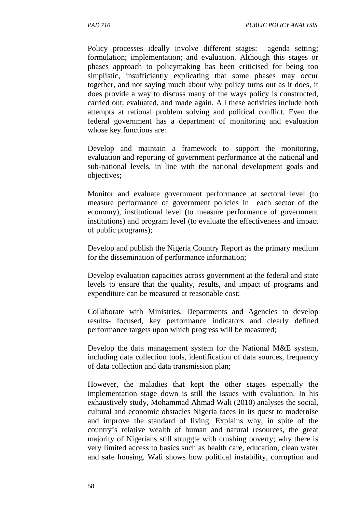Policy processes ideally involve different stages: agenda setting; formulation; implementation; and evaluation. Although this stages or phases approach to policymaking has been criticised for being too simplistic, insufficiently explicating that some phases may occur together, and not saying much about why policy turns out as it does, it does provide a way to discuss many of the ways policy is constructed, carried out, evaluated, and made again. All these activities include both attempts at rational problem solving and political conflict. Even the federal government has a department of monitoring and evaluation whose key functions are:

Develop and maintain a framework to support the monitoring, evaluation and reporting of government performance at the national and sub-national levels, in line with the national development goals and objectives;

Monitor and evaluate government performance at sectoral level (to measure performance of government policies in each sector of the economy), institutional level (to measure performance of government institutions) and program level (to evaluate the effectiveness and impact of public programs);

Develop and publish the Nigeria Country Report as the primary medium for the dissemination of performance information;

Develop evaluation capacities across government at the federal and state levels to ensure that the quality, results, and impact of programs and expenditure can be measured at reasonable cost;

Collaborate with Ministries, Departments and Agencies to develop results- focused, key performance indicators and clearly defined performance targets upon which progress will be measured;

Develop the data management system for the National M&E system, including data collection tools, identification of data sources, frequency of data collection and data transmission plan;

However, the maladies that kept the other stages especially the implementation stage down is still the issues with evaluation. In his exhaustively study, Mohammad Ahmad Wali (2010) analyses the social, cultural and economic obstacles Nigeria faces in its quest to modernise and improve the standard of living. Explains why, in spite of the country's relative wealth of human and natural resources, the great majority of Nigerians still struggle with crushing poverty; why there is very limited access to basics such as health care, education, clean water and safe housing. Wali shows how political instability, corruption and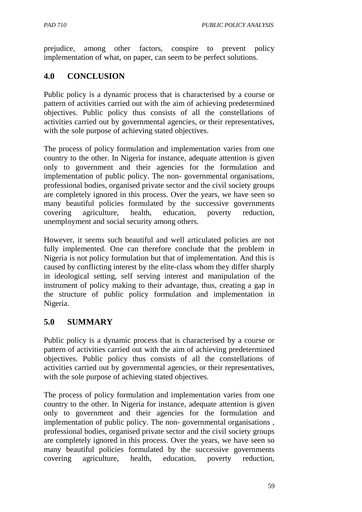prejudice, among other factors, conspire to prevent policy implementation of what, on paper, can seem to be perfect solutions.

## **4.0 CONCLUSION**

Public policy is a dynamic process that is characterised by a course or pattern of activities carried out with the aim of achieving predetermined objectives. Public policy thus consists of all the constellations of activities carried out by governmental agencies, or their representatives, with the sole purpose of achieving stated objectives.

The process of policy formulation and implementation varies from one country to the other. In Nigeria for instance, adequate attention is given only to government and their agencies for the formulation and implementation of public policy. The non- governmental organisations, professional bodies, organised private sector and the civil society groups are completely ignored in this process. Over the years, we have seen so many beautiful policies formulated by the successive governments covering agriculture, health, education, poverty reduction, unemployment and social security among others.

However, it seems such beautiful and well articulated policies are not fully implemented. One can therefore conclude that the problem in Nigeria is not policy formulation but that of implementation. And this is caused by conflicting interest by the elite-class whom they differ sharply in ideological setting, self serving interest and manipulation of the instrument of policy making to their advantage, thus, creating a gap in the structure of public policy formulation and implementation in Nigeria.

## **5.0 SUMMARY**

Public policy is a dynamic process that is characterised by a course or pattern of activities carried out with the aim of achieving predetermined objectives. Public policy thus consists of all the constellations of activities carried out by governmental agencies, or their representatives, with the sole purpose of achieving stated objectives.

The process of policy formulation and implementation varies from one country to the other. In Nigeria for instance, adequate attention is given only to government and their agencies for the formulation and implementation of public policy. The non- governmental organisations , professional bodies, organised private sector and the civil society groups are completely ignored in this process. Over the years, we have seen so many beautiful policies formulated by the successive governments covering agriculture, health, education, poverty reduction,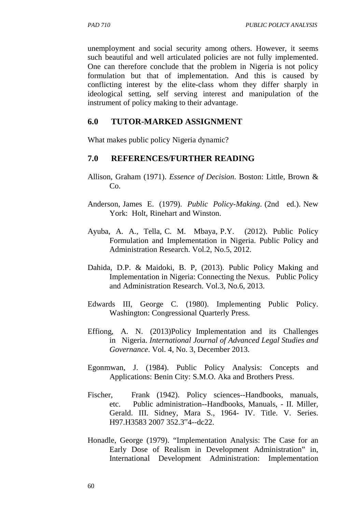unemployment and social security among others. However, it seems such beautiful and well articulated policies are not fully implemented. One can therefore conclude that the problem in Nigeria is not policy formulation but that of implementation. And this is caused by conflicting interest by the elite-class whom they differ sharply in ideological setting, self serving interest and manipulation of the instrument of policy making to their advantage.

### **6.0 TUTOR-MARKED ASSIGNMENT**

What makes public policy Nigeria dynamic?

### **7.0 REFERENCES/FURTHER READING**

- Allison, Graham (1971). *Essence of Decision*. Boston: Little, Brown & Co.
- Anderson, James E. (1979). *Public Policy-Making*. (2nd ed.). New York: Holt, Rinehart and Winston.
- Ayuba, A. A., Tella, C. M. Mbaya, P.Y. (2012). Public Policy Formulation and Implementation in Nigeria. Public Policy and Administration Research. Vol.2, No.5, 2012.
- Dahida, D.P. & Maidoki, B. P, (2013). Public Policy Making and Implementation in Nigeria: Connecting the Nexus. Public Policy and Administration Research. Vol.3, No.6, 2013.
- Edwards III, George C. (1980). Implementing Public Policy. Washington: Congressional Quarterly Press.
- Effiong, A. N. (2013)Policy Implementation and its Challenges in Nigeria. *International Journal of Advanced Legal Studies and Governance*. Vol. 4, No. 3, December 2013.
- Egonmwan, J. (1984). Public Policy Analysis: Concepts and Applications: Benin City: S.M.O. Aka and Brothers Press.
- Fischer, Frank (1942). Policy sciences--Handbooks, manuals, etc. Public administration--Handbooks, Manuals, - II. Miller, Gerald. III. Sidney, Mara S., 1964- IV. Title. V. Series. H97.H3583 2007 352.3"4--dc22.
- Honadle, George (1979). "Implementation Analysis: The Case for an Early Dose of Realism in Development Administration" in, International Development Administration: Implementation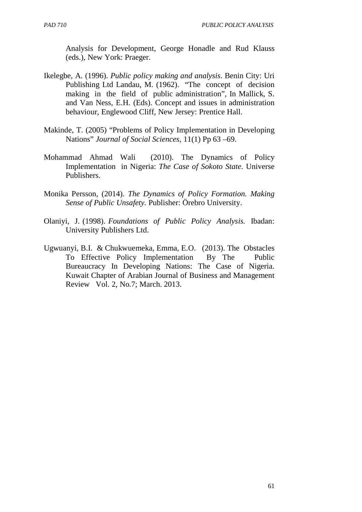Analysis for Development, George Honadle and Rud Klauss (eds.), New York: Praeger.

- Ikelegbe, A. (1996). *Public policy making and analysis*. Benin City: Uri Publishing Ltd Landau, M. (1962). "The concept of decision making in the field of public administration", In Mallick, S. and Van Ness, E.H. (Eds). Concept and issues in administration behaviour, Englewood Cliff, New Jersey: Prentice Hall.
- Makinde, T. (2005) "Problems of Policy Implementation in Developing Nations" *Journal of Social Sciences*, 11(1) Pp 63 –69.
- Mohammad Ahmad Wali (2010). The Dynamics of Policy Implementation in Nigeria: *The Case of Sokoto State*. Universe Publishers.
- Monika Persson, (2014). *The Dynamics of Policy Formation. Making Sense of Public Unsafety.* Publisher: Örebro University.
- Olaniyi, J. (1998). *Foundations of Public Policy Analysis.* Ibadan: University Publishers Ltd.
- Ugwuanyi, B.I. & Chukwuemeka, Emma, E.O. (2013). The Obstacles To Effective Policy Implementation By The Public Bureaucracy In Developing Nations: The Case of Nigeria. Kuwait Chapter of Arabian Journal of Business and Management Review Vol. 2, No.7; March. 2013.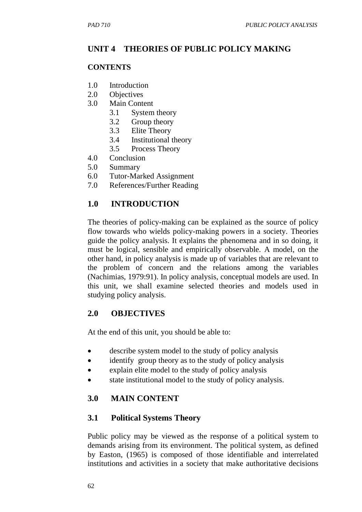# **UNIT 4 THEORIES OF PUBLIC POLICY MAKING**

### **CONTENTS**

- 1.0 Introduction
- 2.0 Objectives
- 3.0 Main Content
	- 3.1 System theory
	- 3.2 Group theory
	- 3.3 Elite Theory
	- 3.4 Institutional theory
	- 3.5 Process Theory
- 4.0 Conclusion
- 5.0 Summary
- 6.0 Tutor-Marked Assignment
- 7.0 References/Further Reading

# **1.0 INTRODUCTION**

The theories of policy-making can be explained as the source of policy flow towards who wields policy-making powers in a society. Theories guide the policy analysis. It explains the phenomena and in so doing, it must be logical, sensible and empirically observable. A model, on the other hand, in policy analysis is made up of variables that are relevant to the problem of concern and the relations among the variables (Nachimias, 1979:91). In policy analysis, conceptual models are used. In this unit, we shall examine selected theories and models used in studying policy analysis.

## **2.0 OBJECTIVES**

At the end of this unit, you should be able to:

- describe system model to the study of policy analysis
- identify group theory as to the study of policy analysis
- explain elite model to the study of policy analysis
- state institutional model to the study of policy analysis.

# **3.0 MAIN CONTENT**

## **3.1 Political Systems Theory**

Public policy may be viewed as the response of a political system to demands arising from its environment. The political system, as defined by Easton, (1965) is composed of those identifiable and interrelated institutions and activities in a society that make authoritative decisions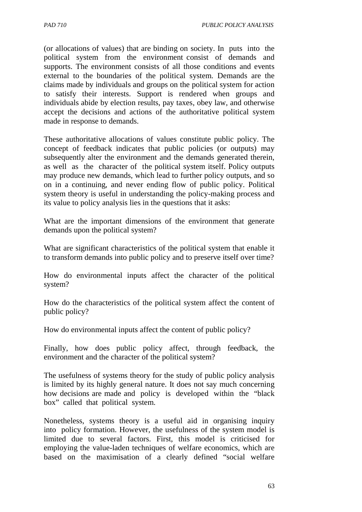(or allocations of values) that are binding on society. In puts into the political system from the environment consist of demands and supports. The environment consists of all those conditions and events external to the boundaries of the political system. Demands are the claims made by individuals and groups on the political system for action to satisfy their interests. Support is rendered when groups and individuals abide by election results, pay taxes, obey law, and otherwise accept the decisions and actions of the authoritative political system made in response to demands.

These authoritative allocations of values constitute public policy. The concept of feedback indicates that public policies (or outputs) may subsequently alter the environment and the demands generated therein, as well as the character of the political system itself. Policy outputs may produce new demands, which lead to further policy outputs, and so on in a continuing, and never ending flow of public policy. Political system theory is useful in understanding the policy-making process and its value to policy analysis lies in the questions that it asks:

What are the important dimensions of the environment that generate demands upon the political system?

What are significant characteristics of the political system that enable it to transform demands into public policy and to preserve itself over time?

How do environmental inputs affect the character of the political system?

How do the characteristics of the political system affect the content of public policy?

How do environmental inputs affect the content of public policy?

Finally, how does public policy affect, through feedback, the environment and the character of the political system?

The usefulness of systems theory for the study of public policy analysis is limited by its highly general nature. It does not say much concerning how decisions are made and policy is developed within the "black box" called that political system.

Nonetheless, systems theory is a useful aid in organising inquiry into policy formation. However, the usefulness of the system model is limited due to several factors. First, this model is criticised for employing the value-laden techniques of welfare economics, which are based on the maximisation of a clearly defined "social welfare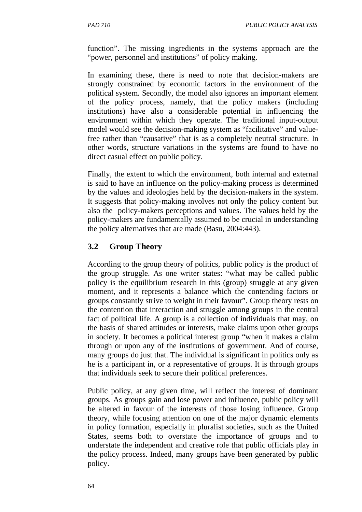function". The missing ingredients in the systems approach are the "power, personnel and institutions" of policy making.

In examining these, there is need to note that decision-makers are strongly constrained by economic factors in the environment of the political system. Secondly, the model also ignores an important element of the policy process, namely, that the policy makers (including institutions) have also a considerable potential in influencing the environment within which they operate. The traditional input-output model would see the decision-making system as "facilitative" and valuefree rather than "causative" that is as a completely neutral structure. In other words, structure variations in the systems are found to have no direct casual effect on public policy.

Finally, the extent to which the environment, both internal and external is said to have an influence on the policy-making process is determined by the values and ideologies held by the decision-makers in the system. It suggests that policy-making involves not only the policy content but also the policy-makers perceptions and values. The values held by the policy-makers are fundamentally assumed to be crucial in understanding the policy alternatives that are made (Basu, 2004:443).

# **3.2 Group Theory**

According to the group theory of politics, public policy is the product of the group struggle. As one writer states: "what may be called public policy is the equilibrium research in this (group) struggle at any given moment, and it represents a balance which the contending factors or groups constantly strive to weight in their favour". Group theory rests on the contention that interaction and struggle among groups in the central fact of political life. A group is a collection of individuals that may, on the basis of shared attitudes or interests, make claims upon other groups in society. It becomes a political interest group "when it makes a claim through or upon any of the institutions of government. And of course, many groups do just that. The individual is significant in politics only as he is a participant in, or a representative of groups. It is through groups that individuals seek to secure their political preferences.

Public policy, at any given time, will reflect the interest of dominant groups. As groups gain and lose power and influence, public policy will be altered in favour of the interests of those losing influence. Group theory, while focusing attention on one of the major dynamic elements in policy formation, especially in pluralist societies, such as the United States, seems both to overstate the importance of groups and to understate the independent and creative role that public officials play in the policy process. Indeed, many groups have been generated by public policy.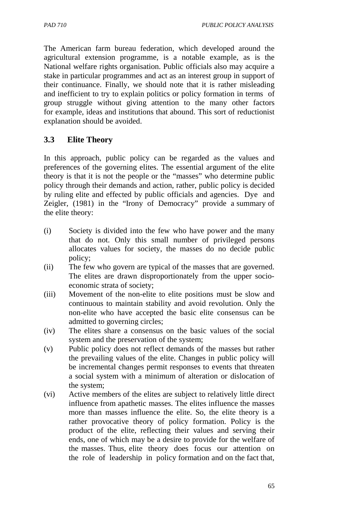The American farm bureau federation, which developed around the agricultural extension programme, is a notable example, as is the National welfare rights organisation. Public officials also may acquire a stake in particular programmes and act as an interest group in support of their continuance. Finally, we should note that it is rather misleading and inefficient to try to explain politics or policy formation in terms of group struggle without giving attention to the many other factors for example, ideas and institutions that abound. This sort of reductionist explanation should be avoided.

# **3.3 Elite Theory**

In this approach, public policy can be regarded as the values and preferences of the governing elites. The essential argument of the elite theory is that it is not the people or the "masses" who determine public policy through their demands and action, rather, public policy is decided by ruling elite and effected by public officials and agencies. Dye and Zeigler, (1981) in the "Irony of Democracy" provide a summary of the elite theory:

- (i) Society is divided into the few who have power and the many that do not. Only this small number of privileged persons allocates values for society, the masses do no decide public policy;
- (ii) The few who govern are typical of the masses that are governed. The elites are drawn disproportionately from the upper socioeconomic strata of society;
- (iii) Movement of the non-elite to elite positions must be slow and continuous to maintain stability and avoid revolution. Only the non-elite who have accepted the basic elite consensus can be admitted to governing circles;
- (iv) The elites share a consensus on the basic values of the social system and the preservation of the system;
- (v) Public policy does not reflect demands of the masses but rather the prevailing values of the elite. Changes in public policy will be incremental changes permit responses to events that threaten a social system with a minimum of alteration or dislocation of the system;
- (vi) Active members of the elites are subject to relatively little direct influence from apathetic masses. The elites influence the masses more than masses influence the elite. So, the elite theory is a rather provocative theory of policy formation. Policy is the product of the elite, reflecting their values and serving their ends, one of which may be a desire to provide for the welfare of the masses. Thus, elite theory does focus our attention on the role of leadership in policy formation and on the fact that,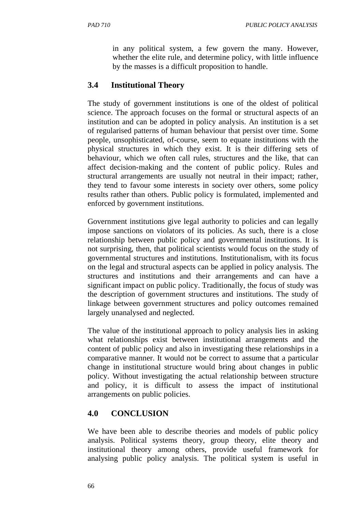in any political system, a few govern the many. However, whether the elite rule, and determine policy, with little influence by the masses is a difficult proposition to handle.

# **3.4 Institutional Theory**

The study of government institutions is one of the oldest of political science. The approach focuses on the formal or structural aspects of an institution and can be adopted in policy analysis. An institution is a set of regularised patterns of human behaviour that persist over time. Some people, unsophisticated, of-course, seem to equate institutions with the physical structures in which they exist. It is their differing sets of behaviour, which we often call rules, structures and the like, that can affect decision-making and the content of public policy. Rules and structural arrangements are usually not neutral in their impact; rather, they tend to favour some interests in society over others, some policy results rather than others. Public policy is formulated, implemented and enforced by government institutions.

Government institutions give legal authority to policies and can legally impose sanctions on violators of its policies. As such, there is a close relationship between public policy and governmental institutions. It is not surprising, then, that political scientists would focus on the study of governmental structures and institutions. Institutionalism, with its focus on the legal and structural aspects can be applied in policy analysis. The structures and institutions and their arrangements and can have a significant impact on public policy. Traditionally, the focus of study was the description of government structures and institutions. The study of linkage between government structures and policy outcomes remained largely unanalysed and neglected.

The value of the institutional approach to policy analysis lies in asking what relationships exist between institutional arrangements and the content of public policy and also in investigating these relationships in a comparative manner. It would not be correct to assume that a particular change in institutional structure would bring about changes in public policy. Without investigating the actual relationship between structure and policy, it is difficult to assess the impact of institutional arrangements on public policies.

# **4.0 CONCLUSION**

We have been able to describe theories and models of public policy analysis. Political systems theory, group theory, elite theory and institutional theory among others, provide useful framework for analysing public policy analysis. The political system is useful in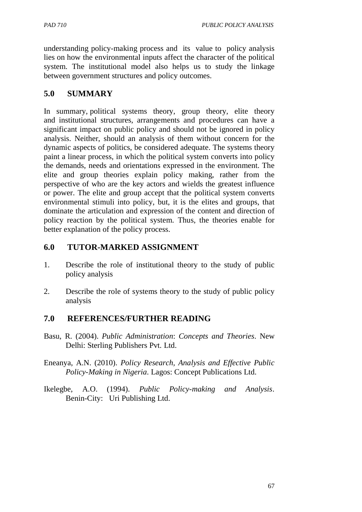understanding policy-making process and its value to policy analysis lies on how the environmental inputs affect the character of the political system. The institutional model also helps us to study the linkage between government structures and policy outcomes.

# **5.0 SUMMARY**

In summary, political systems theory, group theory, elite theory and institutional structures, arrangements and procedures can have a significant impact on public policy and should not be ignored in policy analysis. Neither, should an analysis of them without concern for the dynamic aspects of politics, be considered adequate. The systems theory paint a linear process, in which the political system converts into policy the demands, needs and orientations expressed in the environment. The elite and group theories explain policy making, rather from the perspective of who are the key actors and wields the greatest influence or power. The elite and group accept that the political system converts environmental stimuli into policy, but, it is the elites and groups, that dominate the articulation and expression of the content and direction of policy reaction by the political system. Thus, the theories enable for better explanation of the policy process.

# **6.0 TUTOR-MARKED ASSIGNMENT**

- 1. Describe the role of institutional theory to the study of public policy analysis
- 2. Describe the role of systems theory to the study of public policy analysis

# **7.0 REFERENCES/FURTHER READING**

- Basu, R. (2004). *Public Administration*: *Concepts and Theories*. New Delhi: Sterling Publishers Pvt. Ltd.
- Eneanya, A.N. (2010). *Policy Research, Analysis and Effective Public Policy-Making in Nigeria*. Lagos: Concept Publications Ltd.
- Ikelegbe, A.O. (1994). *Public Policy-making and Analysis*. Benin-City: Uri Publishing Ltd.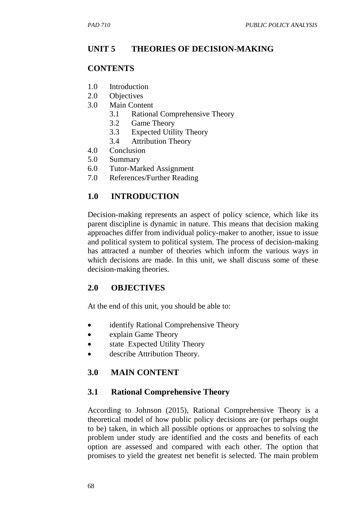## **UNIT 5 THEORIES OF DECISION-MAKING**

### **CONTENTS**

- 1.0 Introduction
- 2.0 Objectives
- 3.0 Main Content
	- 3.1 Rational Comprehensive Theory
	- 3.2 Game Theory
	- 3.3 Expected Utility Theory
	- 3.4 Attribution Theory
- 4.0 Conclusion
- 5.0 Summary
- 6.0 Tutor-Marked Assignment
- 7.0 References/Further Reading

### **1.0 INTRODUCTION**

Decision-making represents an aspect of policy science, which like its parent discipline is dynamic in nature. This means that decision making approaches differ from individual policy-maker to another, issue to issue and political system to political system. The process of decision-making has attracted a number of theories which inform the various ways in which decisions are made. In this unit, we shall discuss some of these decision-making theories.

### **2.0 OBJECTIVES**

At the end of this unit, you should be able to:

- identify Rational Comprehensive Theory
- explain Game Theory
- state Expected Utility Theory
- describe Attribution Theory.

# **3.0 MAIN CONTENT**

### **3.1 Rational Comprehensive Theory**

According to Johnson (2015), Rational Comprehensive Theory is a theoretical model of how public policy decisions are (or perhaps ought to be) taken, in which all possible options or approaches to solving the problem under study are identified and the costs and benefits of each option are assessed and compared with each other. The option that promises to yield the greatest net benefit is selected. The main problem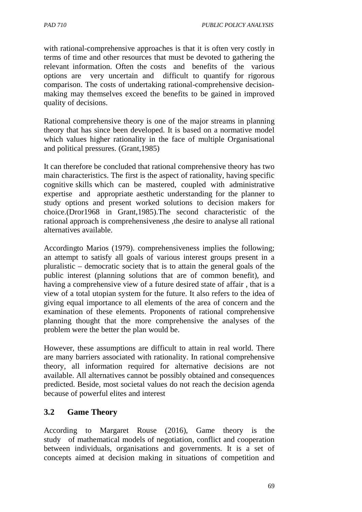with rational-comprehensive approaches is that it is often very costly in terms of time and other resources that must be devoted to gathering the relevant information. Often the costs and benefits of the various options are very uncertain and difficult to quantify for rigorous comparison. The costs of undertaking rational-comprehensive decisionmaking may themselves exceed the benefits to be gained in improved quality of decisions.

Rational comprehensive theory is one of the major streams in planning theory that has since been developed. It is based on a normative model which values higher rationality in the face of multiple Organisational and political pressures. (Grant,1985)

It can therefore be concluded that rational comprehensive theory has two main characteristics. The first is the aspect of rationality, having specific cognitive skills which can be mastered, coupled with administrative expertise and appropriate aesthetic understanding for the planner to study options and present worked solutions to decision makers for choice.(Dror1968 in Grant,1985).The second characteristic of the rational approach is comprehensiveness ,the desire to analyse all rational alternatives available.

Accordingto Marios (1979). comprehensiveness implies the following; an attempt to satisfy all goals of various interest groups present in a pluralistic – democratic society that is to attain the general goals of the public interest (planning solutions that are of common benefit), and having a comprehensive view of a future desired state of affair , that is a view of a total utopian system for the future. It also refers to the idea of giving equal importance to all elements of the area of concern and the examination of these elements. Proponents of rational comprehensive planning thought that the more comprehensive the analyses of the problem were the better the plan would be.

However, these assumptions are difficult to attain in real world. There are many barriers associated with rationality. In rational comprehensive theory, all information required for alternative decisions are not available. All alternatives cannot be possibly obtained and consequences predicted. Beside, most societal values do not reach the decision agenda because of powerful elites and interest

# **3.2 Game Theory**

According to Margaret Rouse (2016), Game theory is the study of mathematical models of negotiation, conflict and cooperation between individuals, organisations and governments. It is a set of concepts aimed at decision making in situations of competition and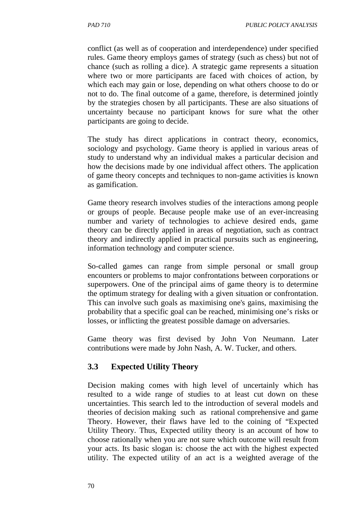conflict (as well as of cooperation and interdependence) under specified rules. Game theory employs games of strategy (such as chess) but not of chance (such as rolling a dice). A strategic game represents a situation where two or more participants are faced with choices of action, by which each may gain or lose, depending on what others choose to do or not to do. The final outcome of a game, therefore, is determined jointly by the strategies chosen by all participants. These are also situations of uncertainty because no participant knows for sure what the other participants are going to decide.

The study has direct applications in contract theory, economics, sociology and psychology. Game theory is applied in various areas of study to understand why an individual makes a particular decision and how the decisions made by one individual affect others. The application of game theory concepts and techniques to non-game activities is known as gamification.

Game theory research involves studies of the interactions among people or groups of people. Because people make use of an ever-increasing number and variety of technologies to achieve desired ends, game theory can be directly applied in areas of negotiation, such as contract theory and indirectly applied in practical pursuits such as engineering, information technology and computer science.

So-called games can range from simple personal or small group encounters or problems to major confrontations between corporations or superpowers. One of the principal aims of game theory is to determine the optimum strategy for dealing with a given situation or confrontation. This can involve such goals as maximising one's gains, maximising the probability that a specific goal can be reached, minimising one's risks or losses, or inflicting the greatest possible damage on adversaries.

Game theory was first devised by John Von Neumann. Later contributions were made by John Nash, A. W. Tucker, and others.

# **3.3 Expected Utility Theory**

Decision making comes with high level of uncertainly which has resulted to a wide range of studies to at least cut down on these uncertainties. This search led to the introduction of several models and theories of decision making such as rational comprehensive and game Theory. However, their flaws have led to the coining of "Expected Utility Theory. Thus, Expected utility theory is an account of how to choose rationally when you are not sure which outcome will result from your acts. Its basic slogan is: choose the act with the highest expected utility. The expected utility of an act is a weighted average of the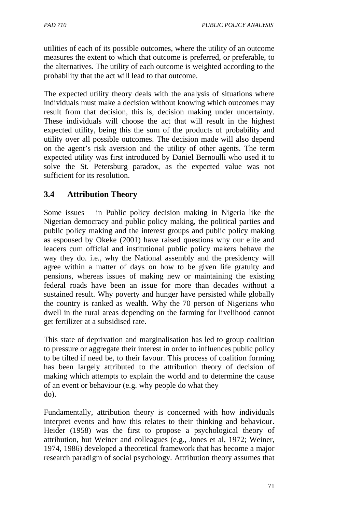utilities of each of its possible outcomes, where the utility of an outcome measures the extent to which that outcome is preferred, or preferable, to the alternatives. The utility of each outcome is weighted according to the probability that the act will lead to that outcome.

The expected utility theory deals with the analysis of situations where individuals must make a decision without knowing which outcomes may result from that decision, this is, decision making under uncertainty. These individuals will choose the act that will result in the highest expected utility, being this the sum of the products of probability and utility over all possible outcomes. The decision made will also depend on the agent's risk aversion and the utility of other agents. The term expected utility was first introduced by Daniel Bernoulli who used it to solve the St. Petersburg paradox, as the expected value was not sufficient for its resolution.

# **3.4 Attribution Theory**

Some issues in Public policy decision making in Nigeria like the Nigerian democracy and public policy making, the political parties and public policy making and the interest groups and public policy making as espoused by Okeke (2001) have raised questions why our elite and leaders cum official and institutional public policy makers behave the way they do. i.e., why the National assembly and the presidency will agree within a matter of days on how to be given life gratuity and pensions, whereas issues of making new or maintaining the existing federal roads have been an issue for more than decades without a sustained result. Why poverty and hunger have persisted while globally the country is ranked as wealth. Why the 70 person of Nigerians who dwell in the rural areas depending on the farming for livelihood cannot get fertilizer at a subsidised rate.

This state of deprivation and marginalisation has led to group coalition to pressure or aggregate their interest in order to influences public policy to be tilted if need be, to their favour. This process of coalition forming has been largely attributed to the attribution theory of decision of making which attempts to explain the world and to determine the cause of an event or behaviour (e.g. why people do what they do).

Fundamentally, attribution theory is concerned with how individuals interpret events and how this relates to their thinking and behaviour. Heider (1958) was the first to propose a psychological theory of attribution, but Weiner and colleagues (e.g., Jones et al, 1972; Weiner, 1974, 1986) developed a theoretical framework that has become a major research paradigm of social psychology. Attribution theory assumes that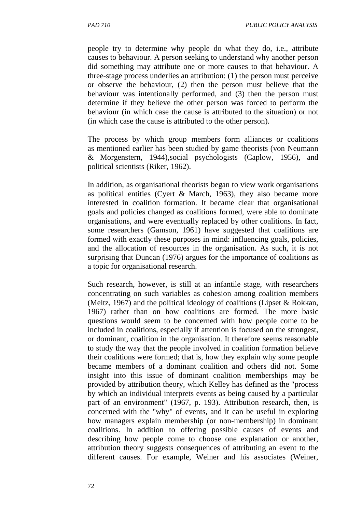people try to determine why people do what they do, i.e., attribute causes to behaviour. A person seeking to understand why another person did something may attribute one or more causes to that behaviour. A three-stage process underlies an attribution: (1) the person must perceive or observe the behaviour, (2) then the person must believe that the behaviour was intentionally performed, and (3) then the person must determine if they believe the other person was forced to perform the behaviour (in which case the cause is attributed to the situation) or not (in which case the cause is attributed to the other person).

The process by which group members form alliances or coalitions as mentioned earlier has been studied by game theorists (von Neumann & Morgenstern, 1944),social psychologists (Caplow, 1956), and political scientists (Riker, 1962).

In addition, as organisational theorists began to view work organisations as political entities (Cyert & March, 1963), they also became more interested in coalition formation. It became clear that organisational goals and policies changed as coalitions formed, were able to dominate organisations, and were eventually replaced by other coalitions. In fact, some researchers (Gamson, 1961) have suggested that coalitions are formed with exactly these purposes in mind: influencing goals, policies, and the allocation of resources in the organisation. As such, it is not surprising that Duncan (1976) argues for the importance of coalitions as a topic for organisational research.

Such research, however, is still at an infantile stage, with researchers concentrating on such variables as cohesion among coalition members (Meltz, 1967) and the political ideology of coalitions (Lipset & Rokkan, 1967) rather than on how coalitions are formed. The more basic questions would seem to be concerned with how people come to be included in coalitions, especially if attention is focused on the strongest, or dominant, coalition in the organisation. It therefore seems reasonable to study the way that the people involved in coalition formation believe their coalitions were formed; that is, how they explain why some people became members of a dominant coalition and others did not. Some insight into this issue of dominant coalition memberships may be provided by attribution theory, which Kelley has defined as the "process by which an individual interprets events as being caused by a particular part of an environment" (1967, p. 193). Attribution research, then, is concerned with the "why" of events, and it can be useful in exploring how managers explain membership (or non-membership) in dominant coalitions. In addition to offering possible causes of events and describing how people come to choose one explanation or another, attribution theory suggests consequences of attributing an event to the different causes. For example, Weiner and his associates (Weiner,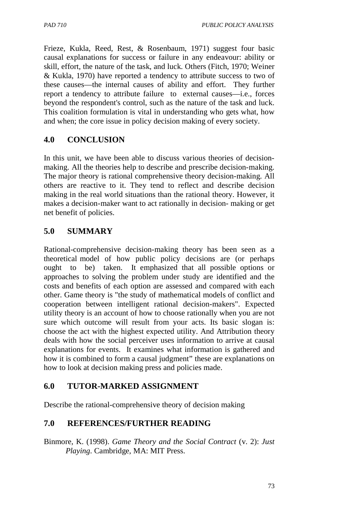Frieze, Kukla, Reed, Rest, & Rosenbaum, 1971) suggest four basic causal explanations for success or failure in any endeavour: ability or skill, effort, the nature of the task, and luck. Others (Fitch, 1970; Weiner & Kukla, 1970) have reported a tendency to attribute success to two of these causes—the internal causes of ability and effort. They further report a tendency to attribute failure to external causes—i.e., forces beyond the respondent's control, such as the nature of the task and luck. This coalition formulation is vital in understanding who gets what, how and when; the core issue in policy decision making of every society.

# **4.0 CONCLUSION**

In this unit, we have been able to discuss various theories of decisionmaking. All the theories help to describe and prescribe decision-making. The major theory is rational comprehensive theory decision-making. All others are reactive to it. They tend to reflect and describe decision making in the real world situations than the rational theory. However, it makes a decision-maker want to act rationally in decision- making or get net benefit of policies.

# **5.0 SUMMARY**

Rational-comprehensive decision-making theory has been seen as a theoretical model of how public policy decisions are (or perhaps ought to be) taken. It emphasized that all possible options or approaches to solving the problem under study are identified and the costs and benefits of each option are assessed and compared with each other. Game theory is "the study of mathematical models of conflict and cooperation between intelligent rational decision-makers". Expected utility theory is an account of how to choose rationally when you are not sure which outcome will result from your acts. Its basic slogan is: choose the act with the highest expected utility. And Attribution theory deals with how the social perceiver uses information to arrive at causal explanations for events. It examines what information is gathered and how it is combined to form a causal judgment" these are explanations on how to look at decision making press and policies made.

# **6.0 TUTOR-MARKED ASSIGNMENT**

Describe the rational-comprehensive theory of decision making

# **7.0 REFERENCES/FURTHER READING**

Binmore, K. (1998). *Game Theory and the Social Contract* (v. 2): *Just Playing*. Cambridge, MA: MIT Press.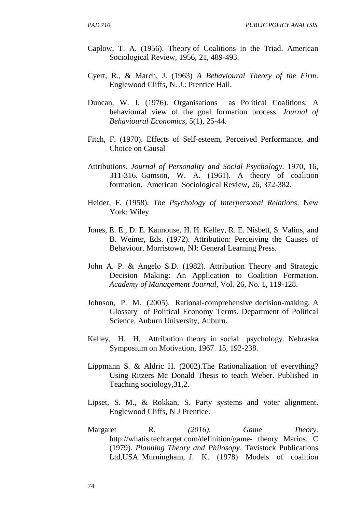- Caplow, T. A. (1956). Theory of Coalitions in the Triad. American Sociological Review, 1956, 21, 489-493.
- Cyert, R., & March, J. (1963) *A Behavioural Theory of the Firm*. Englewood Cliffs, N. J.: Prentice Hall.
- Duncan, W. J. (1976). Organisations as Political Coalitions: A behavioural view of the goal formation process. *Journal of Behavioural Economics*, 5(1), 25-44.
- Fitch, F. (1970). Effects of Self-esteem, Perceived Performance, and Choice on Causal
- Attributions. *Journal of Personality and Social Psychology*. 1970, 16, 311-316. Gamson, W. A. (1961). A theory of coalition formation. American Sociological Review, 26, 372-382.
- Heider, F. (1958). *The Psychology of Interpersonal Relations*. New York: Wiley.
- Jones, E. E., D. E. Kannouse, H. H. Kelley, R. E. Nisbett, S. Valins, and B. Weiner, Eds. (1972). Attribution: Perceiving the Causes of Behaviour. Morristown, NJ: General Learning Press.
- John A. P. & Angelo S.D. (1982). Attribution Theory and Strategic Decision Making: An Application to Coalition Formation. *Academy of Management Journal*, Vol. 26, No. 1, 119-128.
- Johnson, P. M. (2005). Rational-comprehensive decision-making. A Glossary of Political Economy Terms. Department of Political Science, Auburn University, Auburn.
- Kelley, H. H. Attribution theory in social psychology. Nebraska Symposium on Motivation, 1967. 15, 192-238.
- Lippmann S. & Aldric H. (2002).The Rationalization of everything? Using Ritzers Mc Donald Thesis to teach Weber. Published in Teaching sociology,31,2.
- Lipset, S. M., & Rokkan, S. Party systems and voter alignment. Englewood Cliffs, N J Prentice.
- Margaret R. *(2016). Game Theory.*  http://whatis.techtarget.com/definition/game- theory Marios, C (1979). *Planning Theory and Philosopy*. Tavistock Publications Ltd,USA Murningham, J. K. (1978) Models of coalition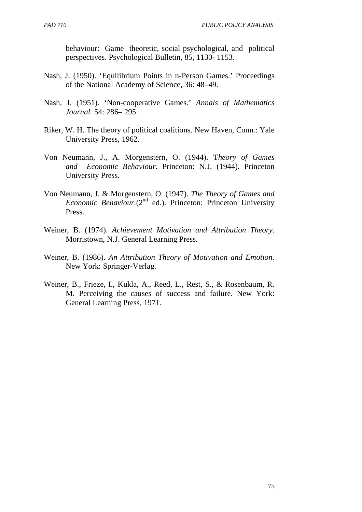behaviour: Game theoretic, social psychological, and political perspectives. Psychological Bulletin, 85, 1130- 1153.

- Nash, J. (1950). 'Equilibrium Points in n-Person Games.' Proceedings of the National Academy of Science, 36: 48–49.
- Nash, J. (1951). 'Non-cooperative Games.' *Annals of Mathematics Journal.* 54: 286– 295.
- Riker, W. H. The theory of political coalitions. New Haven, Conn.: Yale University Press, 1962.
- Von Neumann, J., A. Morgenstern, O. (1944). T*heory of Games and Economic Behaviour.* Princeton: N.J. (1944). Princeton University Press.
- Von Neumann, J. & Morgenstern, O. (1947). *The Theory of Games and Economic Behaviour.*(2<sup>nd</sup> ed.). Princeton: Princeton University Press.
- Weiner, B. (1974). *Achievement Motivation and Attribution Theory*. Morristown, N.J. General Learning Press.
- Weiner, B. (1986). *An Attribution Theory of Motivation and Emotion*. New York: Springer-Verlag.
- Weiner, B., Frieze, I., Kukla, A., Reed, L., Rest, S., & Rosenbaum, R. M. Perceiving the causes of success and failure. New York: General Learning Press, 1971.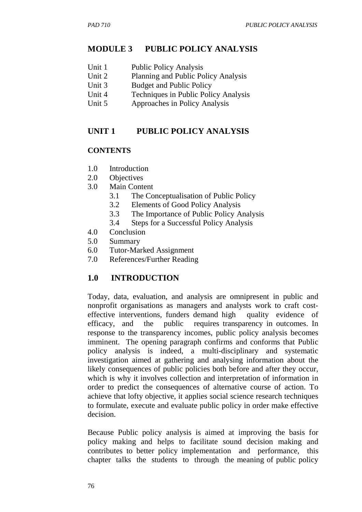### **MODULE 3 PUBLIC POLICY ANALYSIS**

- Unit 1 Public Policy Analysis
- Unit 2 Planning and Public Policy Analysis
- Unit 3 Budget and Public Policy
- Unit 4 Techniques in Public Policy Analysis
- Unit 5 Approaches in Policy Analysis

### **UNIT 1 PUBLIC POLICY ANALYSIS**

### **CONTENTS**

- 1.0 Introduction
- 2.0 Objectives
- 3.0 Main Content
	- 3.1 The Conceptualisation of Public Policy
	- 3.2 Elements of Good Policy Analysis
	- 3.3 The Importance of Public Policy Analysis
	- 3.4 Steps for a Successful Policy Analysis
- 4.0 Conclusion
- 5.0 Summary
- 6.0 Tutor-Marked Assignment
- 7.0 References/Further Reading

### **1.0 INTRODUCTION**

Today, data, evaluation, and analysis are omnipresent in public and nonprofit organisations as managers and analysts work to craft costeffective interventions, funders demand high quality evidence of efficacy, and the public requires transparency in outcomes. In response to the transparency incomes, public policy analysis becomes imminent. The opening paragraph confirms and conforms that Public policy analysis is indeed, a multi-disciplinary and systematic investigation aimed at gathering and analysing information about the likely consequences of public policies both before and after they occur, which is why it involves collection and interpretation of information in order to predict the consequences of alternative course of action. To achieve that lofty objective, it applies social science research techniques to formulate, execute and evaluate public policy in order make effective decision.

Because Public policy analysis is aimed at improving the basis for policy making and helps to facilitate sound decision making and contributes to better policy implementation and performance, this chapter talks the students to through the meaning of public policy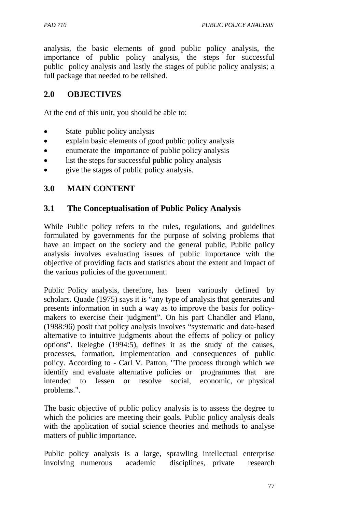analysis, the basic elements of good public policy analysis, the importance of public policy analysis, the steps for successful public policy analysis and lastly the stages of public policy analysis; a full package that needed to be relished.

### **2.0 OBJECTIVES**

At the end of this unit, you should be able to:

- State public policy analysis
- explain basic elements of good public policy analysis
- enumerate the importance of public policy analysis
- list the steps for successful public policy analysis
- give the stages of public policy analysis.

### **3.0 MAIN CONTENT**

### **3.1 The Conceptualisation of Public Policy Analysis**

While Public policy refers to the rules, regulations, and guidelines formulated by governments for the purpose of solving problems that have an impact on the society and the general public, Public policy analysis involves evaluating issues of public importance with the objective of providing facts and statistics about the extent and impact of the various policies of the government.

Public Policy analysis, therefore, has been variously defined by scholars. Quade (1975) says it is "any type of analysis that generates and presents information in such a way as to improve the basis for policymakers to exercise their judgment". On his part Chandler and Plano, (1988:96) posit that policy analysis involves "systematic and data-based alternative to intuitive judgments about the effects of policy or policy options". Ikelegbe (1994:5), defines it as the study of the causes, processes, formation, implementation and consequences of public policy. According to - Carl V. Patton, "The process through which we identify and evaluate alternative policies or programmes that are intended to lessen or resolve social, economic, or physical problems.".

The basic objective of public policy analysis is to assess the degree to which the policies are meeting their goals. Public policy analysis deals with the application of social science theories and methods to analyse matters of public importance.

Public policy analysis is a large, sprawling intellectual enterprise involving numerous academic disciplines, private research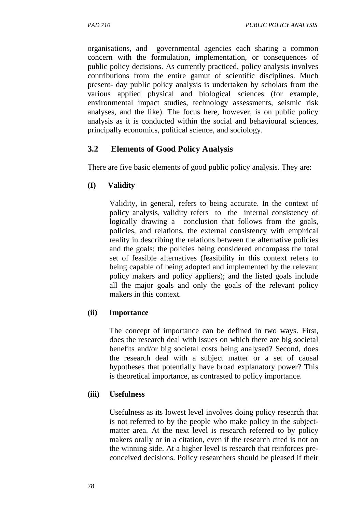organisations, and governmental agencies each sharing a common concern with the formulation, implementation, or consequences of public policy decisions. As currently practiced, policy analysis involves contributions from the entire gamut of scientific disciplines. Much present- day public policy analysis is undertaken by scholars from the various applied physical and biological sciences (for example, environmental impact studies, technology assessments, seismic risk analyses, and the like). The focus here, however, is on public policy analysis as it is conducted within the social and behavioural sciences, principally economics, political science, and sociology.

# **3.2 Elements of Good Policy Analysis**

There are five basic elements of good public policy analysis. They are:

# **(I) Validity**

Validity, in general, refers to being accurate. In the context of policy analysis, validity refers to the internal consistency of logically drawing a conclusion that follows from the goals, policies, and relations, the external consistency with empirical reality in describing the relations between the alternative policies and the goals; the policies being considered encompass the total set of feasible alternatives (feasibility in this context refers to being capable of being adopted and implemented by the relevant policy makers and policy appliers); and the listed goals include all the major goals and only the goals of the relevant policy makers in this context.

### **(ii) Importance**

The concept of importance can be defined in two ways. First, does the research deal with issues on which there are big societal benefits and/or big societal costs being analysed? Second, does the research deal with a subject matter or a set of causal hypotheses that potentially have broad explanatory power? This is theoretical importance, as contrasted to policy importance.

# **(iii) Usefulness**

Usefulness as its lowest level involves doing policy research that is not referred to by the people who make policy in the subjectmatter area. At the next level is research referred to by policy makers orally or in a citation, even if the research cited is not on the winning side. At a higher level is research that reinforces preconceived decisions. Policy researchers should be pleased if their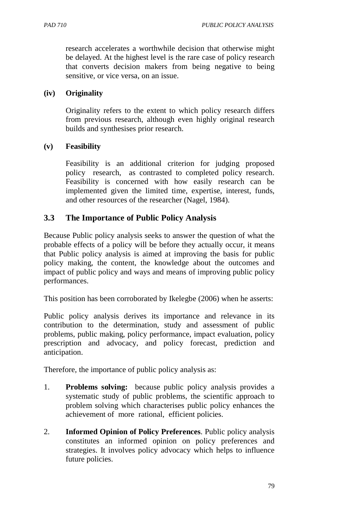research accelerates a worthwhile decision that otherwise might be delayed. At the highest level is the rare case of policy research that converts decision makers from being negative to being sensitive, or vice versa, on an issue.

### **(iv) Originality**

Originality refers to the extent to which policy research differs from previous research, although even highly original research builds and synthesises prior research.

### **(v) Feasibility**

Feasibility is an additional criterion for judging proposed policy research, as contrasted to completed policy research. Feasibility is concerned with how easily research can be implemented given the limited time, expertise, interest, funds, and other resources of the researcher (Nagel, 1984).

# **3.3 The Importance of Public Policy Analysis**

Because Public policy analysis seeks to answer the question of what the probable effects of a policy will be before they actually occur, it means that Public policy analysis is aimed at improving the basis for public policy making, the content, the knowledge about the outcomes and impact of public policy and ways and means of improving public policy performances.

This position has been corroborated by Ikelegbe (2006) when he asserts:

Public policy analysis derives its importance and relevance in its contribution to the determination, study and assessment of public problems, public making, policy performance, impact evaluation, policy prescription and advocacy, and policy forecast, prediction and anticipation.

Therefore, the importance of public policy analysis as:

- 1. **Problems solving:** because public policy analysis provides a systematic study of public problems, the scientific approach to problem solving which characterises public policy enhances the achievement of more rational, efficient policies.
- 2. **Informed Opinion of Policy Preferences**. Public policy analysis constitutes an informed opinion on policy preferences and strategies. It involves policy advocacy which helps to influence future policies.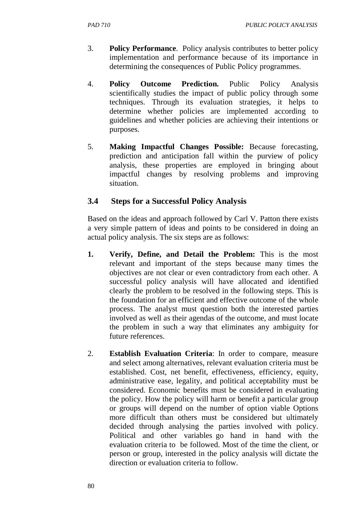- 3. **Policy Performance**. Policy analysis contributes to better policy implementation and performance because of its importance in determining the consequences of Public Policy programmes.
- 4. **Policy Outcome Prediction.** Public Policy Analysis scientifically studies the impact of public policy through some techniques. Through its evaluation strategies, it helps to determine whether policies are implemented according to guidelines and whether policies are achieving their intentions or purposes.
- 5. **Making Impactful Changes Possible:** Because forecasting, prediction and anticipation fall within the purview of policy analysis, these properties are employed in bringing about impactful changes by resolving problems and improving situation.

# **3.4 Steps for a Successful Policy Analysis**

Based on the ideas and approach followed by Carl V. Patton there exists a very simple pattern of ideas and points to be considered in doing an actual policy analysis. The six steps are as follows:

- **1. Verify, Define, and Detail the Problem:** This is the most relevant and important of the steps because many times the objectives are not clear or even contradictory from each other. A successful policy analysis will have allocated and identified clearly the problem to be resolved in the following steps. This is the foundation for an efficient and effective outcome of the whole process. The analyst must question both the interested parties involved as well as their agendas of the outcome, and must locate the problem in such a way that eliminates any ambiguity for future references.
- 2. **Establish Evaluation Criteria**: In order to compare, measure and select among alternatives, relevant evaluation criteria must be established. Cost, net benefit, effectiveness, efficiency, equity, administrative ease, legality, and political acceptability must be considered. Economic benefits must be considered in evaluating the policy. How the policy will harm or benefit a particular group or groups will depend on the number of option viable Options more difficult than others must be considered but ultimately decided through analysing the parties involved with policy. Political and other variables go hand in hand with the evaluation criteria to be followed. Most of the time the client, or person or group, interested in the policy analysis will dictate the direction or evaluation criteria to follow.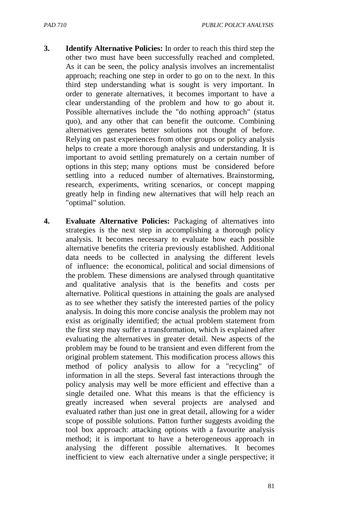- **3. Identify Alternative Policies:** In order to reach this third step the other two must have been successfully reached and completed. As it can be seen, the policy analysis involves an incrementalist approach; reaching one step in order to go on to the next. In this third step understanding what is sought is very important. In order to generate alternatives, it becomes important to have a clear understanding of the problem and how to go about it. Possible alternatives include the "do nothing approach" (status quo), and any other that can benefit the outcome. Combining alternatives generates better solutions not thought of before. Relying on past experiences from other groups or policy analysis helps to create a more thorough analysis and understanding. It is important to avoid settling prematurely on a certain number of options in this step; many options must be considered before settling into a reduced number of alternatives. Brainstorming, research, experiments, writing scenarios, or concept mapping greatly help in finding new alternatives that will help reach an "optimal" solution.
- **4. Evaluate Alternative Policies:** Packaging of alternatives into strategies is the next step in accomplishing a thorough policy analysis. It becomes necessary to evaluate how each possible alternative benefits the criteria previously established. Additional data needs to be collected in analysing the different levels of influence: the economical, political and social dimensions of the problem. These dimensions are analysed through quantitative and qualitative analysis that is the benefits and costs per alternative. Political questions in attaining the goals are analysed as to see whether they satisfy the interested parties of the policy analysis. In doing this more concise analysis the problem may not exist as originally identified; the actual problem statement from the first step may suffer a transformation, which is explained after evaluating the alternatives in greater detail. New aspects of the problem may be found to be transient and even different from the original problem statement. This modification process allows this method of policy analysis to allow for a "recycling" of information in all the steps. Several fast interactions through the policy analysis may well be more efficient and effective than a single detailed one. What this means is that the efficiency is greatly increased when several projects are analysed and evaluated rather than just one in great detail, allowing for a wider scope of possible solutions. Patton further suggests avoiding the tool box approach: attacking options with a favourite analysis method; it is important to have a heterogeneous approach in analysing the different possible alternatives. It becomes inefficient to view each alternative under a single perspective; it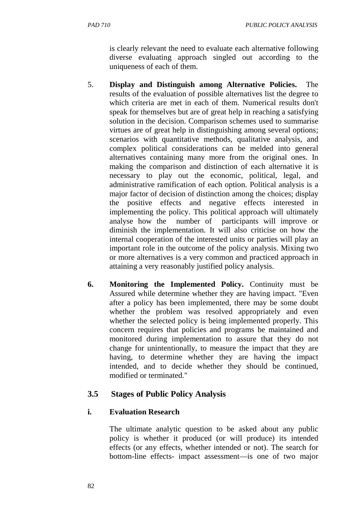- 5. **Display and Distinguish among Alternative Policies.** The results of the evaluation of possible alternatives list the degree to which criteria are met in each of them. Numerical results don't speak for themselves but are of great help in reaching a satisfying solution in the decision. Comparison schemes used to summarise virtues are of great help in distinguishing among several options; scenarios with quantitative methods, qualitative analysis, and complex political considerations can be melded into general alternatives containing many more from the original ones. In making the comparison and distinction of each alternative it is necessary to play out the economic, political, legal, and administrative ramification of each option. Political analysis is a major factor of decision of distinction among the choices; display the positive effects and negative effects interested in implementing the policy. This political approach will ultimately analyse how the number of participants will improve or diminish the implementation. It will also criticise on how the internal cooperation of the interested units or parties will play an important role in the outcome of the policy analysis. Mixing two or more alternatives is a very common and practiced approach in attaining a very reasonably justified policy analysis.
- **6. Monitoring the Implemented Policy.** Continuity must be Assured while determine whether they are having impact. "Even after a policy has been implemented, there may be some doubt whether the problem was resolved appropriately and even whether the selected policy is being implemented properly. This concern requires that policies and programs be maintained and monitored during implementation to assure that they do not change for unintentionally, to measure the impact that they are having, to determine whether they are having the impact intended, and to decide whether they should be continued, modified or terminated."

# **3.5 Stages of Public Policy Analysis**

# **i. Evaluation Research**

The ultimate analytic question to be asked about any public policy is whether it produced (or will produce) its intended effects (or any effects, whether intended or not). The search for bottom-line effects- impact assessment—is one of two major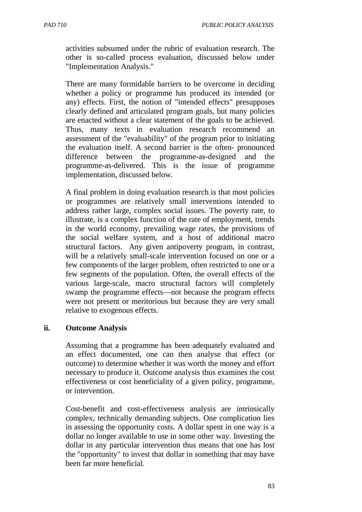activities subsumed under the rubric of evaluation research. The other is so-called process evaluation, discussed below under "Implementation Analysis."

There are many formidable barriers to be overcome in deciding whether a policy or programme has produced its intended (or any) effects. First, the notion of "intended effects" presupposes clearly defined and articulated program goals, but many policies are enacted without a clear statement of the goals to be achieved. Thus, many texts in evaluation research recommend an assessment of the "evaluability" of the program prior to initiating the evaluation itself. A second barrier is the often- pronounced difference between the programme-as-designed and the programme-as-delivered. This is the issue of programme implementation, discussed below.

A final problem in doing evaluation research is that most policies or programmes are relatively small interventions intended to address rather large, complex social issues. The poverty rate, to illustrate, is a complex function of the rate of employment, trends in the world economy, prevailing wage rates, the provisions of the social welfare system, and a host of additional macro structural factors. Any given antipoverty program, in contrast, will be a relatively small-scale intervention focused on one or a few components of the larger problem, often restricted to one or a few segments of the population. Often, the overall effects of the various large-scale, macro structural factors will completely swamp the programme effects—not because the program effects were not present or meritorious but because they are very small relative to exogenous effects.

#### **ii. Outcome Analysis**

Assuming that a programme has been adequately evaluated and an effect documented, one can then analyse that effect (or outcome) to determine whether it was worth the money and effort necessary to produce it. Outcome analysis thus examines the cost effectiveness or cost beneficiality of a given policy, programme, or intervention.

Cost-benefit and cost-effectiveness analysis are intrinsically complex, technically demanding subjects. One complication lies in assessing the opportunity costs. A dollar spent in one way is a dollar no longer available to use in some other way. Investing the dollar in any particular intervention thus means that one has lost the "opportunity" to invest that dollar in something that may have been far more beneficial.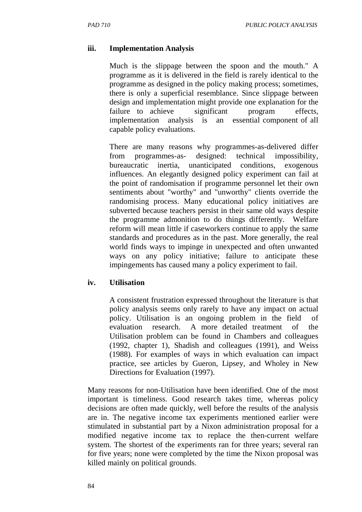#### **iii. Implementation Analysis**

Much is the slippage between the spoon and the mouth." A programme as it is delivered in the field is rarely identical to the programme as designed in the policy making process; sometimes, there is only a superficial resemblance. Since slippage between design and implementation might provide one explanation for the failure to achieve significant program effects, implementation analysis is an essential component of all capable policy evaluations.

There are many reasons why programmes-as-delivered differ from programmes-as- designed: technical impossibility, bureaucratic inertia, unanticipated conditions, exogenous influences. An elegantly designed policy experiment can fail at the point of randomisation if programme personnel let their own sentiments about "worthy" and "unworthy" clients override the randomising process. Many educational policy initiatives are subverted because teachers persist in their same old ways despite the programme admonition to do things differently. Welfare reform will mean little if caseworkers continue to apply the same standards and procedures as in the past. More generally, the real world finds ways to impinge in unexpected and often unwanted ways on any policy initiative; failure to anticipate these impingements has caused many a policy experiment to fail.

#### **iv. Utilisation**

A consistent frustration expressed throughout the literature is that policy analysis seems only rarely to have any impact on actual policy. Utilisation is an ongoing problem in the field of evaluation research. A more detailed treatment of the Utilisation problem can be found in Chambers and colleagues (1992, chapter 1), Shadish and colleagues (1991), and Weiss (1988). For examples of ways in which evaluation can impact practice, see articles by Gueron, Lipsey, and Wholey in New Directions for Evaluation (1997).

Many reasons for non-Utilisation have been identified. One of the most important is timeliness. Good research takes time, whereas policy decisions are often made quickly, well before the results of the analysis are in. The negative income tax experiments mentioned earlier were stimulated in substantial part by a Nixon administration proposal for a modified negative income tax to replace the then-current welfare system. The shortest of the experiments ran for three years; several ran for five years; none were completed by the time the Nixon proposal was killed mainly on political grounds.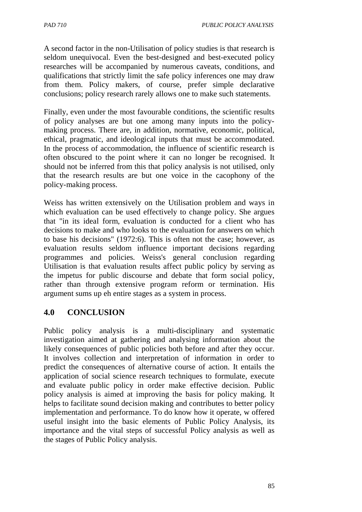A second factor in the non-Utilisation of policy studies is that research is seldom unequivocal. Even the best-designed and best-executed policy researches will be accompanied by numerous caveats, conditions, and qualifications that strictly limit the safe policy inferences one may draw from them. Policy makers, of course, prefer simple declarative conclusions; policy research rarely allows one to make such statements.

Finally, even under the most favourable conditions, the scientific results of policy analyses are but one among many inputs into the policymaking process. There are, in addition, normative, economic, political, ethical, pragmatic, and ideological inputs that must be accommodated. In the process of accommodation, the influence of scientific research is often obscured to the point where it can no longer be recognised. It should not be inferred from this that policy analysis is not utilised, only that the research results are but one voice in the cacophony of the policy-making process.

Weiss has written extensively on the Utilisation problem and ways in which evaluation can be used effectively to change policy. She argues that "in its ideal form, evaluation is conducted for a client who has decisions to make and who looks to the evaluation for answers on which to base his decisions" (1972:6). This is often not the case; however, as evaluation results seldom influence important decisions regarding programmes and policies. Weiss's general conclusion regarding Utilisation is that evaluation results affect public policy by serving as the impetus for public discourse and debate that form social policy, rather than through extensive program reform or termination. His argument sums up eh entire stages as a system in process.

### **4.0 CONCLUSION**

Public policy analysis is a multi-disciplinary and systematic investigation aimed at gathering and analysing information about the likely consequences of public policies both before and after they occur. It involves collection and interpretation of information in order to predict the consequences of alternative course of action. It entails the application of social science research techniques to formulate, execute and evaluate public policy in order make effective decision. Public policy analysis is aimed at improving the basis for policy making. It helps to facilitate sound decision making and contributes to better policy implementation and performance. To do know how it operate, w offered useful insight into the basic elements of Public Policy Analysis, its importance and the vital steps of successful Policy analysis as well as the stages of Public Policy analysis.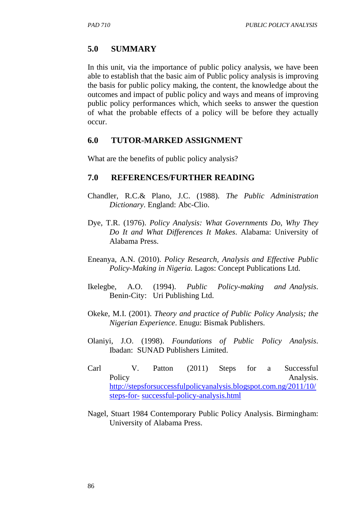### **5.0 SUMMARY**

In this unit, via the importance of public policy analysis, we have been able to establish that the basic aim of Public policy analysis is improving the basis for public policy making, the content, the knowledge about the outcomes and impact of public policy and ways and means of improving public policy performances which, which seeks to answer the question of what the probable effects of a policy will be before they actually occur.

### **6.0 TUTOR-MARKED ASSIGNMENT**

What are the benefits of public policy analysis?

# **7.0 REFERENCES/FURTHER READING**

- Chandler, R.C.& Plano, J.C. (1988). *The Public Administration Dictionary*. England: Abc-Clio.
- Dye, T.R. (1976). *Policy Analysis: What Governments Do, Why They Do It and What Differences It Makes*. Alabama: University of Alabama Press.
- Eneanya, A.N. (2010). *Policy Research, Analysis and Effective Public Policy-Making in Nigeria.* Lagos: Concept Publications Ltd.
- Ikelegbe, A.O. (1994). *Public Policy-making and Analysis*. Benin-City: Uri Publishing Ltd.
- Okeke, M.I. (2001). *Theory and practice of Public Policy Analysis; the Nigerian Experience*. Enugu: Bismak Publishers.
- Olaniyi, J.O. (1998). *Foundations of Public Policy Analysis*. Ibadan: SUNAD Publishers Limited.
- Carl V. Patton (2011) Steps for a Successful Policy Analysis. http://stepsforsuccessfulpolicyanalysis.blogspot.com.ng/2011/10/ steps-for- successful-policy-analysis.html
- Nagel, Stuart 1984 Contemporary Public Policy Analysis. Birmingham: University of Alabama Press.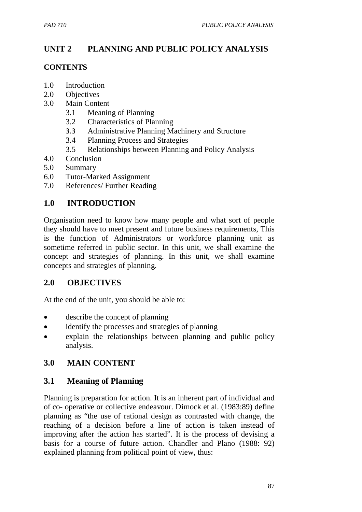# **UNIT 2 PLANNING AND PUBLIC POLICY ANALYSIS**

### **CONTENTS**

- 1.0 Introduction
- 2.0 Objectives
- 3.0 Main Content
	- 3.1 Meaning of Planning
	- 3.2 Characteristics of Planning
	- 3.3 Administrative Planning Machinery and Structure
	- 3.4 Planning Process and Strategies
	- 3.5 Relationships between Planning and Policy Analysis
- 4.0 Conclusion
- 5.0 Summary
- 6.0 Tutor-Marked Assignment
- 7.0 References/ Further Reading

# **1.0 INTRODUCTION**

Organisation need to know how many people and what sort of people they should have to meet present and future business requirements, This is the function of Administrators or workforce planning unit as sometime referred in public sector. In this unit, we shall examine the concept and strategies of planning. In this unit, we shall examine concepts and strategies of planning.

# **2.0 OBJECTIVES**

At the end of the unit, you should be able to:

- describe the concept of planning
- identify the processes and strategies of planning
- explain the relationships between planning and public policy analysis.

# **3.0 MAIN CONTENT**

# **3.1 Meaning of Planning**

Planning is preparation for action. It is an inherent part of individual and of co- operative or collective endeavour. Dimock et al. (1983:89) define planning as "the use of rational design as contrasted with change, the reaching of a decision before a line of action is taken instead of improving after the action has started". It is the process of devising a basis for a course of future action. Chandler and Plano (1988: 92) explained planning from political point of view, thus: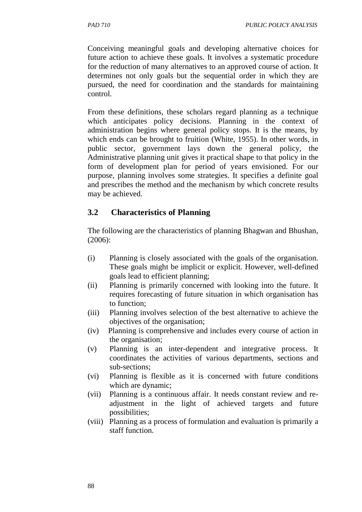Conceiving meaningful goals and developing alternative choices for future action to achieve these goals. It involves a systematic procedure for the reduction of many alternatives to an approved course of action. It determines not only goals but the sequential order in which they are pursued, the need for coordination and the standards for maintaining control.

From these definitions, these scholars regard planning as a technique which anticipates policy decisions. Planning in the context of administration begins where general policy stops. It is the means, by which ends can be brought to fruition (White, 1955). In other words, in public sector, government lays down the general policy, the Administrative planning unit gives it practical shape to that policy in the form of development plan for period of years envisioned. For our purpose, planning involves some strategies. It specifies a definite goal and prescribes the method and the mechanism by which concrete results may be achieved.

# **3.2 Characteristics of Planning**

The following are the characteristics of planning Bhagwan and Bhushan, (2006):

- (i) Planning is closely associated with the goals of the organisation. These goals might be implicit or explicit. However, well-defined goals lead to efficient planning;
- (ii) Planning is primarily concerned with looking into the future. It requires forecasting of future situation in which organisation has to function;
- (iii) Planning involves selection of the best alternative to achieve the objectives of the organisation;
- (iv) Planning is comprehensive and includes every course of action in the organisation;
- (v) Planning is an inter-dependent and integrative process. It coordinates the activities of various departments, sections and sub-sections;
- (vi) Planning is flexible as it is concerned with future conditions which are dynamic;
- (vii) Planning is a continuous affair. It needs constant review and readjustment in the light of achieved targets and future possibilities;
- (viii) Planning as a process of formulation and evaluation is primarily a staff function.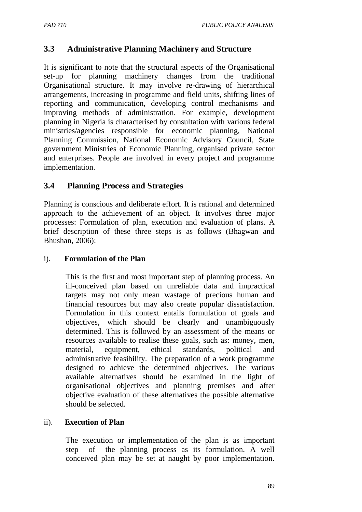# **3.3 Administrative Planning Machinery and Structure**

It is significant to note that the structural aspects of the Organisational set-up for planning machinery changes from the traditional Organisational structure. It may involve re-drawing of hierarchical arrangements, increasing in programme and field units, shifting lines of reporting and communication, developing control mechanisms and improving methods of administration. For example, development planning in Nigeria is characterised by consultation with various federal ministries/agencies responsible for economic planning, National Planning Commission, National Economic Advisory Council, State government Ministries of Economic Planning, organised private sector and enterprises. People are involved in every project and programme implementation.

### **3.4 Planning Process and Strategies**

Planning is conscious and deliberate effort. It is rational and determined approach to the achievement of an object. It involves three major processes: Formulation of plan, execution and evaluation of plans. A brief description of these three steps is as follows (Bhagwan and Bhushan, 2006):

### i). **Formulation of the Plan**

This is the first and most important step of planning process. An ill-conceived plan based on unreliable data and impractical targets may not only mean wastage of precious human and financial resources but may also create popular dissatisfaction. Formulation in this context entails formulation of goals and objectives, which should be clearly and unambiguously determined. This is followed by an assessment of the means or resources available to realise these goals, such as: money, men, material, equipment, ethical standards, political and administrative feasibility. The preparation of a work programme designed to achieve the determined objectives. The various available alternatives should be examined in the light of organisational objectives and planning premises and after objective evaluation of these alternatives the possible alternative should be selected.

### ii). **Execution of Plan**

The execution or implementation of the plan is as important step of the planning process as its formulation. A well conceived plan may be set at naught by poor implementation.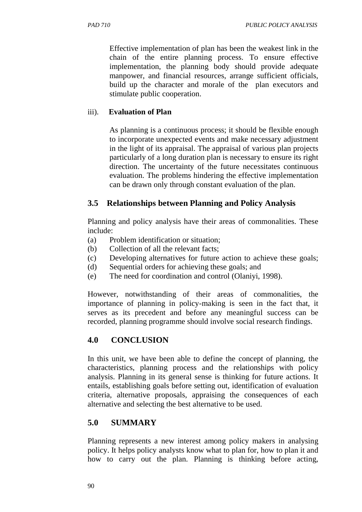Effective implementation of plan has been the weakest link in the chain of the entire planning process. To ensure effective implementation, the planning body should provide adequate manpower, and financial resources, arrange sufficient officials, build up the character and morale of the plan executors and stimulate public cooperation.

### iii). **Evaluation of Plan**

As planning is a continuous process; it should be flexible enough to incorporate unexpected events and make necessary adjustment in the light of its appraisal. The appraisal of various plan projects particularly of a long duration plan is necessary to ensure its right direction. The uncertainty of the future necessitates continuous evaluation. The problems hindering the effective implementation can be drawn only through constant evaluation of the plan.

### **3.5 Relationships between Planning and Policy Analysis**

Planning and policy analysis have their areas of commonalities. These include:

- (a) Problem identification or situation;
- (b) Collection of all the relevant facts;
- (c) Developing alternatives for future action to achieve these goals;
- (d) Sequential orders for achieving these goals; and
- (e) The need for coordination and control (Olaniyi, 1998).

However, notwithstanding of their areas of commonalities, the importance of planning in policy-making is seen in the fact that, it serves as its precedent and before any meaningful success can be recorded, planning programme should involve social research findings.

# **4.0 CONCLUSION**

In this unit, we have been able to define the concept of planning, the characteristics, planning process and the relationships with policy analysis. Planning in its general sense is thinking for future actions. It entails, establishing goals before setting out, identification of evaluation criteria, alternative proposals, appraising the consequences of each alternative and selecting the best alternative to be used.

# **5.0 SUMMARY**

Planning represents a new interest among policy makers in analysing policy. It helps policy analysts know what to plan for, how to plan it and how to carry out the plan. Planning is thinking before acting,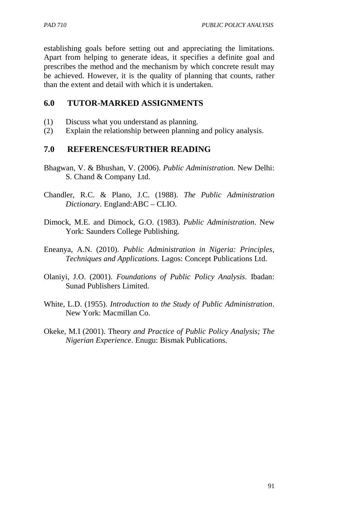establishing goals before setting out and appreciating the limitations. Apart from helping to generate ideas, it specifies a definite goal and prescribes the method and the mechanism by which concrete result may be achieved. However, it is the quality of planning that counts, rather than the extent and detail with which it is undertaken.

### **6.0 TUTOR-MARKED ASSIGNMENTS**

- (1) Discuss what you understand as planning.
- (2) Explain the relationship between planning and policy analysis.

### **7.0 REFERENCES/FURTHER READING**

- Bhagwan, V. & Bhushan, V. (2006). *Public Administration*. New Delhi: S. Chand & Company Ltd.
- Chandler, R.C. & Plano, J.C. (1988). *The Public Administration Dictionary*. England:ABC – CLIO.
- Dimock, M.E. and Dimock, G.O. (1983). *Public Administration*. New York: Saunders College Publishing.
- Eneanya, A.N. (2010). *Public Administration in Nigeria: Principles, Techniques and Applications.* Lagos: Concept Publications Ltd.
- Olaniyi, J.O. (2001). *Foundations of Public Policy Analysis*. Ibadan: Sunad Publishers Limited.
- White, L.D. (1955). *Introduction to the Study of Public Administration*. New York: Macmillan Co.
- Okeke, M.I (2001). Theory *and Practice of Public Policy Analysis; The Nigerian Experience*. Enugu: Bismak Publications.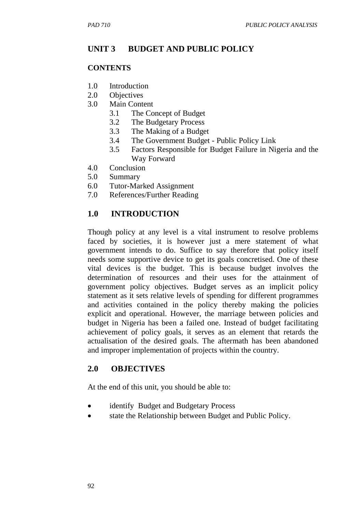# **UNIT 3 BUDGET AND PUBLIC POLICY**

### **CONTENTS**

- 1.0 Introduction
- 2.0 Objectives
- 3.0 Main Content
	- 3.1 The Concept of Budget
	- 3.2 The Budgetary Process
	- 3.3 The Making of a Budget
	- 3.4 The Government Budget Public Policy Link
	- 3.5 Factors Responsible for Budget Failure in Nigeria and the Way Forward
- 4.0 Conclusion
- 5.0 Summary
- 6.0 Tutor-Marked Assignment
- 7.0 References/Further Reading

### **1.0 INTRODUCTION**

Though policy at any level is a vital instrument to resolve problems faced by societies, it is however just a mere statement of what government intends to do. Suffice to say therefore that policy itself needs some supportive device to get its goals concretised. One of these vital devices is the budget. This is because budget involves the determination of resources and their uses for the attainment of government policy objectives. Budget serves as an implicit policy statement as it sets relative levels of spending for different programmes and activities contained in the policy thereby making the policies explicit and operational. However, the marriage between policies and budget in Nigeria has been a failed one. Instead of budget facilitating achievement of policy goals, it serves as an element that retards the actualisation of the desired goals. The aftermath has been abandoned and improper implementation of projects within the country.

### **2.0 OBJECTIVES**

At the end of this unit, you should be able to:

- identify Budget and Budgetary Process
- state the Relationship between Budget and Public Policy.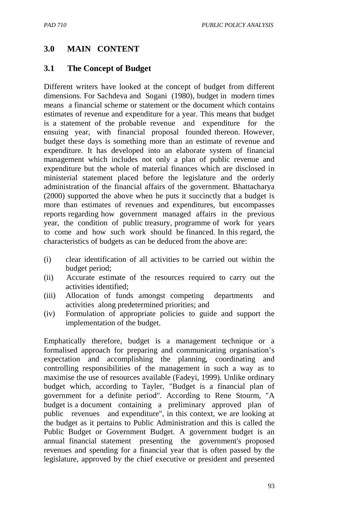### **3.0 MAIN CONTENT**

### **3.1 The Concept of Budget**

Different writers have looked at the concept of budget from different dimensions. For Sachdeva and Sogani (1980), budget in modern times means a financial scheme or statement or the document which contains estimates of revenue and expenditure for a year. This means that budget is a statement of the probable revenue and expenditure for the ensuing year, with financial proposal founded thereon. However, budget these days is something more than an estimate of revenue and expenditure. It has developed into an elaborate system of financial management which includes not only a plan of public revenue and expenditure but the whole of material finances which are disclosed in ministerial statement placed before the legislature and the orderly administration of the financial affairs of the government. Bhattacharya (2000) supported the above when he puts it succinctly that a budget is more than estimates of revenues and expenditures, but encompasses reports regarding how government managed affairs in the previous year, the condition of public treasury, programme of work for years to come and how such work should be financed. In this regard, the characteristics of budgets as can be deduced from the above are:

- (i) clear identification of all activities to be carried out within the budget period;
- (ii) Accurate estimate of the resources required to carry out the activities identified;
- (iii) Allocation of funds amongst competing departments and activities along predetermined priorities; and
- (iv) Formulation of appropriate policies to guide and support the implementation of the budget.

Emphatically therefore, budget is a management technique or a formalised approach for preparing and communicating organisation's expectation and accomplishing the planning, coordinating and controlling responsibilities of the management in such a way as to maximise the use of resources available (Fadeyi, 1999). Unlike ordinary budget which, according to Tayler, "Budget is a financial plan of government for a definite period". According to Rene Stourm, "A budget is a document containing a preliminary approved plan of public revenues and expenditure", in this context, we are looking at the budget as it pertains to Public Administration and this is called the Public Budget or Government Budget. A government budget is an annual financial statement presenting the government's proposed revenues and spending for a financial year that is often passed by the legislature, approved by the chief executive or president and presented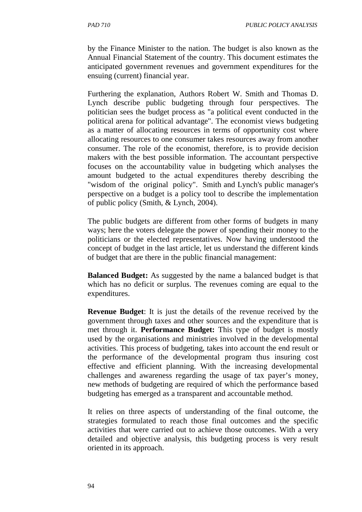by the Finance Minister to the nation. The budget is also known as the Annual Financial Statement of the country. This document estimates the anticipated government revenues and government expenditures for the ensuing (current) financial year.

Furthering the explanation, Authors Robert W. Smith and Thomas D. Lynch describe public budgeting through four perspectives. The politician sees the budget process as "a political event conducted in the political arena for political advantage". The economist views budgeting as a matter of allocating resources in terms of opportunity cost where allocating resources to one consumer takes resources away from another consumer. The role of the economist, therefore, is to provide decision makers with the best possible information. The accountant perspective focuses on the accountability value in budgeting which analyses the amount budgeted to the actual expenditures thereby describing the "wisdom of the original policy". Smith and Lynch's public manager's perspective on a budget is a policy tool to describe the implementation of public policy (Smith, & Lynch, 2004).

The public budgets are different from other forms of budgets in many ways; here the voters delegate the power of spending their money to the politicians or the elected representatives. Now having understood the concept of budget in the last article, let us understand the different kinds of budget that are there in the public financial management:

**Balanced Budget:** As suggested by the name a balanced budget is that which has no deficit or surplus. The revenues coming are equal to the expenditures.

**Revenue Budget**: It is just the details of the revenue received by the government through taxes and other sources and the expenditure that is met through it. **Performance Budget:** This type of budget is mostly used by the organisations and ministries involved in the developmental activities. This process of budgeting, takes into account the end result or the performance of the developmental program thus insuring cost effective and efficient planning. With the increasing developmental challenges and awareness regarding the usage of tax payer's money, new methods of budgeting are required of which the performance based budgeting has emerged as a transparent and accountable method.

It relies on three aspects of understanding of the final outcome, the strategies formulated to reach those final outcomes and the specific activities that were carried out to achieve those outcomes. With a very detailed and objective analysis, this budgeting process is very result oriented in its approach.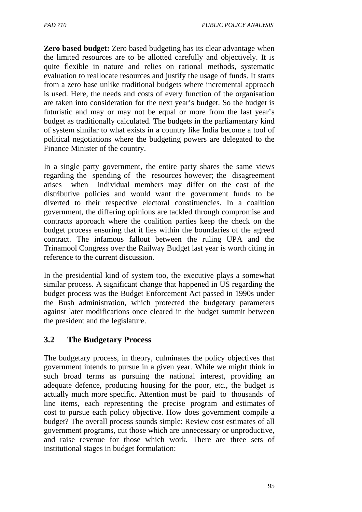**Zero based budget:** Zero based budgeting has its clear advantage when the limited resources are to be allotted carefully and objectively. It is quite flexible in nature and relies on rational methods, systematic evaluation to reallocate resources and justify the usage of funds. It starts from a zero base unlike traditional budgets where incremental approach is used. Here, the needs and costs of every function of the organisation are taken into consideration for the next year's budget. So the budget is futuristic and may or may not be equal or more from the last year's budget as traditionally calculated. The budgets in the parliamentary kind of system similar to what exists in a country like India become a tool of political negotiations where the budgeting powers are delegated to the Finance Minister of the country.

In a single party government, the entire party shares the same views regarding the spending of the resources however; the disagreement arises when individual members may differ on the cost of the distributive policies and would want the government funds to be diverted to their respective electoral constituencies. In a coalition government, the differing opinions are tackled through compromise and contracts approach where the coalition parties keep the check on the budget process ensuring that it lies within the boundaries of the agreed contract. The infamous fallout between the ruling UPA and the Trinamool Congress over the Railway Budget last year is worth citing in reference to the current discussion.

In the presidential kind of system too, the executive plays a somewhat similar process. A significant change that happened in US regarding the budget process was the Budget Enforcement Act passed in 1990s under the Bush administration, which protected the budgetary parameters against later modifications once cleared in the budget summit between the president and the legislature.

# **3.2 The Budgetary Process**

The budgetary process, in theory, culminates the policy objectives that government intends to pursue in a given year. While we might think in such broad terms as pursuing the national interest, providing an adequate defence, producing housing for the poor, etc., the budget is actually much more specific. Attention must be paid to thousands of line items, each representing the precise program and estimates of cost to pursue each policy objective. How does government compile a budget? The overall process sounds simple: Review cost estimates of all government programs, cut those which are unnecessary or unproductive, and raise revenue for those which work. There are three sets of institutional stages in budget formulation: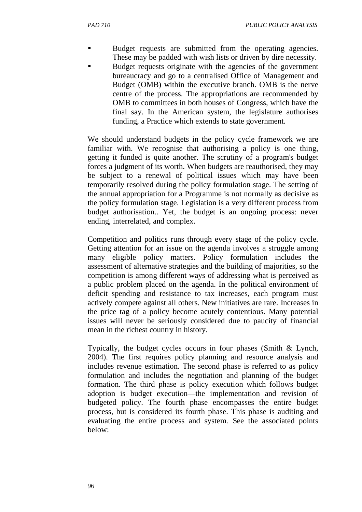- Budget requests are submitted from the operating agencies. These may be padded with wish lists or driven by dire necessity.
- Budget requests originate with the agencies of the government bureaucracy and go to a centralised Office of Management and Budget (OMB) within the executive branch. OMB is the nerve centre of the process. The appropriations are recommended by OMB to committees in both houses of Congress, which have the final say. In the American system, the legislature authorises funding, a Practice which extends to state government.

We should understand budgets in the policy cycle framework we are familiar with. We recognise that authorising a policy is one thing, getting it funded is quite another. The scrutiny of a program's budget forces a judgment of its worth. When budgets are reauthorised, they may be subject to a renewal of political issues which may have been temporarily resolved during the policy formulation stage. The setting of the annual appropriation for a Programme is not normally as decisive as the policy formulation stage. Legislation is a very different process from budget authorisation.. Yet, the budget is an ongoing process: never ending, interrelated, and complex.

Competition and politics runs through every stage of the policy cycle. Getting attention for an issue on the agenda involves a struggle among many eligible policy matters. Policy formulation includes the assessment of alternative strategies and the building of majorities, so the competition is among different ways of addressing what is perceived as a public problem placed on the agenda. In the political environment of deficit spending and resistance to tax increases, each program must actively compete against all others. New initiatives are rare. Increases in the price tag of a policy become acutely contentious. Many potential issues will never be seriously considered due to paucity of financial mean in the richest country in history.

Typically, the budget cycles occurs in four phases (Smith & Lynch, 2004). The first requires policy planning and resource analysis and includes revenue estimation. The second phase is referred to as policy formulation and includes the negotiation and planning of the budget formation. The third phase is policy execution which follows budget adoption is budget execution—the implementation and revision of budgeted policy. The fourth phase encompasses the entire budget process, but is considered its fourth phase. This phase is auditing and evaluating the entire process and system. See the associated points below: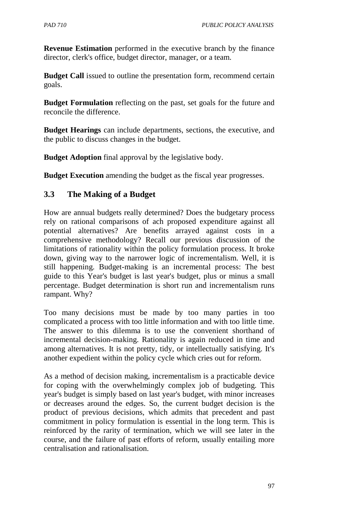**Revenue Estimation** performed in the executive branch by the finance director, clerk's office, budget director, manager, or a team.

**Budget Call** issued to outline the presentation form, recommend certain goals.

**Budget Formulation** reflecting on the past, set goals for the future and reconcile the difference.

**Budget Hearings** can include departments, sections, the executive, and the public to discuss changes in the budget.

**Budget Adoption** final approval by the legislative body.

**Budget Execution** amending the budget as the fiscal year progresses.

# **3.3 The Making of a Budget**

How are annual budgets really determined? Does the budgetary process rely on rational comparisons of ach proposed expenditure against all potential alternatives? Are benefits arrayed against costs in a comprehensive methodology? Recall our previous discussion of the limitations of rationality within the policy formulation process. It broke down, giving way to the narrower logic of incrementalism. Well, it is still happening. Budget-making is an incremental process: The best guide to this Year's budget is last year's budget, plus or minus a small percentage. Budget determination is short run and incrementalism runs rampant. Why?

Too many decisions must be made by too many parties in too complicated a process with too little information and with too little time. The answer to this dilemma is to use the convenient shorthand of incremental decision-making. Rationality is again reduced in time and among alternatives. It is not pretty, tidy, or intellectually satisfying. It's another expedient within the policy cycle which cries out for reform.

As a method of decision making, incrementalism is a practicable device for coping with the overwhelmingly complex job of budgeting. This year's budget is simply based on last year's budget, with minor increases or decreases around the edges. So, the current budget decision is the product of previous decisions, which admits that precedent and past commitment in policy formulation is essential in the long term. This is reinforced by the rarity of termination, which we will see later in the course, and the failure of past efforts of reform, usually entailing more centralisation and rationalisation.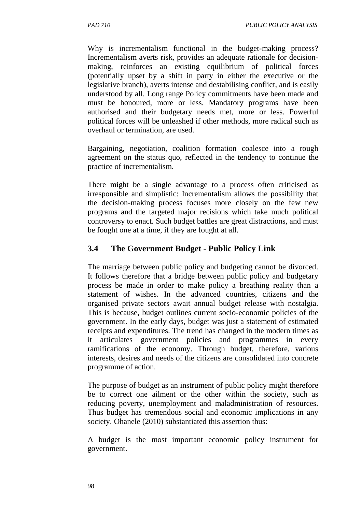Why is incrementalism functional in the budget-making process? Incrementalism averts risk, provides an adequate rationale for decisionmaking, reinforces an existing equilibrium of political forces (potentially upset by a shift in party in either the executive or the legislative branch), averts intense and destabilising conflict, and is easily understood by all. Long range Policy commitments have been made and must be honoured, more or less. Mandatory programs have been authorised and their budgetary needs met, more or less. Powerful political forces will be unleashed if other methods, more radical such as overhaul or termination, are used.

Bargaining, negotiation, coalition formation coalesce into a rough agreement on the status quo, reflected in the tendency to continue the practice of incrementalism.

There might be a single advantage to a process often criticised as irresponsible and simplistic: Incrementalism allows the possibility that the decision-making process focuses more closely on the few new programs and the targeted major recisions which take much political controversy to enact. Such budget battles are great distractions, and must be fought one at a time, if they are fought at all.

# **3.4 The Government Budget - Public Policy Link**

The marriage between public policy and budgeting cannot be divorced. It follows therefore that a bridge between public policy and budgetary process be made in order to make policy a breathing reality than a statement of wishes. In the advanced countries, citizens and the organised private sectors await annual budget release with nostalgia. This is because, budget outlines current socio-economic policies of the government. In the early days, budget was just a statement of estimated receipts and expenditures. The trend has changed in the modern times as it articulates government policies and programmes in every ramifications of the economy. Through budget, therefore, various interests, desires and needs of the citizens are consolidated into concrete programme of action.

The purpose of budget as an instrument of public policy might therefore be to correct one ailment or the other within the society, such as reducing poverty, unemployment and maladministration of resources. Thus budget has tremendous social and economic implications in any society. Ohanele (2010) substantiated this assertion thus:

A budget is the most important economic policy instrument for government.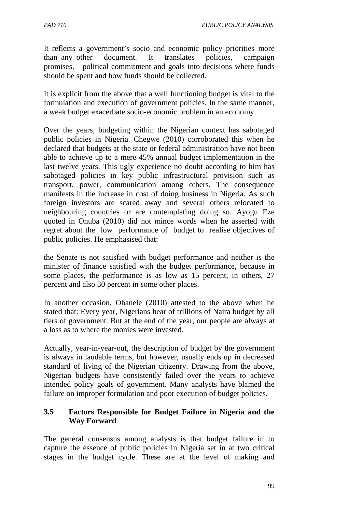*PAD 710 PUBLIC POLICY ANALYSIS* 

It reflects a government's socio and economic policy priorities more than any other document. It translates policies, campaign promises, political commitment and goals into decisions where funds should be spent and how funds should be collected.

It is explicit from the above that a well functioning budget is vital to the formulation and execution of government policies. In the same manner, a weak budget exacerbate socio-economic problem in an economy.

Over the years, budgeting within the Nigerian context has sabotaged public policies in Nigeria. Chegwe (2010) corroborated this when he declared that budgets at the state or federal administration have not been able to achieve up to a mere 45% annual budget implementation in the last twelve years. This ugly experience no doubt according to him has sabotaged policies in key public infrastructural provision such as transport, power, communication among others. The consequence manifests in the increase in cost of doing business in Nigeria. As such foreign investors are scared away and several others relocated to neighbouring countries or are contemplating doing so. Ayogu Eze quoted in Onuba (2010) did not mince words when he asserted with regret about the low performance of budget to realise objectives of public policies. He emphasised that:

the Senate is not satisfied with budget performance and neither is the minister of finance satisfied with the budget performance, because in some places, the performance is as low as 15 percent, in others, 27 percent and also 30 percent in some other places.

In another occasion, Ohanele (2010) attested to the above when he stated that: Every year, Nigerians hear of trillions of Naira budget by all tiers of government. But at the end of the year, our people are always at a loss as to where the monies were invested.

Actually, year-in-year-out, the description of budget by the government is always in laudable terms, but however, usually ends up in decreased standard of living of the Nigerian citizenry. Drawing from the above, Nigerian budgets have consistently failed over the years to achieve intended policy goals of government. Many analysts have blamed the failure on improper formulation and poor execution of budget policies.

### **3.5 Factors Responsible for Budget Failure in Nigeria and the Way Forward**

The general consensus among analysts is that budget failure in to capture the essence of public policies in Nigeria set in at two critical stages in the budget cycle. These are at the level of making and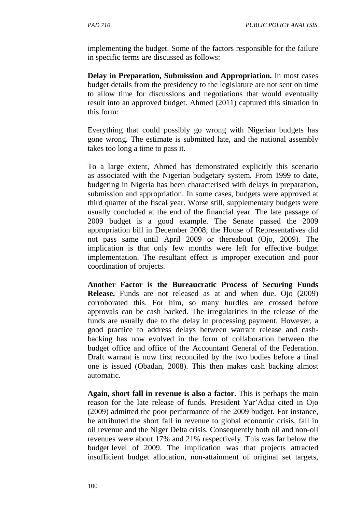implementing the budget. Some of the factors responsible for the failure in specific terms are discussed as follows:

**Delay in Preparation, Submission and Appropriation.** In most cases budget details from the presidency to the legislature are not sent on time to allow time for discussions and negotiations that would eventually result into an approved budget. Ahmed (2011) captured this situation in this form:

Everything that could possibly go wrong with Nigerian budgets has gone wrong. The estimate is submitted late, and the national assembly takes too long a time to pass it.

To a large extent, Ahmed has demonstrated explicitly this scenario as associated with the Nigerian budgetary system. From 1999 to date, budgeting in Nigeria has been characterised with delays in preparation, submission and appropriation. In some cases, budgets were approved at third quarter of the fiscal year. Worse still, supplementary budgets were usually concluded at the end of the financial year. The late passage of 2009 budget is a good example. The Senate passed the 2009 appropriation bill in December 2008; the House of Representatives did not pass same until April 2009 or thereabout (Ojo, 2009). The implication is that only few months were left for effective budget implementation. The resultant effect is improper execution and poor coordination of projects.

**Another Factor is the Bureaucratic Process of Securing Funds Release.** Funds are not released as at and when due. Ojo (2009) corroborated this. For him, so many hurdles are crossed before approvals can be cash backed. The irregularities in the release of the funds are usually due to the delay in processing payment. However, a good practice to address delays between warrant release and cashbacking has now evolved in the form of collaboration between the budget office and office of the Accountant General of the Federation. Draft warrant is now first reconciled by the two bodies before a final one is issued (Obadan, 2008). This then makes cash backing almost automatic.

**Again, short fall in revenue is also a factor**. This is perhaps the main reason for the late release of funds. President Yar'Adua cited in Ojo (2009) admitted the poor performance of the 2009 budget. For instance, he attributed the short fall in revenue to global economic crisis, fall in oil revenue and the Niger Delta crisis. Consequently both oil and non-oil revenues were about 17% and 21% respectively. This was far below the budget level of 2009. The implication was that projects attracted insufficient budget allocation, non-attainment of original set targets,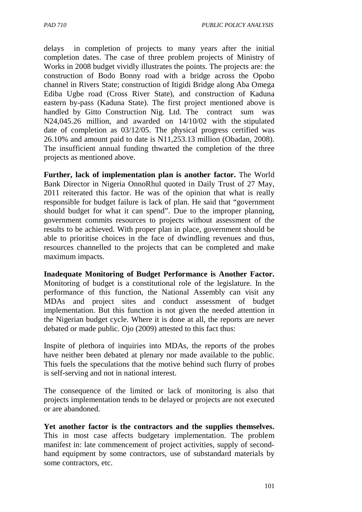delays in completion of projects to many years after the initial completion dates. The case of three problem projects of Ministry of Works in 2008 budget vividly illustrates the points. The projects are: the construction of Bodo Bonny road with a bridge across the Opobo channel in Rivers State; construction of Itigidi Bridge along Aba Omega Ediba Ugbe road (Cross River State), and construction of Kaduna eastern by-pass (Kaduna State). The first project mentioned above is handled by Gitto Construction Nig. Ltd. The contract sum was N24,045.26 million, and awarded on 14/10/02 with the stipulated date of completion as 03/12/05. The physical progress certified was 26.10% and amount paid to date is N11,253.13 million (Obadan, 2008). The insufficient annual funding thwarted the completion of the three projects as mentioned above.

**Further, lack of implementation plan is another factor.** The World Bank Director in Nigeria OnnoRhul quoted in Daily Trust of 27 May, 2011 reiterated this factor. He was of the opinion that what is really responsible for budget failure is lack of plan. He said that "government should budget for what it can spend". Due to the improper planning, government commits resources to projects without assessment of the results to be achieved. With proper plan in place, government should be able to prioritise choices in the face of dwindling revenues and thus, resources channelled to the projects that can be completed and make maximum impacts.

**Inadequate Monitoring of Budget Performance is Another Factor.**  Monitoring of budget is a constitutional role of the legislature. In the performance of this function, the National Assembly can visit any MDAs and project sites and conduct assessment of budget implementation. But this function is not given the needed attention in the Nigerian budget cycle. Where it is done at all, the reports are never debated or made public. Ojo (2009) attested to this fact thus:

Inspite of plethora of inquiries into MDAs, the reports of the probes have neither been debated at plenary nor made available to the public. This fuels the speculations that the motive behind such flurry of probes is self-serving and not in national interest.

The consequence of the limited or lack of monitoring is also that projects implementation tends to be delayed or projects are not executed or are abandoned.

**Yet another factor is the contractors and the supplies themselves.**  This in most case affects budgetary implementation. The problem manifest in: late commencement of project activities, supply of secondhand equipment by some contractors, use of substandard materials by some contractors, etc.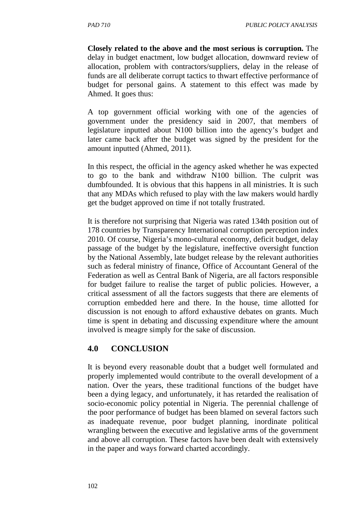**Closely related to the above and the most serious is corruption.** The delay in budget enactment, low budget allocation, downward review of allocation, problem with contractors/suppliers, delay in the release of funds are all deliberate corrupt tactics to thwart effective performance of budget for personal gains. A statement to this effect was made by Ahmed. It goes thus:

A top government official working with one of the agencies of government under the presidency said in 2007, that members of legislature inputted about N100 billion into the agency's budget and later came back after the budget was signed by the president for the amount inputted (Ahmed, 2011).

In this respect, the official in the agency asked whether he was expected to go to the bank and withdraw N100 billion. The culprit was dumbfounded. It is obvious that this happens in all ministries. It is such that any MDAs which refused to play with the law makers would hardly get the budget approved on time if not totally frustrated.

It is therefore not surprising that Nigeria was rated 134th position out of 178 countries by Transparency International corruption perception index 2010. Of course, Nigeria's mono-cultural economy, deficit budget, delay passage of the budget by the legislature, ineffective oversight function by the National Assembly, late budget release by the relevant authorities such as federal ministry of finance, Office of Accountant General of the Federation as well as Central Bank of Nigeria, are all factors responsible for budget failure to realise the target of public policies. However, a critical assessment of all the factors suggests that there are elements of corruption embedded here and there. In the house, time allotted for discussion is not enough to afford exhaustive debates on grants. Much time is spent in debating and discussing expenditure where the amount involved is meagre simply for the sake of discussion.

# **4.0 CONCLUSION**

It is beyond every reasonable doubt that a budget well formulated and properly implemented would contribute to the overall development of a nation. Over the years, these traditional functions of the budget have been a dying legacy, and unfortunately, it has retarded the realisation of socio-economic policy potential in Nigeria. The perennial challenge of the poor performance of budget has been blamed on several factors such as inadequate revenue, poor budget planning, inordinate political wrangling between the executive and legislative arms of the government and above all corruption. These factors have been dealt with extensively in the paper and ways forward charted accordingly.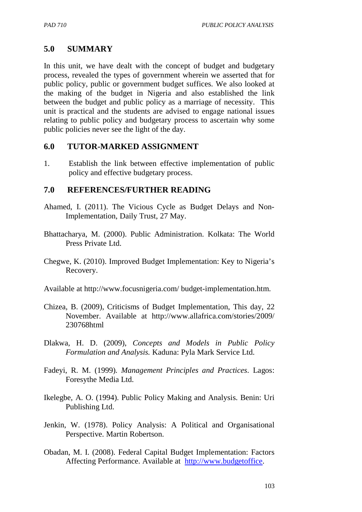### **5.0 SUMMARY**

In this unit, we have dealt with the concept of budget and budgetary process, revealed the types of government wherein we asserted that for public policy, public or government budget suffices. We also looked at the making of the budget in Nigeria and also established the link between the budget and public policy as a marriage of necessity. This unit is practical and the students are advised to engage national issues relating to public policy and budgetary process to ascertain why some public policies never see the light of the day.

### **6.0 TUTOR-MARKED ASSIGNMENT**

1. Establish the link between effective implementation of public policy and effective budgetary process.

#### **7.0 REFERENCES/FURTHER READING**

- Ahamed, I. (2011). The Vicious Cycle as Budget Delays and Non-Implementation, Daily Trust, 27 May.
- Bhattacharya, M. (2000). Public Administration. Kolkata: The World Press Private Ltd.
- Chegwe, K. (2010). Improved Budget Implementation: Key to Nigeria's Recovery.
- Available at http://www.focusnigeria.com/ budget-implementation.htm.
- Chizea, B. (2009), Criticisms of Budget Implementation, This day, 22 November. Available at http://www.allafrica.com/stories/2009/ 230768html
- Dlakwa, H. D. (2009), *Concepts and Models in Public Policy Formulation and Analysis.* Kaduna: Pyla Mark Service Ltd.
- Fadeyi, R. M. (1999). *Management Principles and Practices*. Lagos: Foresythe Media Ltd.
- Ikelegbe, A. O. (1994). Public Policy Making and Analysis. Benin: Uri Publishing Ltd.
- Jenkin, W. (1978). Policy Analysis: A Political and Organisational Perspective. Martin Robertson.
- Obadan, M. I. (2008). Federal Capital Budget Implementation: Factors Affecting Performance. Available at http://www.budgetoffice.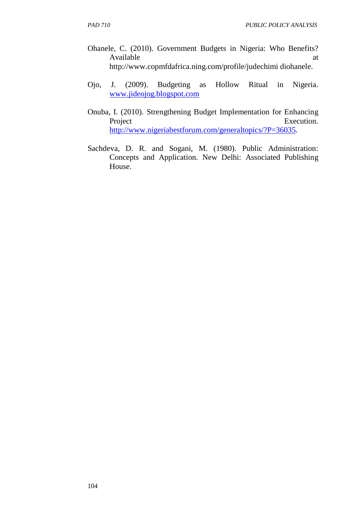- Ohanele, C. (2010). Government Budgets in Nigeria: Who Benefits? Available at a state of  $\alpha$  at a state of  $\alpha$  at a state of  $\alpha$  at a state of  $\alpha$  at a state of  $\alpha$  at a state of  $\alpha$  at a state of  $\alpha$  at a state of  $\alpha$  at a state of  $\alpha$  at a state of  $\alpha$  at a state of  $\alpha$  at http://www.copmfdafrica.ning.com/profile/judechimi diohanele.
- Ojo, J. (2009). Budgeting as Hollow Ritual in Nigeria. www.jideojog.blogspot.com
- Onuba, I. (2010). Strengthening Budget Implementation for Enhancing Execution. http://www.nigeriabestforum.com/generaltopics/?P=36035.
- Sachdeva, D. R. and Sogani, M. (1980). Public Administration: Concepts and Application. New Delhi: Associated Publishing House.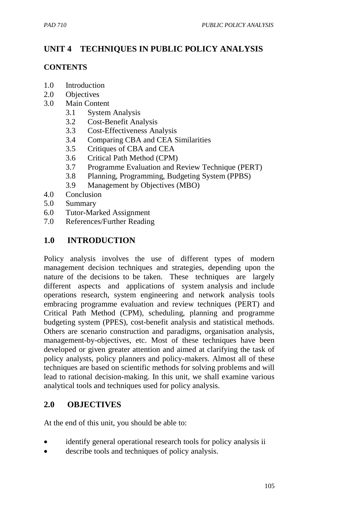# **UNIT 4 TECHNIQUES IN PUBLIC POLICY ANALYSIS**

#### **CONTENTS**

- 1.0 Introduction
- 2.0 Objectives
- 3.0 Main Content
	- 3.1 System Analysis
	- 3.2 Cost-Benefit Analysis
	- 3.3 Cost-Effectiveness Analysis
	- 3.4 Comparing CBA and CEA Similarities
	- 3.5 Critiques of CBA and CEA
	- 3.6 Critical Path Method (CPM)
	- 3.7 Programme Evaluation and Review Technique (PERT)
	- 3.8 Planning, Programming, Budgeting System (PPBS)
	- 3.9 Management by Objectives (MBO)
- 4.0 Conclusion
- 5.0 Summary
- 6.0 Tutor-Marked Assignment
- 7.0 References/Further Reading

# **1.0 INTRODUCTION**

Policy analysis involves the use of different types of modern management decision techniques and strategies, depending upon the nature of the decisions to be taken. These techniques are largely different aspects and applications of system analysis and include operations research, system engineering and network analysis tools embracing programme evaluation and review techniques (PERT) and Critical Path Method (CPM), scheduling, planning and programme budgeting system (PPES), cost-benefit analysis and statistical methods. Others are scenario construction and paradigms, organisation analysis, management-by-objectives, etc. Most of these techniques have been developed or given greater attention and aimed at clarifying the task of policy analysts, policy planners and policy-makers. Almost all of these techniques are based on scientific methods for solving problems and will lead to rational decision-making. In this unit, we shall examine various analytical tools and techniques used for policy analysis.

### **2.0 OBJECTIVES**

At the end of this unit, you should be able to:

- identify general operational research tools for policy analysis ii
- describe tools and techniques of policy analysis.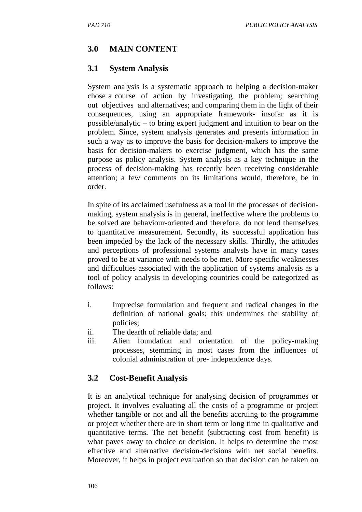# **3.0 MAIN CONTENT**

#### **3.1 System Analysis**

System analysis is a systematic approach to helping a decision-maker chose a course of action by investigating the problem; searching out objectives and alternatives; and comparing them in the light of their consequences, using an appropriate framework- insofar as it is possible/analytic – to bring expert judgment and intuition to bear on the problem. Since, system analysis generates and presents information in such a way as to improve the basis for decision-makers to improve the basis for decision-makers to exercise judgment, which has the same purpose as policy analysis. System analysis as a key technique in the process of decision-making has recently been receiving considerable attention; a few comments on its limitations would, therefore, be in order.

In spite of its acclaimed usefulness as a tool in the processes of decisionmaking, system analysis is in general, ineffective where the problems to be solved are behaviour-oriented and therefore, do not lend themselves to quantitative measurement. Secondly, its successful application has been impeded by the lack of the necessary skills. Thirdly, the attitudes and perceptions of professional systems analysts have in many cases proved to be at variance with needs to be met. More specific weaknesses and difficulties associated with the application of systems analysis as a tool of policy analysis in developing countries could be categorized as follows:

- i. Imprecise formulation and frequent and radical changes in the definition of national goals; this undermines the stability of policies;
- ii. The dearth of reliable data; and
- iii. Alien foundation and orientation of the policy-making processes, stemming in most cases from the influences of colonial administration of pre- independence days.

### **3.2 Cost-Benefit Analysis**

It is an analytical technique for analysing decision of programmes or project. It involves evaluating all the costs of a programme or project whether tangible or not and all the benefits accruing to the programme or project whether there are in short term or long time in qualitative and quantitative terms. The net benefit (subtracting cost from benefit) is what paves away to choice or decision. It helps to determine the most effective and alternative decision-decisions with net social benefits. Moreover, it helps in project evaluation so that decision can be taken on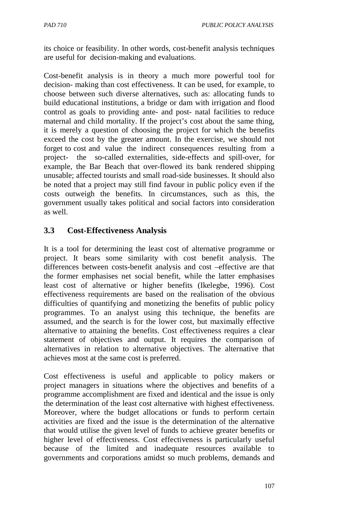its choice or feasibility. In other words, cost-benefit analysis techniques are useful for decision-making and evaluations.

Cost-benefit analysis is in theory a much more powerful tool for decision- making than cost effectiveness. It can be used, for example, to choose between such diverse alternatives, such as: allocating funds to build educational institutions, a bridge or dam with irrigation and flood control as goals to providing ante- and post- natal facilities to reduce maternal and child mortality. If the project's cost about the same thing, it is merely a question of choosing the project for which the benefits exceed the cost by the greater amount. In the exercise, we should not forget to cost and value the indirect consequences resulting from a project- the so-called externalities, side-effects and spill-over, for example, the Bar Beach that over-flowed its bank rendered shipping unusable; affected tourists and small road-side businesses. It should also be noted that a project may still find favour in public policy even if the costs outweigh the benefits. In circumstances, such as this, the government usually takes political and social factors into consideration as well.

### **3.3 Cost-Effectiveness Analysis**

It is a tool for determining the least cost of alternative programme or project. It bears some similarity with cost benefit analysis. The differences between costs-benefit analysis and cost –effective are that the former emphasises net social benefit, while the latter emphasises least cost of alternative or higher benefits (Ikelegbe, 1996). Cost effectiveness requirements are based on the realisation of the obvious difficulties of quantifying and monetizing the benefits of public policy programmes. To an analyst using this technique, the benefits are assumed, and the search is for the lower cost, but maximally effective alternative to attaining the benefits. Cost effectiveness requires a clear statement of objectives and output. It requires the comparison of alternatives in relation to alternative objectives. The alternative that achieves most at the same cost is preferred.

Cost effectiveness is useful and applicable to policy makers or project managers in situations where the objectives and benefits of a programme accomplishment are fixed and identical and the issue is only the determination of the least cost alternative with highest effectiveness. Moreover, where the budget allocations or funds to perform certain activities are fixed and the issue is the determination of the alternative that would utilise the given level of funds to achieve greater benefits or higher level of effectiveness. Cost effectiveness is particularly useful because of the limited and inadequate resources available to governments and corporations amidst so much problems, demands and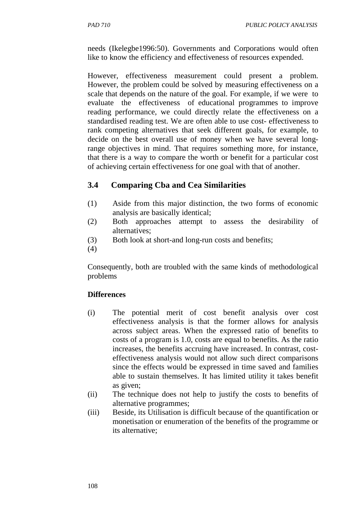needs (Ikelegbe1996:50). Governments and Corporations would often like to know the efficiency and effectiveness of resources expended.

However, effectiveness measurement could present a problem. However, the problem could be solved by measuring effectiveness on a scale that depends on the nature of the goal. For example, if we were to evaluate the effectiveness of educational programmes to improve reading performance, we could directly relate the effectiveness on a standardised reading test. We are often able to use cost- effectiveness to rank competing alternatives that seek different goals, for example, to decide on the best overall use of money when we have several longrange objectives in mind. That requires something more, for instance, that there is a way to compare the worth or benefit for a particular cost of achieving certain effectiveness for one goal with that of another.

### **3.4 Comparing Cba and Cea Similarities**

- (1) Aside from this major distinction, the two forms of economic analysis are basically identical;
- (2) Both approaches attempt to assess the desirability of alternatives;
- (3) Both look at short-and long-run costs and benefits;
- (4)

Consequently, both are troubled with the same kinds of methodological problems

#### **Differences**

- (i) The potential merit of cost benefit analysis over cost effectiveness analysis is that the former allows for analysis across subject areas. When the expressed ratio of benefits to costs of a program is 1.0, costs are equal to benefits. As the ratio increases, the benefits accruing have increased. In contrast, costeffectiveness analysis would not allow such direct comparisons since the effects would be expressed in time saved and families able to sustain themselves. It has limited utility it takes benefit as given;
- (ii) The technique does not help to justify the costs to benefits of alternative programmes;
- (iii) Beside, its Utilisation is difficult because of the quantification or monetisation or enumeration of the benefits of the programme or its alternative;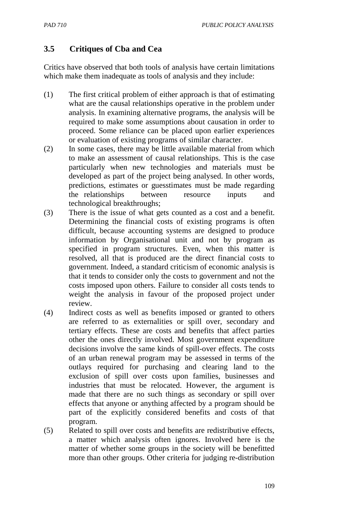### **3.5 Critiques of Cba and Cea**

Critics have observed that both tools of analysis have certain limitations which make them inadequate as tools of analysis and they include:

- (1) The first critical problem of either approach is that of estimating what are the causal relationships operative in the problem under analysis. In examining alternative programs, the analysis will be required to make some assumptions about causation in order to proceed. Some reliance can be placed upon earlier experiences or evaluation of existing programs of similar character.
- (2) In some cases, there may be little available material from which to make an assessment of causal relationships. This is the case particularly when new technologies and materials must be developed as part of the project being analysed. In other words, predictions, estimates or guesstimates must be made regarding the relationships between resource inputs and technological breakthroughs;
- (3) There is the issue of what gets counted as a cost and a benefit. Determining the financial costs of existing programs is often difficult, because accounting systems are designed to produce information by Organisational unit and not by program as specified in program structures. Even, when this matter is resolved, all that is produced are the direct financial costs to government. Indeed, a standard criticism of economic analysis is that it tends to consider only the costs to government and not the costs imposed upon others. Failure to consider all costs tends to weight the analysis in favour of the proposed project under review.
- (4) Indirect costs as well as benefits imposed or granted to others are referred to as externalities or spill over, secondary and tertiary effects. These are costs and benefits that affect parties other the ones directly involved. Most government expenditure decisions involve the same kinds of spill-over effects. The costs of an urban renewal program may be assessed in terms of the outlays required for purchasing and clearing land to the exclusion of spill over costs upon families, businesses and industries that must be relocated. However, the argument is made that there are no such things as secondary or spill over effects that anyone or anything affected by a program should be part of the explicitly considered benefits and costs of that program.
- (5) Related to spill over costs and benefits are redistributive effects, a matter which analysis often ignores. Involved here is the matter of whether some groups in the society will be benefitted more than other groups. Other criteria for judging re-distribution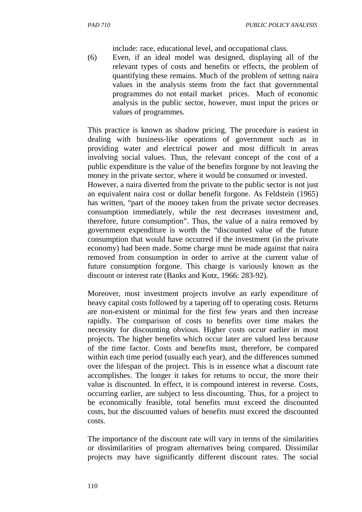include: race, educational level, and occupational class.

(6) Even, if an ideal model was designed, displaying all of the relevant types of costs and benefits or effects, the problem of quantifying these remains. Much of the problem of setting naira values in the analysis stems from the fact that governmental programmes do not entail market prices. Much of economic analysis in the public sector, however, must input the prices or values of programmes.

This practice is known as shadow pricing. The procedure is easiest in dealing with business-like operations of government such as in providing water and electrical power and most difficult in areas involving social values. Thus, the relevant concept of the cost of a public expenditure is the value of the benefits forgone by not leaving the money in the private sector, where it would be consumed or invested.

However, a naira diverted from the private to the public sector is not just an equivalent naira cost or dollar benefit forgone. As Feldstein (1965) has written, "part of the money taken from the private sector decreases consumption immediately, while the rest decreases investment and, therefore, future consumption". Thus, the value of a naira removed by government expenditure is worth the "discounted value of the future consumption that would have occurred if the investment (in the private economy) had been made. Some charge must be made against that naira removed from consumption in order to arrive at the current value of future consumption forgone. This charge is variously known as the discount or interest rate (Banks and Kotz, 1966: 283-92).

Moreover, most investment projects involve an early expenditure of heavy capital costs followed by a tapering off to operating costs. Returns are non-existent or minimal for the first few years and then increase rapidly. The comparison of costs to benefits over time makes the necessity for discounting obvious. Higher costs occur earlier in most projects. The higher benefits which occur later are valued less because of the time factor. Costs and benefits must, therefore, be compared within each time period (usually each year), and the differences summed over the lifespan of the project. This is in essence what a discount rate accomplishes. The longer it takes for returns to occur, the more their value is discounted. In effect, it is compound interest in reverse. Costs, occurring earlier, are subject to less discounting. Thus, for a project to be economically feasible, total benefits must exceed the discounted costs, but the discounted values of benefits must exceed the discounted costs.

The importance of the discount rate will vary in terms of the similarities or dissimilarities of program alternatives being compared. Dissimilar projects may have significantly different discount rates. The social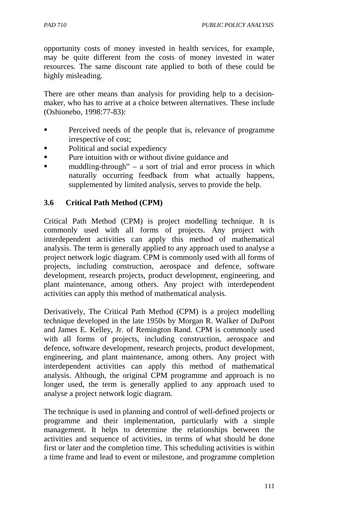opportunity costs of money invested in health services, for example, may be quite different from the costs of money invested in water resources. The same discount rate applied to both of these could be highly misleading.

There are other means than analysis for providing help to a decisionmaker, who has to arrive at a choice between alternatives. These include (Oshionebo, 1998:77-83):

- **Perceived needs of the people that is, relevance of programme** irrespective of cost;
- Political and social expediency
- **Pure intuition with or without divine guidance and**
- muddling-through" a sort of trial and error process in which naturally occurring feedback from what actually happens, supplemented by limited analysis, serves to provide the help.

#### **3.6 Critical Path Method (CPM)**

Critical Path Method (CPM) is project modelling technique. It is commonly used with all forms of projects. Any project with interdependent activities can apply this method of mathematical analysis. The term is generally applied to any approach used to analyse a project network logic diagram. CPM is commonly used with all forms of projects, including construction, aerospace and defence, software development, research projects, product development, engineering, and plant maintenance, among others. Any project with interdependent activities can apply this method of mathematical analysis.

Derivatively, The Critical Path Method (CPM) is a project modelling technique developed in the late 1950s by Morgan R. Walker of DuPont and James E. Kelley, Jr. of Remington Rand. CPM is commonly used with all forms of projects, including construction, aerospace and defence, software development, research projects, product development, engineering, and plant maintenance, among others. Any project with interdependent activities can apply this method of mathematical analysis. Although, the original CPM programme and approach is no longer used, the term is generally applied to any approach used to analyse a project network logic diagram.

The technique is used in planning and control of well-defined projects or programme and their implementation, particularly with a simple management. It helps to determine the relationships between the activities and sequence of activities, in terms of what should be done first or later and the completion time. This scheduling activities is within a time frame and lead to event or milestone, and programme completion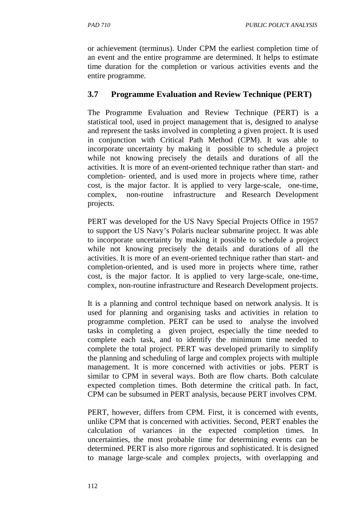or achievement (terminus). Under CPM the earliest completion time of an event and the entire programme are determined. It helps to estimate time duration for the completion or various activities events and the entire programme.

#### **3.7 Programme Evaluation and Review Technique (PERT)**

The Programme Evaluation and Review Technique (PERT) is a statistical tool, used in project management that is, designed to analyse and represent the tasks involved in completing a given project. It is used in conjunction with Critical Path Method (CPM). It was able to incorporate uncertainty by making it possible to schedule a project while not knowing precisely the details and durations of all the activities. It is more of an event-oriented technique rather than start- and completion- oriented, and is used more in projects where time, rather cost, is the major factor. It is applied to very large-scale, one-time, complex, non-routine infrastructure and Research Development projects.

PERT was developed for the US Navy Special Projects Office in 1957 to support the US Navy's Polaris nuclear submarine project. It was able to incorporate uncertainty by making it possible to schedule a project while not knowing precisely the details and durations of all the activities. It is more of an event-oriented technique rather than start- and completion-oriented, and is used more in projects where time, rather cost, is the major factor. It is applied to very large-scale, one-time, complex, non-routine infrastructure and Research Development projects.

It is a planning and control technique based on network analysis. It is used for planning and organising tasks and activities in relation to programme completion. PERT can be used to analyse the involved tasks in completing a given project, especially the time needed to complete each task, and to identify the minimum time needed to complete the total project. PERT was developed primarily to simplify the planning and scheduling of large and complex projects with multiple management. It is more concerned with activities or jobs. PERT is similar to CPM in several ways. Both are flow charts. Both calculate expected completion times. Both determine the critical path. In fact, CPM can be subsumed in PERT analysis, because PERT involves CPM.

PERT, however, differs from CPM. First, it is concerned with events, unlike CPM that is concerned with activities. Second, PERT enables the calculation of variances in the expected completion times. In uncertainties, the most probable time for determining events can be determined. PERT is also more rigorous and sophisticated. It is designed to manage large-scale and complex projects, with overlapping and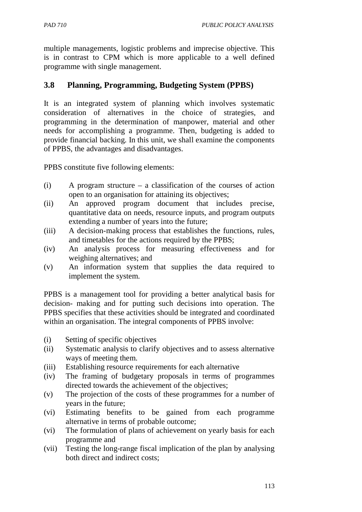*PAD 710 PUBLIC POLICY ANALYSIS* 

multiple managements, logistic problems and imprecise objective. This is in contrast to CPM which is more applicable to a well defined programme with single management.

### **3.8 Planning, Programming, Budgeting System (PPBS)**

It is an integrated system of planning which involves systematic consideration of alternatives in the choice of strategies, and programming in the determination of manpower, material and other needs for accomplishing a programme. Then, budgeting is added to provide financial backing. In this unit, we shall examine the components of PPBS, the advantages and disadvantages.

PPBS constitute five following elements:

- (i) A program structure a classification of the courses of action open to an organisation for attaining its objectives;
- (ii) An approved program document that includes precise, quantitative data on needs, resource inputs, and program outputs extending a number of years into the future;
- (iii) A decision-making process that establishes the functions, rules, and timetables for the actions required by the PPBS;
- (iv) An analysis process for measuring effectiveness and for weighing alternatives; and
- (v) An information system that supplies the data required to implement the system.

PPBS is a management tool for providing a better analytical basis for decision- making and for putting such decisions into operation. The PPBS specifies that these activities should be integrated and coordinated within an organisation. The integral components of PPBS involve:

- (i) Setting of specific objectives
- (ii) Systematic analysis to clarify objectives and to assess alternative ways of meeting them.
- (iii) Establishing resource requirements for each alternative
- (iv) The framing of budgetary proposals in terms of programmes directed towards the achievement of the objectives;
- (v) The projection of the costs of these programmes for a number of years in the future;
- (vi) Estimating benefits to be gained from each programme alternative in terms of probable outcome;
- (vi) The formulation of plans of achievement on yearly basis for each programme and
- (vii) Testing the long-range fiscal implication of the plan by analysing both direct and indirect costs;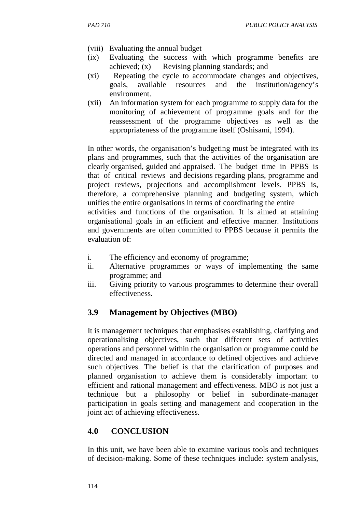- (viii) Evaluating the annual budget
- (ix) Evaluating the success with which programme benefits are achieved; (x) Revising planning standards; and
- (xi) Repeating the cycle to accommodate changes and objectives, goals, available resources and the institution/agency's environment.
- (xii) An information system for each programme to supply data for the monitoring of achievement of programme goals and for the reassessment of the programme objectives as well as the appropriateness of the programme itself (Oshisami, 1994).

In other words, the organisation's budgeting must be integrated with its plans and programmes, such that the activities of the organisation are clearly organised, guided and appraised. The budget time in PPBS is that of critical reviews and decisions regarding plans, programme and project reviews, projections and accomplishment levels. PPBS is, therefore, a comprehensive planning and budgeting system, which unifies the entire organisations in terms of coordinating the entire activities and functions of the organisation. It is aimed at attaining organisational goals in an efficient and effective manner. Institutions

and governments are often committed to PPBS because it permits the evaluation of:

- i. The efficiency and economy of programme;
- ii. Alternative programmes or ways of implementing the same programme; and
- iii. Giving priority to various programmes to determine their overall effectiveness.

# **3.9 Management by Objectives (MBO)**

It is management techniques that emphasises establishing, clarifying and operationalising objectives, such that different sets of activities operations and personnel within the organisation or programme could be directed and managed in accordance to defined objectives and achieve such objectives. The belief is that the clarification of purposes and planned organisation to achieve them is considerably important to efficient and rational management and effectiveness. MBO is not just a technique but a philosophy or belief in subordinate-manager participation in goals setting and management and cooperation in the joint act of achieving effectiveness.

### **4.0 CONCLUSION**

In this unit, we have been able to examine various tools and techniques of decision-making. Some of these techniques include: system analysis,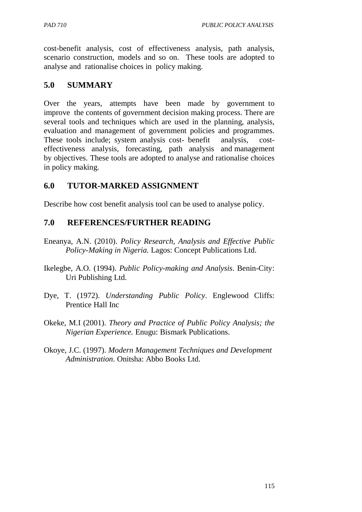cost-benefit analysis, cost of effectiveness analysis, path analysis, scenario construction, models and so on. These tools are adopted to analyse and rationalise choices in policy making.

### **5.0 SUMMARY**

Over the years, attempts have been made by government to improve the contents of government decision making process. There are several tools and techniques which are used in the planning, analysis, evaluation and management of government policies and programmes. These tools include; system analysis cost- benefit analysis, costeffectiveness analysis, forecasting, path analysis and management by objectives. These tools are adopted to analyse and rationalise choices in policy making.

#### **6.0 TUTOR-MARKED ASSIGNMENT**

Describe how cost benefit analysis tool can be used to analyse policy.

#### **7.0 REFERENCES/FURTHER READING**

- Eneanya, A.N. (2010). *Policy Research, Analysis and Effective Public Policy-Making in Nigeria.* Lagos: Concept Publications Ltd.
- Ikelegbe, A.O. (1994). *Public Policy-making and Analysis*. Benin-City: Uri Publishing Ltd.
- Dye, T. (1972). *Understanding Public Policy*. Englewood Cliffs: Prentice Hall Inc
- Okeke, M.I (2001). *Theory and Practice of Public Policy Analysis; the Nigerian Experience.* Enugu: Bismark Publications.
- Okoye, J.C. (1997). *Modern Management Techniques and Development Administration*. Onitsha: Abbo Books Ltd.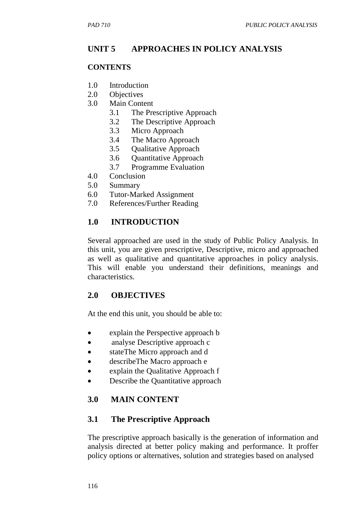# **UNIT 5 APPROACHES IN POLICY ANALYSIS**

#### **CONTENTS**

- 1.0 Introduction
- 2.0 Objectives
- 3.0 Main Content
	- 3.1 The Prescriptive Approach
	- 3.2 The Descriptive Approach
	- 3.3 Micro Approach
	- 3.4 The Macro Approach
	- 3.5 Qualitative Approach
	- 3.6 Quantitative Approach
	- 3.7 Programme Evaluation
- 4.0 Conclusion
- 5.0 Summary
- 6.0 Tutor-Marked Assignment
- 7.0 References/Further Reading

# **1.0 INTRODUCTION**

Several approached are used in the study of Public Policy Analysis. In this unit, you are given prescriptive, Descriptive, micro and approached as well as qualitative and quantitative approaches in policy analysis. This will enable you understand their definitions, meanings and characteristics.

### **2.0 OBJECTIVES**

At the end this unit, you should be able to:

- explain the Perspective approach b
- analyse Descriptive approach c
- stateThe Micro approach and d
- describeThe Macro approach e
- explain the Qualitative Approach f
- Describe the Quantitative approach

### **3.0 MAIN CONTENT**

### **3.1 The Prescriptive Approach**

The prescriptive approach basically is the generation of information and analysis directed at better policy making and performance. It proffer policy options or alternatives, solution and strategies based on analysed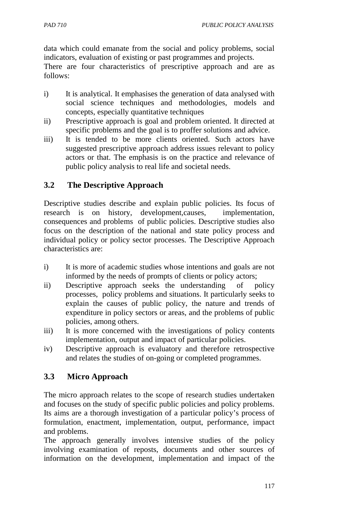data which could emanate from the social and policy problems, social indicators, evaluation of existing or past programmes and projects.

There are four characteristics of prescriptive approach and are as follows:

- i) It is analytical. It emphasises the generation of data analysed with social science techniques and methodologies, models and concepts, especially quantitative techniques
- ii) Prescriptive approach is goal and problem oriented. It directed at specific problems and the goal is to proffer solutions and advice.
- iii) It is tended to be more clients oriented. Such actors have suggested prescriptive approach address issues relevant to policy actors or that. The emphasis is on the practice and relevance of public policy analysis to real life and societal needs.

# **3.2 The Descriptive Approach**

Descriptive studies describe and explain public policies. Its focus of research is on history, development,causes, implementation, consequences and problems of public policies. Descriptive studies also focus on the description of the national and state policy process and individual policy or policy sector processes. The Descriptive Approach characteristics are:

- i) It is more of academic studies whose intentions and goals are not informed by the needs of prompts of clients or policy actors;
- ii) Descriptive approach seeks the understanding of policy processes, policy problems and situations. It particularly seeks to explain the causes of public policy, the nature and trends of expenditure in policy sectors or areas, and the problems of public policies, among others.
- iii) It is more concerned with the investigations of policy contents implementation, output and impact of particular policies.
- iv) Descriptive approach is evaluatory and therefore retrospective and relates the studies of on-going or completed programmes.

# **3.3 Micro Approach**

The micro approach relates to the scope of research studies undertaken and focuses on the study of specific public policies and policy problems. Its aims are a thorough investigation of a particular policy's process of formulation, enactment, implementation, output, performance, impact and problems.

The approach generally involves intensive studies of the policy involving examination of reposts, documents and other sources of information on the development, implementation and impact of the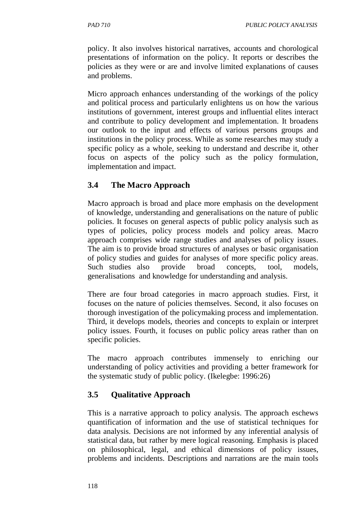policy. It also involves historical narratives, accounts and chorological presentations of information on the policy. It reports or describes the policies as they were or are and involve limited explanations of causes and problems.

Micro approach enhances understanding of the workings of the policy and political process and particularly enlightens us on how the various institutions of government, interest groups and influential elites interact and contribute to policy development and implementation. It broadens our outlook to the input and effects of various persons groups and institutions in the policy process. While as some researches may study a specific policy as a whole, seeking to understand and describe it, other focus on aspects of the policy such as the policy formulation, implementation and impact.

# **3.4 The Macro Approach**

Macro approach is broad and place more emphasis on the development of knowledge, understanding and generalisations on the nature of public policies. It focuses on general aspects of public policy analysis such as types of policies, policy process models and policy areas. Macro approach comprises wide range studies and analyses of policy issues. The aim is to provide broad structures of analyses or basic organisation of policy studies and guides for analyses of more specific policy areas. Such studies also provide broad concepts, tool, models, generalisations and knowledge for understanding and analysis.

There are four broad categories in macro approach studies. First, it focuses on the nature of policies themselves. Second, it also focuses on thorough investigation of the policymaking process and implementation. Third, it develops models, theories and concepts to explain or interpret policy issues. Fourth, it focuses on public policy areas rather than on specific policies.

The macro approach contributes immensely to enriching our understanding of policy activities and providing a better framework for the systematic study of public policy. (Ikelegbe: 1996:26)

# **3.5 Qualitative Approach**

This is a narrative approach to policy analysis. The approach eschews quantification of information and the use of statistical techniques for data analysis. Decisions are not informed by any inferential analysis of statistical data, but rather by mere logical reasoning. Emphasis is placed on philosophical, legal, and ethical dimensions of policy issues, problems and incidents. Descriptions and narrations are the main tools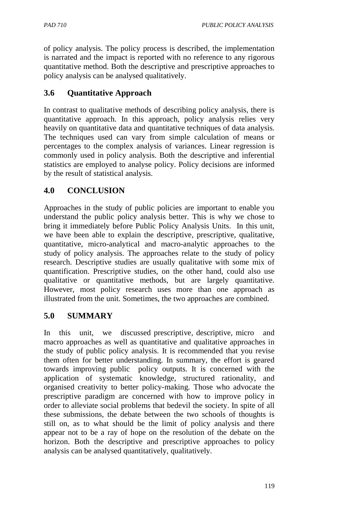of policy analysis. The policy process is described, the implementation is narrated and the impact is reported with no reference to any rigorous quantitative method. Both the descriptive and prescriptive approaches to policy analysis can be analysed qualitatively.

# **3.6 Quantitative Approach**

In contrast to qualitative methods of describing policy analysis, there is quantitative approach. In this approach, policy analysis relies very heavily on quantitative data and quantitative techniques of data analysis. The techniques used can vary from simple calculation of means or percentages to the complex analysis of variances. Linear regression is commonly used in policy analysis. Both the descriptive and inferential statistics are employed to analyse policy. Policy decisions are informed by the result of statistical analysis.

# **4.0 CONCLUSION**

Approaches in the study of public policies are important to enable you understand the public policy analysis better. This is why we chose to bring it immediately before Public Policy Analysis Units. In this unit, we have been able to explain the descriptive, prescriptive, qualitative, quantitative, micro-analytical and macro-analytic approaches to the study of policy analysis. The approaches relate to the study of policy research. Descriptive studies are usually qualitative with some mix of quantification. Prescriptive studies, on the other hand, could also use qualitative or quantitative methods, but are largely quantitative. However, most policy research uses more than one approach as illustrated from the unit. Sometimes, the two approaches are combined.

# **5.0 SUMMARY**

In this unit, we discussed prescriptive, descriptive, micro and macro approaches as well as quantitative and qualitative approaches in the study of public policy analysis. It is recommended that you revise them often for better understanding. In summary, the effort is geared towards improving public policy outputs. It is concerned with the application of systematic knowledge, structured rationality, and organised creativity to better policy-making. Those who advocate the prescriptive paradigm are concerned with how to improve policy in order to alleviate social problems that bedevil the society. In spite of all these submissions, the debate between the two schools of thoughts is still on, as to what should be the limit of policy analysis and there appear not to be a ray of hope on the resolution of the debate on the horizon. Both the descriptive and prescriptive approaches to policy analysis can be analysed quantitatively, qualitatively.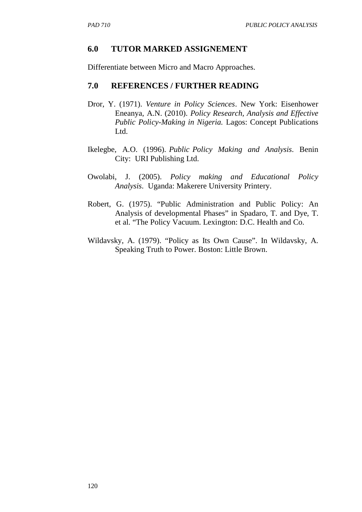#### **6.0 TUTOR MARKED ASSIGNEMENT**

Differentiate between Micro and Macro Approaches.

#### **7.0 REFERENCES / FURTHER READING**

- Dror, Y. (1971). *Venture in Policy Sciences*. New York: Eisenhower Eneanya, A.N. (2010). *Policy Research, Analysis and Effective Public Policy-Making in Nigeria.* Lagos: Concept Publications Ltd.
- Ikelegbe, A.O. (1996). *Public Policy Making and Analysis*. Benin City: URI Publishing Ltd.
- Owolabi, J. (2005). *Policy making and Educational Policy Analysis*. Uganda: Makerere University Printery.
- Robert, G. (1975). "Public Administration and Public Policy: An Analysis of developmental Phases" in Spadaro, T. and Dye, T. et al. "The Policy Vacuum. Lexington: D.C. Health and Co.
- Wildavsky, A. (1979). "Policy as Its Own Cause". In Wildavsky, A. Speaking Truth to Power. Boston: Little Brown.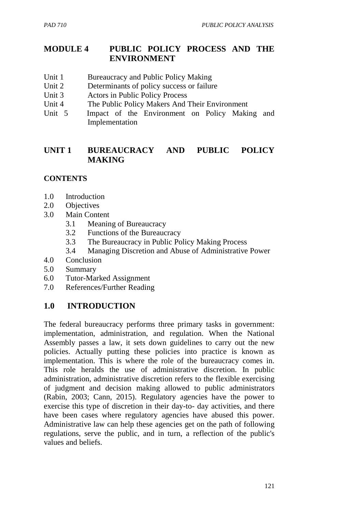### **MODULE 4 PUBLIC POLICY PROCESS AND THE ENVIRONMENT**

- Unit 1 Bureaucracy and Public Policy Making
- Unit 2 Determinants of policy success or failure
- Unit 3 Actors in Public Policy Process
- Unit 4 The Public Policy Makers And Their Environment<br>Unit 5 Impact of the Environment on Policy Maki
- Impact of the Environment on Policy Making and Implementation

### **UNIT 1 BUREAUCRACY AND PUBLIC POLICY MAKING**

#### **CONTENTS**

- 1.0 Introduction
- 2.0 Objectives
- 3.0 Main Content
	- 3.1 Meaning of Bureaucracy
	- 3.2 Functions of the Bureaucracy
	- 3.3 The Bureaucracy in Public Policy Making Process
	- 3.4 Managing Discretion and Abuse of Administrative Power
- 4.0 Conclusion
- 5.0 Summary
- 6.0 Tutor-Marked Assignment
- 7.0 References/Further Reading

### **1.0 INTRODUCTION**

The federal bureaucracy performs three primary tasks in government: implementation, administration, and regulation. When the National Assembly passes a law, it sets down guidelines to carry out the new policies. Actually putting these policies into practice is known as implementation. This is where the role of the bureaucracy comes in. This role heralds the use of administrative discretion. In public administration, administrative discretion refers to the flexible exercising of judgment and decision making allowed to public administrators (Rabin, 2003; Cann, 2015). Regulatory agencies have the power to exercise this type of discretion in their day-to- day activities, and there have been cases where regulatory agencies have abused this power. Administrative law can help these agencies get on the path of following regulations, serve the public, and in turn, a reflection of the public's values and beliefs.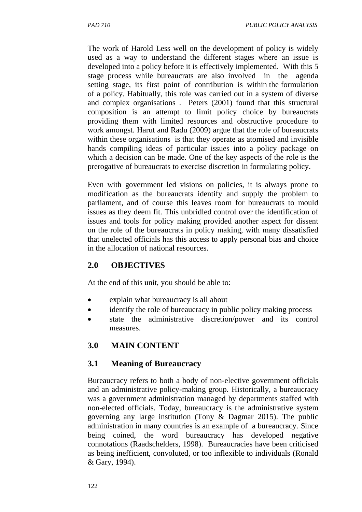The work of Harold Less well on the development of policy is widely used as a way to understand the different stages where an issue is developed into a policy before it is effectively implemented. With this 5 stage process while bureaucrats are also involved in the agenda setting stage, its first point of contribution is within the formulation of a policy. Habitually, this role was carried out in a system of diverse and complex organisations . Peters (2001) found that this structural composition is an attempt to limit policy choice by bureaucrats providing them with limited resources and obstructive procedure to work amongst. Harut and Radu (2009) argue that the role of bureaucrats within these organisations is that they operate as atomised and invisible hands compiling ideas of particular issues into a policy package on which a decision can be made. One of the key aspects of the role is the prerogative of bureaucrats to exercise discretion in formulating policy.

Even with government led visions on policies, it is always prone to modification as the bureaucrats identify and supply the problem to parliament, and of course this leaves room for bureaucrats to mould issues as they deem fit. This unbridled control over the identification of issues and tools for policy making provided another aspect for dissent on the role of the bureaucrats in policy making, with many dissatisfied that unelected officials has this access to apply personal bias and choice in the allocation of national resources.

### **2.0 OBJECTIVES**

At the end of this unit, you should be able to:

- explain what bureaucracy is all about
- identify the role of bureaucracy in public policy making process
- state the administrative discretion/power and its control measures.

# **3.0 MAIN CONTENT**

### **3.1 Meaning of Bureaucracy**

Bureaucracy refers to both a body of non-elective government officials and an administrative policy-making group. Historically, a bureaucracy was a government administration managed by departments staffed with non-elected officials. Today, bureaucracy is the administrative system governing any large institution (Tony & Dagmar 2015). The public administration in many countries is an example of a bureaucracy. Since being coined, the word bureaucracy has developed negative connotations (Raadschelders, 1998). Bureaucracies have been criticised as being inefficient, convoluted, or too inflexible to individuals (Ronald & Gary, 1994).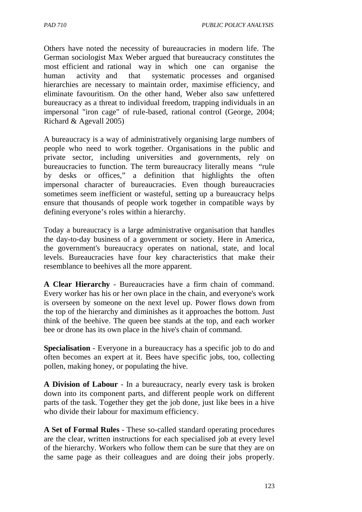*PAD 710 PUBLIC POLICY ANALYSIS* 

Others have noted the necessity of bureaucracies in modern life. The German sociologist Max Weber argued that bureaucracy constitutes the most efficient and rational way in which one can organise the human activity and that systematic processes and organised hierarchies are necessary to maintain order, maximise efficiency, and eliminate favouritism. On the other hand, Weber also saw unfettered bureaucracy as a threat to individual freedom, trapping individuals in an impersonal "iron cage" of rule-based, rational control (George, 2004; Richard & Agevall 2005)

A bureaucracy is a way of administratively organising large numbers of people who need to work together. Organisations in the public and private sector, including universities and governments, rely on bureaucracies to function. The term bureaucracy literally means "rule by desks or offices," a definition that highlights the often impersonal character of bureaucracies. Even though bureaucracies sometimes seem inefficient or wasteful, setting up a bureaucracy helps ensure that thousands of people work together in compatible ways by defining everyone's roles within a hierarchy.

Today a bureaucracy is a large administrative organisation that handles the day-to-day business of a government or society. Here in America, the government's bureaucracy operates on national, state, and local levels. Bureaucracies have four key characteristics that make their resemblance to beehives all the more apparent.

**A Clear Hierarchy** - Bureaucracies have a firm chain of command. Every worker has his or her own place in the chain, and everyone's work is overseen by someone on the next level up. Power flows down from the top of the hierarchy and diminishes as it approaches the bottom. Just think of the beehive. The queen bee stands at the top, and each worker bee or drone has its own place in the hive's chain of command.

**Specialisation** - Everyone in a bureaucracy has a specific job to do and often becomes an expert at it. Bees have specific jobs, too, collecting pollen, making honey, or populating the hive.

**A Division of Labour** - In a bureaucracy, nearly every task is broken down into its component parts, and different people work on different parts of the task. Together they get the job done, just like bees in a hive who divide their labour for maximum efficiency.

**A Set of Formal Rules** - These so-called standard operating procedures are the clear, written instructions for each specialised job at every level of the hierarchy. Workers who follow them can be sure that they are on the same page as their colleagues and are doing their jobs properly.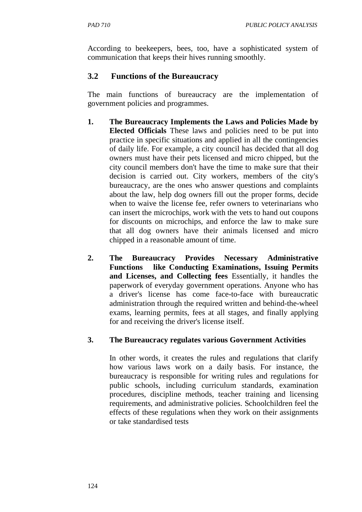According to beekeepers, bees, too, have a sophisticated system of communication that keeps their hives running smoothly.

# **3.2 Functions of the Bureaucracy**

The main functions of bureaucracy are the implementation of government policies and programmes.

- **1. The Bureaucracy Implements the Laws and Policies Made by Elected Officials** These laws and policies need to be put into practice in specific situations and applied in all the contingencies of daily life. For example, a city council has decided that all dog owners must have their pets licensed and micro chipped, but the city council members don't have the time to make sure that their decision is carried out. City workers, members of the city's bureaucracy, are the ones who answer questions and complaints about the law, help dog owners fill out the proper forms, decide when to waive the license fee, refer owners to veterinarians who can insert the microchips, work with the vets to hand out coupons for discounts on microchips, and enforce the law to make sure that all dog owners have their animals licensed and micro chipped in a reasonable amount of time.
- **2. The Bureaucracy Provides Necessary Administrative Functions like Conducting Examinations, Issuing Permits and Licenses, and Collecting fees** Essentially, it handles the paperwork of everyday government operations. Anyone who has a driver's license has come face-to-face with bureaucratic administration through the required written and behind-the-wheel exams, learning permits, fees at all stages, and finally applying for and receiving the driver's license itself.

### **3. The Bureaucracy regulates various Government Activities**

In other words, it creates the rules and regulations that clarify how various laws work on a daily basis. For instance, the bureaucracy is responsible for writing rules and regulations for public schools, including curriculum standards, examination procedures, discipline methods, teacher training and licensing requirements, and administrative policies. Schoolchildren feel the effects of these regulations when they work on their assignments or take standardised tests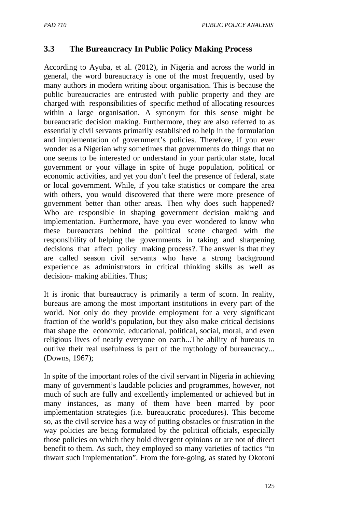#### **3.3 The Bureaucracy In Public Policy Making Process**

According to Ayuba, et al. (2012), in Nigeria and across the world in general, the word bureaucracy is one of the most frequently, used by many authors in modern writing about organisation. This is because the public bureaucracies are entrusted with public property and they are charged with responsibilities of specific method of allocating resources within a large organisation. A synonym for this sense might be bureaucratic decision making. Furthermore, they are also referred to as essentially civil servants primarily established to help in the formulation and implementation of government's policies. Therefore, if you ever wonder as a Nigerian why sometimes that governments do things that no one seems to be interested or understand in your particular state, local government or your village in spite of huge population, political or economic activities, and yet you don't feel the presence of federal, state or local government. While, if you take statistics or compare the area with others, you would discovered that there were more presence of government better than other areas. Then why does such happened? Who are responsible in shaping government decision making and implementation. Furthermore, have you ever wondered to know who these bureaucrats behind the political scene charged with the responsibility of helping the governments in taking and sharpening decisions that affect policy making process?. The answer is that they are called season civil servants who have a strong background experience as administrators in critical thinking skills as well as decision- making abilities. Thus;

It is ironic that bureaucracy is primarily a term of scorn. In reality, bureaus are among the most important institutions in every part of the world. Not only do they provide employment for a very significant fraction of the world's population, but they also make critical decisions that shape the economic, educational, political, social, moral, and even religious lives of nearly everyone on earth...The ability of bureaus to outlive their real usefulness is part of the mythology of bureaucracy... (Downs, 1967);

In spite of the important roles of the civil servant in Nigeria in achieving many of government's laudable policies and programmes, however, not much of such are fully and excellently implemented or achieved but in many instances, as many of them have been marred by poor implementation strategies (i.e. bureaucratic procedures). This become so, as the civil service has a way of putting obstacles or frustration in the way policies are being formulated by the political officials, especially those policies on which they hold divergent opinions or are not of direct benefit to them. As such, they employed so many varieties of tactics "to thwart such implementation". From the fore-going, as stated by Okotoni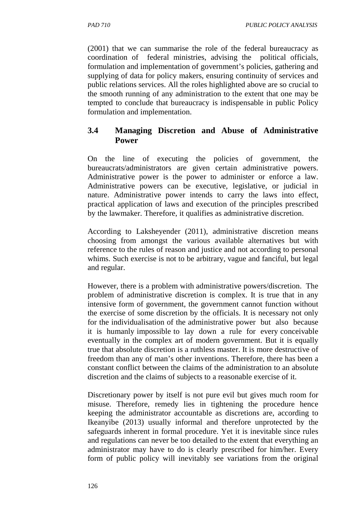(2001) that we can summarise the role of the federal bureaucracy as coordination of federal ministries, advising the political officials, formulation and implementation of government's policies, gathering and supplying of data for policy makers, ensuring continuity of services and public relations services. All the roles highlighted above are so crucial to the smooth running of any administration to the extent that one may be tempted to conclude that bureaucracy is indispensable in public Policy formulation and implementation.

#### **3.4 Managing Discretion and Abuse of Administrative Power**

On the line of executing the policies of government, the bureaucrats/administrators are given certain administrative powers. Administrative power is the power to administer or enforce a law. Administrative powers can be executive, legislative, or judicial in nature. Administrative power intends to carry the laws into effect, practical application of laws and execution of the principles prescribed by the lawmaker. Therefore, it qualifies as administrative discretion.

According to Laksheyender (2011), administrative discretion means choosing from amongst the various available alternatives but with reference to the rules of reason and justice and not according to personal whims. Such exercise is not to be arbitrary, vague and fanciful, but legal and regular.

However, there is a problem with administrative powers/discretion. The problem of administrative discretion is complex. It is true that in any intensive form of government, the government cannot function without the exercise of some discretion by the officials. It is necessary not only for the individualisation of the administrative power but also because it is humanly impossible to lay down a rule for every conceivable eventually in the complex art of modern government. But it is equally true that absolute discretion is a ruthless master. It is more destructive of freedom than any of man's other inventions. Therefore, there has been a constant conflict between the claims of the administration to an absolute discretion and the claims of subjects to a reasonable exercise of it.

Discretionary power by itself is not pure evil but gives much room for misuse. Therefore, remedy lies in tightening the procedure hence keeping the administrator accountable as discretions are, according to Ikeanyibe (2013) usually informal and therefore unprotected by the safeguards inherent in formal procedure. Yet it is inevitable since rules and regulations can never be too detailed to the extent that everything an administrator may have to do is clearly prescribed for him/her. Every form of public policy will inevitably see variations from the original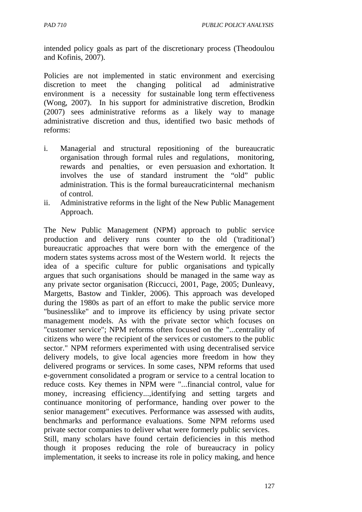intended policy goals as part of the discretionary process (Theodoulou and Kofinis, 2007).

Policies are not implemented in static environment and exercising discretion to meet the changing political ad administrative environment is a necessity for sustainable long term effectiveness (Wong, 2007). In his support for administrative discretion, Brodkin (2007) sees administrative reforms as a likely way to manage administrative discretion and thus, identified two basic methods of reforms:

- i. Managerial and structural repositioning of the bureaucratic organisation through formal rules and regulations, monitoring, rewards and penalties, or even persuasion and exhortation. It involves the use of standard instrument the "old" public administration. This is the formal bureaucraticinternal mechanism of control.
- ii. Administrative reforms in the light of the New Public Management Approach.

The New Public Management (NPM) approach to public service production and delivery runs counter to the old ('traditional') bureaucratic approaches that were born with the emergence of the modern states systems across most of the Western world. It rejects the idea of a specific culture for public organisations and typically argues that such organisations should be managed in the same way as any private sector organisation (Riccucci, 2001, Page, 2005; Dunleavy, Margetts, Bastow and Tinkler, 2006). This approach was developed during the 1980s as part of an effort to make the public service more "businesslike" and to improve its efficiency by using private sector management models. As with the private sector which focuses on "customer service"; NPM reforms often focused on the "...centrality of citizens who were the recipient of the services or customers to the public sector." NPM reformers experimented with using decentralised service delivery models, to give local agencies more freedom in how they delivered programs or services. In some cases, NPM reforms that used e-government consolidated a program or service to a central location to reduce costs. Key themes in NPM were "...financial control, value for money, increasing efficiency...,identifying and setting targets and continuance monitoring of performance, handing over power to the senior management" executives. Performance was assessed with audits, benchmarks and performance evaluations. Some NPM reforms used private sector companies to deliver what were formerly public services. Still, many scholars have found certain deficiencies in this method

though it proposes reducing the role of bureaucracy in policy implementation, it seeks to increase its role in policy making, and hence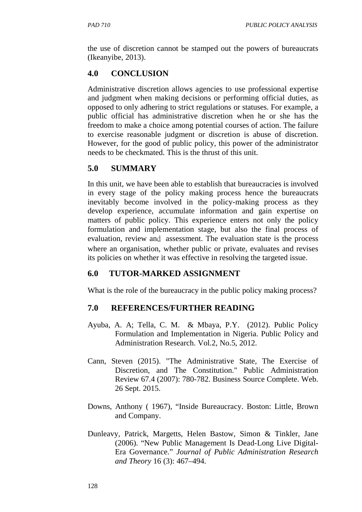the use of discretion cannot be stamped out the powers of bureaucrats (Ikeanyibe, 2013).

# **4.0 CONCLUSION**

Administrative discretion allows agencies to use professional expertise and judgment when making decisions or performing official duties, as opposed to only adhering to strict regulations or statuses. For example, a public official has administrative discretion when he or she has the freedom to make a choice among potential courses of action. The failure to exercise reasonable judgment or discretion is abuse of discretion. However, for the good of public policy, this power of the administrator needs to be checkmated. This is the thrust of this unit.

# **5.0 SUMMARY**

In this unit, we have been able to establish that bureaucracies is involved in every stage of the policy making process hence the bureaucrats inevitably become involved in the policy-making process as they develop experience, accumulate information and gain expertise on matters of public policy. This experience enters not only the policy formulation and implementation stage, but also the final process of evaluation, review and assessment. The evaluation state is the process where an organisation, whether public or private, evaluates and revises its policies on whether it was effective in resolving the targeted issue.

# **6.0 TUTOR-MARKED ASSIGNMENT**

What is the role of the bureaucracy in the public policy making process?

# **7.0 REFERENCES/FURTHER READING**

- Ayuba, A. A; Tella, C. M. & Mbaya, P.Y. (2012). Public Policy Formulation and Implementation in Nigeria. Public Policy and Administration Research. Vol.2, No.5, 2012.
- Cann, Steven (2015). "The Administrative State, The Exercise of Discretion, and The Constitution." Public Administration Review 67.4 (2007): 780-782. Business Source Complete. Web. 26 Sept. 2015.
- Downs, Anthony ( 1967), "Inside Bureaucracy. Boston: Little, Brown and Company.
- Dunleavy, Patrick, Margetts, Helen Bastow, Simon & Tinkler, Jane (2006). "New Public Management Is Dead-Long Live Digital-Era Governance." *Journal of Public Administration Research and Theory* 16 (3): 467–494.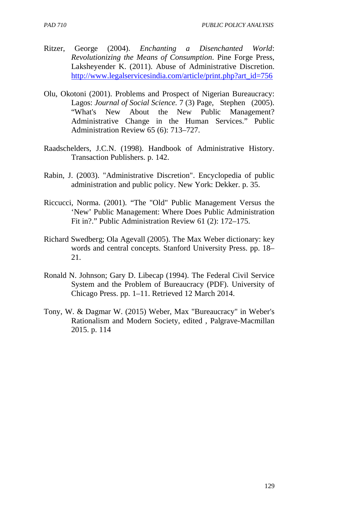- Ritzer, George (2004). *Enchanting a Disenchanted World*: *Revolutionizing the Means of Consumption*. Pine Forge Press, Laksheyender K. (2011). Abuse of Administrative Discretion. http://www.legalservicesindia.com/article/print.php?art\_id=756
- Olu, Okotoni (2001). Problems and Prospect of Nigerian Bureaucracy: Lagos: *Journal of Social Science.* 7 (3) Page, Stephen (2005). "What's New About the New Public Management? Administrative Change in the Human Services." Public Administration Review 65 (6): 713–727.
- Raadschelders, J.C.N. (1998). Handbook of Administrative History. Transaction Publishers. p. 142.
- Rabin, J. (2003). "Administrative Discretion". Encyclopedia of public administration and public policy. New York: Dekker. p. 35.
- Riccucci, Norma. (2001). "The "Old" Public Management Versus the 'New' Public Management: Where Does Public Administration Fit in?." Public Administration Review 61 (2): 172–175.
- Richard Swedberg; Ola Agevall (2005). The Max Weber dictionary: key words and central concepts. Stanford University Press. pp. 18– 21.
- Ronald N. Johnson; Gary D. Libecap (1994). The Federal Civil Service System and the Problem of Bureaucracy (PDF). University of Chicago Press. pp. 1–11. Retrieved 12 March 2014.
- Tony, W. & Dagmar W. (2015) Weber, Max "Bureaucracy" in Weber's Rationalism and Modern Society, edited , Palgrave-Macmillan 2015. p. 114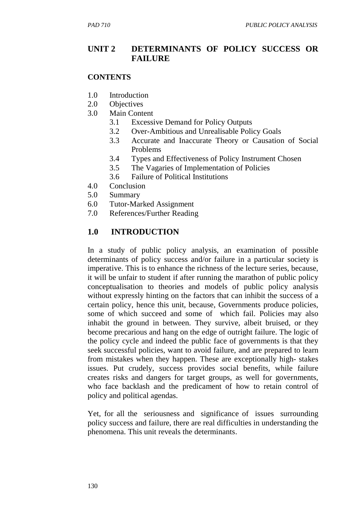#### **UNIT 2 DETERMINANTS OF POLICY SUCCESS OR FAILURE**

#### **CONTENTS**

- 1.0 Introduction
- 2.0 Objectives
- 3.0 Main Content
	- 3.1 Excessive Demand for Policy Outputs
	- 3.2 Over-Ambitious and Unrealisable Policy Goals
	- 3.3 Accurate and Inaccurate Theory or Causation of Social Problems
	- 3.4 Types and Effectiveness of Policy Instrument Chosen
	- 3.5 The Vagaries of Implementation of Policies
	- 3.6 Failure of Political Institutions
- 4.0 Conclusion
- 5.0 Summary
- 6.0 Tutor-Marked Assignment
- 7.0 References/Further Reading

### **1.0 INTRODUCTION**

In a study of public policy analysis, an examination of possible determinants of policy success and/or failure in a particular society is imperative. This is to enhance the richness of the lecture series, because, it will be unfair to student if after running the marathon of public policy conceptualisation to theories and models of public policy analysis without expressly hinting on the factors that can inhibit the success of a certain policy, hence this unit, because, Governments produce policies, some of which succeed and some of which fail. Policies may also inhabit the ground in between. They survive, albeit bruised, or they become precarious and hang on the edge of outright failure. The logic of the policy cycle and indeed the public face of governments is that they seek successful policies, want to avoid failure, and are prepared to learn from mistakes when they happen. These are exceptionally high- stakes issues. Put crudely, success provides social benefits, while failure creates risks and dangers for target groups, as well for governments, who face backlash and the predicament of how to retain control of policy and political agendas.

Yet, for all the seriousness and significance of issues surrounding policy success and failure, there are real difficulties in understanding the phenomena. This unit reveals the determinants.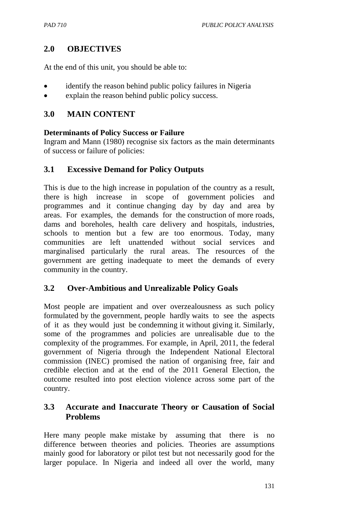### **2.0 OBJECTIVES**

At the end of this unit, you should be able to:

- identify the reason behind public policy failures in Nigeria
- explain the reason behind public policy success.

#### **3.0 MAIN CONTENT**

#### **Determinants of Policy Success or Failure**

Ingram and Mann (1980) recognise six factors as the main determinants of success or failure of policies:

#### **3.1 Excessive Demand for Policy Outputs**

This is due to the high increase in population of the country as a result, there is high increase in scope of government policies and programmes and it continue changing day by day and area by areas. For examples, the demands for the construction of more roads, dams and boreholes, health care delivery and hospitals, industries, schools to mention but a few are too enormous. Today, many communities are left unattended without social services and marginalised particularly the rural areas. The resources of the government are getting inadequate to meet the demands of every community in the country.

#### **3.2 Over-Ambitious and Unrealizable Policy Goals**

Most people are impatient and over overzealousness as such policy formulated by the government, people hardly waits to see the aspects of it as they would just be condemning it without giving it. Similarly, some of the programmes and policies are unrealisable due to the complexity of the programmes. For example, in April, 2011, the federal government of Nigeria through the Independent National Electoral commission (INEC) promised the nation of organising free, fair and credible election and at the end of the 2011 General Election, the outcome resulted into post election violence across some part of the country.

#### **3.3 Accurate and Inaccurate Theory or Causation of Social Problems**

Here many people make mistake by assuming that there is no difference between theories and policies. Theories are assumptions mainly good for laboratory or pilot test but not necessarily good for the larger populace. In Nigeria and indeed all over the world, many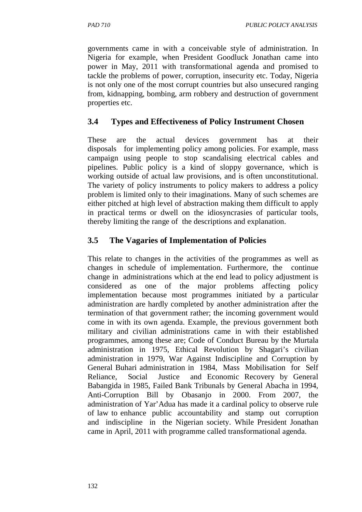governments came in with a conceivable style of administration. In Nigeria for example, when President Goodluck Jonathan came into power in May, 2011 with transformational agenda and promised to tackle the problems of power, corruption, insecurity etc. Today, Nigeria is not only one of the most corrupt countries but also unsecured ranging from, kidnapping, bombing, arm robbery and destruction of government properties etc.

# **3.4 Types and Effectiveness of Policy Instrument Chosen**

These are the actual devices government has at their disposals for implementing policy among policies. For example, mass campaign using people to stop scandalising electrical cables and pipelines. Public policy is a kind of sloppy governance, which is working outside of actual law provisions, and is often unconstitutional. The variety of policy instruments to policy makers to address a policy problem is limited only to their imaginations. Many of such schemes are either pitched at high level of abstraction making them difficult to apply in practical terms or dwell on the idiosyncrasies of particular tools, thereby limiting the range of the descriptions and explanation.

# **3.5 The Vagaries of Implementation of Policies**

This relate to changes in the activities of the programmes as well as changes in schedule of implementation. Furthermore, the continue change in administrations which at the end lead to policy adjustment is considered as one of the major problems affecting policy implementation because most programmes initiated by a particular administration are hardly completed by another administration after the termination of that government rather; the incoming government would come in with its own agenda. Example, the previous government both military and civilian administrations came in with their established programmes, among these are; Code of Conduct Bureau by the Murtala administration in 1975, Ethical Revolution by Shagari's civilian administration in 1979, War Against Indiscipline and Corruption by General Buhari administration in 1984, Mass Mobilisation for Self Reliance, Social Justice and Economic Recovery by General Babangida in 1985, Failed Bank Tribunals by General Abacha in 1994, Anti-Corruption Bill by Obasanjo in 2000. From 2007, the administration of Yar'Adua has made it a cardinal policy to observe rule of law to enhance public accountability and stamp out corruption and indiscipline in the Nigerian society. While President Jonathan came in April, 2011 with programme called transformational agenda.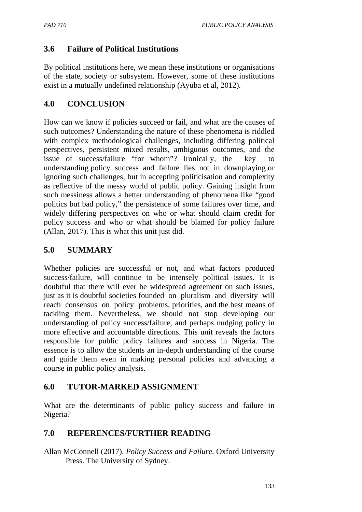# **3.6 Failure of Political Institutions**

By political institutions here, we mean these institutions or organisations of the state, society or subsystem. However, some of these institutions exist in a mutually undefined relationship (Ayuba et al, 2012).

# **4.0 CONCLUSION**

How can we know if policies succeed or fail, and what are the causes of such outcomes? Understanding the nature of these phenomena is riddled with complex methodological challenges, including differing political perspectives, persistent mixed results, ambiguous outcomes, and the issue of success/failure "for whom"? Ironically, the key understanding policy success and failure lies not in downplaying or ignoring such challenges, but in accepting politicisation and complexity as reflective of the messy world of public policy. Gaining insight from such messiness allows a better understanding of phenomena like "good politics but bad policy," the persistence of some failures over time, and widely differing perspectives on who or what should claim credit for policy success and who or what should be blamed for policy failure (Allan, 2017). This is what this unit just did.

### **5.0 SUMMARY**

Whether policies are successful or not, and what factors produced success/failure, will continue to be intensely political issues. It is doubtful that there will ever be widespread agreement on such issues, just as it is doubtful societies founded on pluralism and diversity will reach consensus on policy problems, priorities, and the best means of tackling them. Nevertheless, we should not stop developing our understanding of policy success/failure, and perhaps nudging policy in more effective and accountable directions. This unit reveals the factors responsible for public policy failures and success in Nigeria. The essence is to allow the students an in-depth understanding of the course and guide them even in making personal policies and advancing a course in public policy analysis.

### **6.0 TUTOR-MARKED ASSIGNMENT**

What are the determinants of public policy success and failure in Nigeria?

### **7.0 REFERENCES/FURTHER READING**

Allan McConnell (2017). *Policy Success and Failure*. Oxford University Press. The University of Sydney.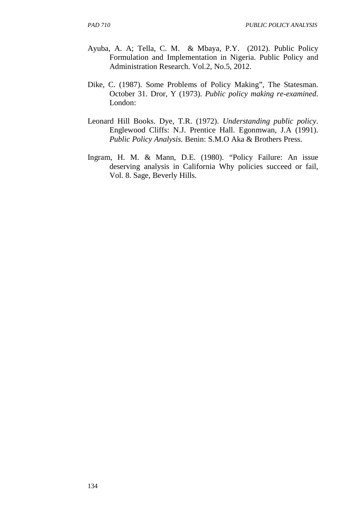- Ayuba, A. A; Tella, C. M. & Mbaya, P.Y. (2012). Public Policy Formulation and Implementation in Nigeria. Public Policy and Administration Research. Vol.2, No.5, 2012.
- Dike, C. (1987). Some Problems of Policy Making", The Statesman. October 31. Dror, Y (1973). *Public policy making re-examined*. London:
- Leonard Hill Books. Dye, T.R. (1972). *Understanding public policy*. Englewood Cliffs: N.J. Prentice Hall. Egonmwan, J.A (1991). *Public Policy Analysis*. Benin: S.M.O Aka & Brothers Press.
- Ingram, H. M. & Mann, D.E. (1980). "Policy Failure: An issue deserving analysis in California Why policies succeed or fail, Vol. 8. Sage, Beverly Hills.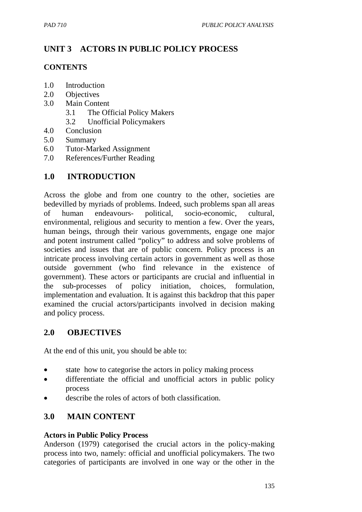# **UNIT 3 ACTORS IN PUBLIC POLICY PROCESS**

#### **CONTENTS**

- 1.0 Introduction
- 2.0 Objectives
- 3.0 Main Content
	- 3.1 The Official Policy Makers
	- 3.2 Unofficial Policymakers
- 4.0 Conclusion
- 5.0 Summary
- 6.0 Tutor-Marked Assignment
- 7.0 References/Further Reading

# **1.0 INTRODUCTION**

Across the globe and from one country to the other, societies are bedevilled by myriads of problems. Indeed, such problems span all areas of human endeavours- political, socio-economic, cultural, environmental, religious and security to mention a few. Over the years, human beings, through their various governments, engage one major and potent instrument called "policy" to address and solve problems of societies and issues that are of public concern. Policy process is an intricate process involving certain actors in government as well as those outside government (who find relevance in the existence of government). These actors or participants are crucial and influential in the sub-processes of policy initiation, choices, formulation, implementation and evaluation. It is against this backdrop that this paper examined the crucial actors/participants involved in decision making and policy process.

### **2.0 OBJECTIVES**

At the end of this unit, you should be able to:

- state how to categorise the actors in policy making process
- differentiate the official and unofficial actors in public policy process
- describe the roles of actors of both classification.

# **3.0 MAIN CONTENT**

#### **Actors in Public Policy Process**

Anderson (1979) categorised the crucial actors in the policy-making process into two, namely: official and unofficial policymakers. The two categories of participants are involved in one way or the other in the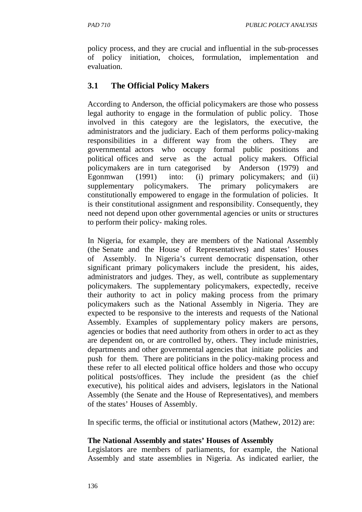policy process, and they are crucial and influential in the sub-processes of policy initiation, choices, formulation, implementation and evaluation.

# **3.1 The Official Policy Makers**

According to Anderson, the official policymakers are those who possess legal authority to engage in the formulation of public policy. Those involved in this category are the legislators, the executive, the administrators and the judiciary. Each of them performs policy-making responsibilities in a different way from the others. They are governmental actors who occupy formal public positions and political offices and serve as the actual policy makers. Official policymakers are in turn categorised by Anderson (1979) and Egonmwan (1991) into: (i) primary policymakers; and (ii) supplementary policymakers. The primary policymakers are constitutionally empowered to engage in the formulation of policies. It is their constitutional assignment and responsibility. Consequently, they need not depend upon other governmental agencies or units or structures to perform their policy- making roles.

In Nigeria, for example, they are members of the National Assembly (the Senate and the House of Representatives) and states' Houses of Assembly. In Nigeria's current democratic dispensation, other significant primary policymakers include the president, his aides, administrators and judges. They, as well, contribute as supplementary policymakers. The supplementary policymakers, expectedly, receive their authority to act in policy making process from the primary policymakers such as the National Assembly in Nigeria. They are expected to be responsive to the interests and requests of the National Assembly. Examples of supplementary policy makers are persons, agencies or bodies that need authority from others in order to act as they are dependent on, or are controlled by, others. They include ministries, departments and other governmental agencies that initiate policies and push for them. There are politicians in the policy-making process and these refer to all elected political office holders and those who occupy political posts/offices. They include the president (as the chief executive), his political aides and advisers, legislators in the National Assembly (the Senate and the House of Representatives), and members of the states' Houses of Assembly.

In specific terms, the official or institutional actors (Mathew, 2012) are:

### **The National Assembly and states' Houses of Assembly**

Legislators are members of parliaments, for example, the National Assembly and state assemblies in Nigeria. As indicated earlier, the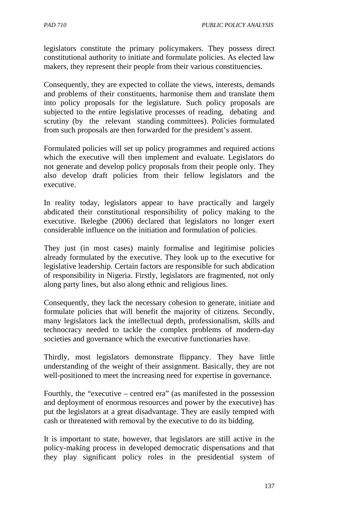legislators constitute the primary policymakers. They possess direct constitutional authority to initiate and formulate policies. As elected law makers, they represent their people from their various constituencies.

Consequently, they are expected to collate the views, interests, demands and problems of their constituents, harmonise them and translate them into policy proposals for the legislature. Such policy proposals are subjected to the entire legislative processes of reading, debating and scrutiny (by the relevant standing committees). Policies formulated from such proposals are then forwarded for the president's assent.

Formulated policies will set up policy programmes and required actions which the executive will then implement and evaluate. Legislators do not generate and develop policy proposals from their people only. They also develop draft policies from their fellow legislators and the executive.

In reality today, legislators appear to have practically and largely abdicated their constitutional responsibility of policy making to the executive. Ikelegbe (2006) declared that legislators no longer exert considerable influence on the initiation and formulation of policies.

They just (in most cases) mainly formalise and legitimise policies already formulated by the executive. They look up to the executive for legislative leadership. Certain factors are responsible for such abdication of responsibility in Nigeria. Firstly, legislators are fragmented, not only along party lines, but also along ethnic and religious lines.

Consequently, they lack the necessary cohesion to generate, initiate and formulate policies that will benefit the majority of citizens. Secondly, many legislators lack the intellectual depth, professionalism, skills and technocracy needed to tackle the complex problems of modern-day societies and governance which the executive functionaries have.

Thirdly, most legislators demonstrate flippancy. They have little understanding of the weight of their assignment. Basically, they are not well-positioned to meet the increasing need for expertise in governance.

Fourthly, the "executive – centred era" (as manifested in the possession and deployment of enormous resources and power by the executive) has put the legislators at a great disadvantage. They are easily tempted with cash or threatened with removal by the executive to do its bidding.

It is important to state, however, that legislators are still active in the policy-making process in developed democratic dispensations and that they play significant policy roles in the presidential system of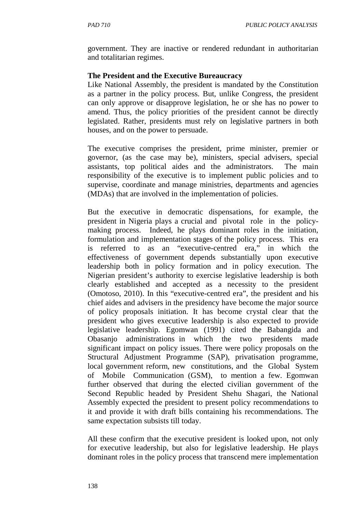government. They are inactive or rendered redundant in authoritarian and totalitarian regimes.

#### **The President and the Executive Bureaucracy**

Like National Assembly, the president is mandated by the Constitution as a partner in the policy process. But, unlike Congress, the president can only approve or disapprove legislation, he or she has no power to amend. Thus, the policy priorities of the president cannot be directly legislated. Rather, presidents must rely on legislative partners in both houses, and on the power to persuade.

The executive comprises the president, prime minister, premier or governor, (as the case may be), ministers, special advisers, special assistants, top political aides and the administrators. The main responsibility of the executive is to implement public policies and to supervise, coordinate and manage ministries, departments and agencies (MDAs) that are involved in the implementation of policies.

But the executive in democratic dispensations, for example, the president in Nigeria plays a crucial and pivotal role in the policymaking process. Indeed, he plays dominant roles in the initiation, formulation and implementation stages of the policy process. This era is referred to as an "executive-centred era," in which the effectiveness of government depends substantially upon executive leadership both in policy formation and in policy execution. The Nigerian president's authority to exercise legislative leadership is both clearly established and accepted as a necessity to the president (Omotoso, 2010). In this "executive-centred era", the president and his chief aides and advisers in the presidency have become the major source of policy proposals initiation. It has become crystal clear that the president who gives executive leadership is also expected to provide legislative leadership. Egomwan (1991) cited the Babangida and Obasanjo administrations in which the two presidents made significant impact on policy issues. There were policy proposals on the Structural Adjustment Programme (SAP), privatisation programme, local government reform, new constitutions, and the Global System of Mobile Communication (GSM), to mention a few. Egomwan further observed that during the elected civilian government of the Second Republic headed by President Shehu Shagari, the National Assembly expected the president to present policy recommendations to it and provide it with draft bills containing his recommendations. The same expectation subsists till today.

All these confirm that the executive president is looked upon, not only for executive leadership, but also for legislative leadership. He plays dominant roles in the policy process that transcend mere implementation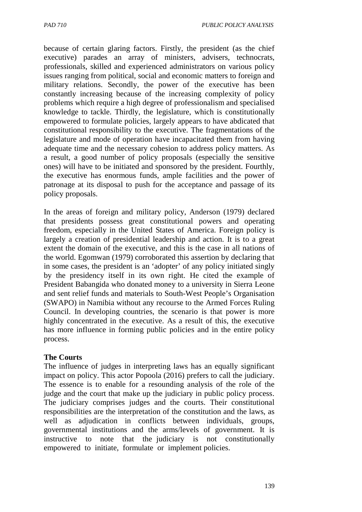because of certain glaring factors. Firstly, the president (as the chief executive) parades an array of ministers, advisers, technocrats, professionals, skilled and experienced administrators on various policy issues ranging from political, social and economic matters to foreign and military relations. Secondly, the power of the executive has been constantly increasing because of the increasing complexity of policy problems which require a high degree of professionalism and specialised knowledge to tackle. Thirdly, the legislature, which is constitutionally empowered to formulate policies, largely appears to have abdicated that constitutional responsibility to the executive. The fragmentations of the legislature and mode of operation have incapacitated them from having adequate time and the necessary cohesion to address policy matters. As a result, a good number of policy proposals (especially the sensitive ones) will have to be initiated and sponsored by the president. Fourthly, the executive has enormous funds, ample facilities and the power of patronage at its disposal to push for the acceptance and passage of its policy proposals.

In the areas of foreign and military policy, Anderson (1979) declared that presidents possess great constitutional powers and operating freedom, especially in the United States of America. Foreign policy is largely a creation of presidential leadership and action. It is to a great extent the domain of the executive, and this is the case in all nations of the world. Egomwan (1979) corroborated this assertion by declaring that in some cases, the president is an 'adopter' of any policy initiated singly by the presidency itself in its own right. He cited the example of President Babangida who donated money to a university in Sierra Leone and sent relief funds and materials to South-West People's Organisation (SWAPO) in Namibia without any recourse to the Armed Forces Ruling Council. In developing countries, the scenario is that power is more highly concentrated in the executive. As a result of this, the executive has more influence in forming public policies and in the entire policy process.

#### **The Courts**

The influence of judges in interpreting laws has an equally significant impact on policy. This actor Popoola (2016) prefers to call the judiciary. The essence is to enable for a resounding analysis of the role of the judge and the court that make up the judiciary in public policy process. The judiciary comprises judges and the courts. Their constitutional responsibilities are the interpretation of the constitution and the laws, as well as adjudication in conflicts between individuals, groups, governmental institutions and the arms/levels of government. It is instructive to note that the judiciary is not constitutionally empowered to initiate, formulate or implement policies.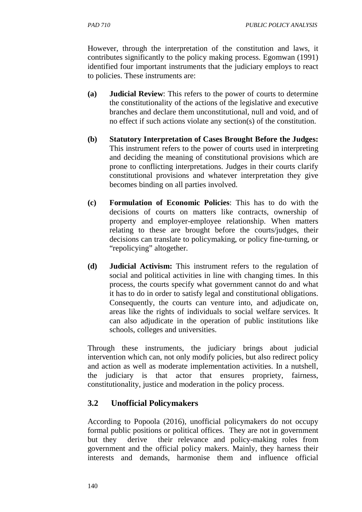However, through the interpretation of the constitution and laws, it contributes significantly to the policy making process. Egomwan (1991) identified four important instruments that the judiciary employs to react to policies. These instruments are:

- **(a) Judicial Review**: This refers to the power of courts to determine the constitutionality of the actions of the legislative and executive branches and declare them unconstitutional, null and void, and of no effect if such actions violate any section(s) of the constitution.
- **(b) Statutory Interpretation of Cases Brought Before the Judges:**  This instrument refers to the power of courts used in interpreting and deciding the meaning of constitutional provisions which are prone to conflicting interpretations. Judges in their courts clarify constitutional provisions and whatever interpretation they give becomes binding on all parties involved.
- **(c) Formulation of Economic Policies**: This has to do with the decisions of courts on matters like contracts, ownership of property and employer-employee relationship. When matters relating to these are brought before the courts/judges, their decisions can translate to policymaking, or policy fine-turning, or "repolicying" altogether.
- **(d) Judicial Activism:** This instrument refers to the regulation of social and political activities in line with changing times. In this process, the courts specify what government cannot do and what it has to do in order to satisfy legal and constitutional obligations. Consequently, the courts can venture into, and adjudicate on, areas like the rights of individuals to social welfare services. It can also adjudicate in the operation of public institutions like schools, colleges and universities.

Through these instruments, the judiciary brings about judicial intervention which can, not only modify policies, but also redirect policy and action as well as moderate implementation activities. In a nutshell, the judiciary is that actor that ensures propriety, fairness, constitutionality, justice and moderation in the policy process.

# **3.2 Unofficial Policymakers**

According to Popoola (2016), unofficial policymakers do not occupy formal public positions or political offices. They are not in government but they derive their relevance and policy-making roles from government and the official policy makers. Mainly, they harness their interests and demands, harmonise them and influence official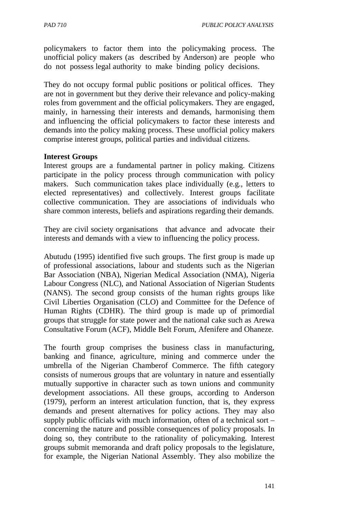policymakers to factor them into the policymaking process. The unofficial policy makers (as described by Anderson) are people who do not possess legal authority to make binding policy decisions.

They do not occupy formal public positions or political offices. They are not in government but they derive their relevance and policy-making roles from government and the official policymakers. They are engaged, mainly, in harnessing their interests and demands, harmonising them and influencing the official policymakers to factor these interests and demands into the policy making process. These unofficial policy makers comprise interest groups, political parties and individual citizens.

#### **Interest Groups**

Interest groups are a fundamental partner in policy making. Citizens participate in the policy process through communication with policy makers. Such communication takes place individually (e.g., letters to elected representatives) and collectively. Interest groups facilitate collective communication. They are associations of individuals who share common interests, beliefs and aspirations regarding their demands.

They are civil society organisations that advance and advocate their interests and demands with a view to influencing the policy process.

Abutudu (1995) identified five such groups. The first group is made up of professional associations, labour and students such as the Nigerian Bar Association (NBA), Nigerian Medical Association (NMA), Nigeria Labour Congress (NLC), and National Association of Nigerian Students (NANS). The second group consists of the human rights groups like Civil Liberties Organisation (CLO) and Committee for the Defence of Human Rights (CDHR). The third group is made up of primordial groups that struggle for state power and the national cake such as Arewa Consultative Forum (ACF), Middle Belt Forum, Afenifere and Ohaneze.

The fourth group comprises the business class in manufacturing, banking and finance, agriculture, mining and commerce under the umbrella of the Nigerian Chamberof Commerce. The fifth category consists of numerous groups that are voluntary in nature and essentially mutually supportive in character such as town unions and community development associations. All these groups, according to Anderson (1979), perform an interest articulation function, that is, they express demands and present alternatives for policy actions. They may also supply public officials with much information, often of a technical sort – concerning the nature and possible consequences of policy proposals. In doing so, they contribute to the rationality of policymaking. Interest groups submit memoranda and draft policy proposals to the legislature, for example, the Nigerian National Assembly. They also mobilize the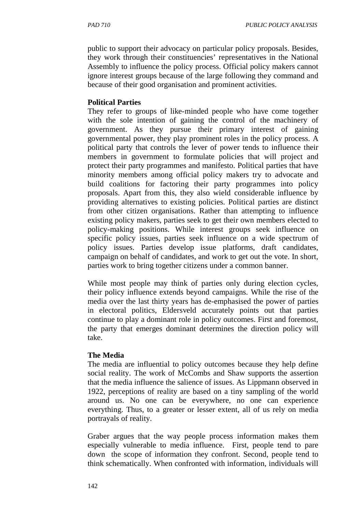public to support their advocacy on particular policy proposals. Besides, they work through their constituencies' representatives in the National Assembly to influence the policy process. Official policy makers cannot ignore interest groups because of the large following they command and because of their good organisation and prominent activities.

### **Political Parties**

They refer to groups of like-minded people who have come together with the sole intention of gaining the control of the machinery of government. As they pursue their primary interest of gaining governmental power, they play prominent roles in the policy process. A political party that controls the lever of power tends to influence their members in government to formulate policies that will project and protect their party programmes and manifesto. Political parties that have minority members among official policy makers try to advocate and build coalitions for factoring their party programmes into policy proposals. Apart from this, they also wield considerable influence by providing alternatives to existing policies. Political parties are distinct from other citizen organisations. Rather than attempting to influence existing policy makers, parties seek to get their own members elected to policy-making positions. While interest groups seek influence on specific policy issues, parties seek influence on a wide spectrum of policy issues. Parties develop issue platforms, draft candidates, campaign on behalf of candidates, and work to get out the vote. In short, parties work to bring together citizens under a common banner.

While most people may think of parties only during election cycles, their policy influence extends beyond campaigns. While the rise of the media over the last thirty years has de-emphasised the power of parties in electoral politics, Eldersveld accurately points out that parties continue to play a dominant role in policy outcomes. First and foremost, the party that emerges dominant determines the direction policy will take.

### **The Media**

The media are influential to policy outcomes because they help define social reality. The work of McCombs and Shaw supports the assertion that the media influence the salience of issues. As Lippmann observed in 1922, perceptions of reality are based on a tiny sampling of the world around us. No one can be everywhere, no one can experience everything. Thus, to a greater or lesser extent, all of us rely on media portrayals of reality.

Graber argues that the way people process information makes them especially vulnerable to media influence. First, people tend to pare down the scope of information they confront. Second, people tend to think schematically. When confronted with information, individuals will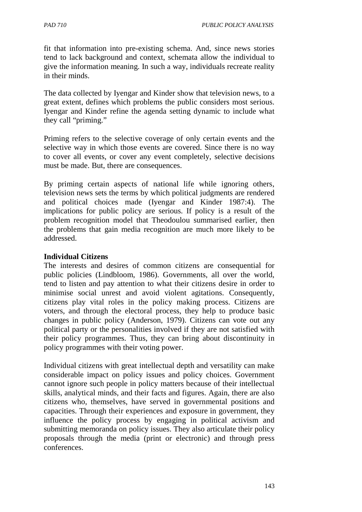fit that information into pre-existing schema. And, since news stories tend to lack background and context, schemata allow the individual to give the information meaning. In such a way, individuals recreate reality in their minds.

The data collected by Iyengar and Kinder show that television news, to a great extent, defines which problems the public considers most serious. Iyengar and Kinder refine the agenda setting dynamic to include what they call "priming."

Priming refers to the selective coverage of only certain events and the selective way in which those events are covered. Since there is no way to cover all events, or cover any event completely, selective decisions must be made. But, there are consequences.

By priming certain aspects of national life while ignoring others, television news sets the terms by which political judgments are rendered and political choices made (Iyengar and Kinder 1987:4). The implications for public policy are serious. If policy is a result of the problem recognition model that Theodoulou summarised earlier, then the problems that gain media recognition are much more likely to be addressed.

#### **Individual Citizens**

The interests and desires of common citizens are consequential for public policies (Lindbloom, 1986). Governments, all over the world, tend to listen and pay attention to what their citizens desire in order to minimise social unrest and avoid violent agitations. Consequently, citizens play vital roles in the policy making process. Citizens are voters, and through the electoral process, they help to produce basic changes in public policy (Anderson, 1979). Citizens can vote out any political party or the personalities involved if they are not satisfied with their policy programmes. Thus, they can bring about discontinuity in policy programmes with their voting power.

Individual citizens with great intellectual depth and versatility can make considerable impact on policy issues and policy choices. Government cannot ignore such people in policy matters because of their intellectual skills, analytical minds, and their facts and figures. Again, there are also citizens who, themselves, have served in governmental positions and capacities. Through their experiences and exposure in government, they influence the policy process by engaging in political activism and submitting memoranda on policy issues. They also articulate their policy proposals through the media (print or electronic) and through press conferences.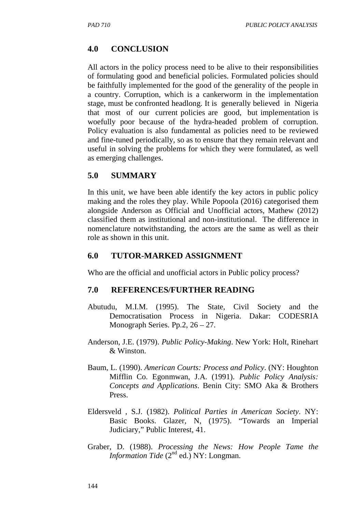## **4.0 CONCLUSION**

All actors in the policy process need to be alive to their responsibilities of formulating good and beneficial policies. Formulated policies should be faithfully implemented for the good of the generality of the people in a country. Corruption, which is a cankerworm in the implementation stage, must be confronted headlong. It is generally believed in Nigeria that most of our current policies are good, but implementation is woefully poor because of the hydra-headed problem of corruption. Policy evaluation is also fundamental as policies need to be reviewed and fine-tuned periodically, so as to ensure that they remain relevant and useful in solving the problems for which they were formulated, as well as emerging challenges.

#### **5.0 SUMMARY**

In this unit, we have been able identify the key actors in public policy making and the roles they play. While Popoola (2016) categorised them alongside Anderson as Official and Unofficial actors, Mathew (2012) classified them as institutional and non-institutional. The difference in nomenclature notwithstanding, the actors are the same as well as their role as shown in this unit.

#### **6.0 TUTOR-MARKED ASSIGNMENT**

Who are the official and unofficial actors in Public policy process?

#### **7.0 REFERENCES/FURTHER READING**

- Abutudu, M.I.M. (1995). The State, Civil Society and the Democratisation Process in Nigeria. Dakar: CODESRIA Monograph Series. Pp.2, 26 – 27.
- Anderson, J.E. (1979). *Public Policy-Making*. New York: Holt, Rinehart & Winston.
- Baum, L. (1990). *American Courts: Process and Policy*. (NY: Houghton Mifflin Co. Egonmwan, J.A. (1991). *Public Policy Analysis: Concepts and Applications*. Benin City: SMO Aka & Brothers Press.
- Eldersveld , S.J. (1982). *Political Parties in American Society*. NY: Basic Books. Glazer, N, (1975). "Towards an Imperial Judiciary," Public Interest, 41.
- Graber, D. (1988). *Processing the News: How People Tame the Information Tide* (2<sup>nd</sup> ed.) NY: Longman.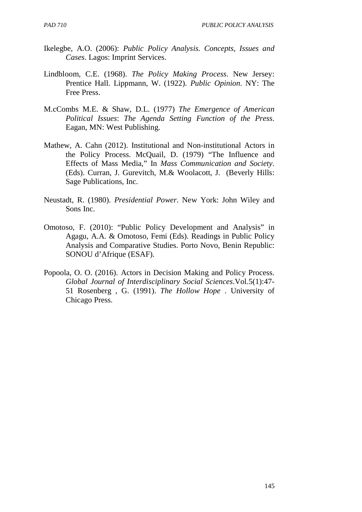- Ikelegbe, A.O. (2006): *Public Policy Analysis. Concepts, Issues and Cases*. Lagos: Imprint Services.
- Lindbloom, C.E. (1968). *The Policy Making Process*. New Jersey: Prentice Hall. Lippmann, W. (1922). *Public Opinion*. NY: The Free Press.
- M.cCombs M.E. & Shaw, D.L. (1977) *The Emergence of American Political Issues*: *The Agenda Setting Function of the Press*. Eagan, MN: West Publishing.
- Mathew, A. Cahn (2012). Institutional and Non-institutional Actors in the Policy Process. McQuail, D. (1979) "The Influence and Effects of Mass Media," In *Mass Communication and Society*. (Eds). Curran, J. Gurevitch, M.& Woolacott, J. (Beverly Hills: Sage Publications, Inc.
- Neustadt, R. (1980). *Presidential Power*. New York: John Wiley and Sons Inc.
- Omotoso, F. (2010): "Public Policy Development and Analysis" in Agagu, A.A. & Omotoso, Femi (Eds). Readings in Public Policy Analysis and Comparative Studies. Porto Novo, Benin Republic: SONOU d'Afrique (ESAF).
- Popoola, O. O. (2016). Actors in Decision Making and Policy Process. *Global Journal of Interdisciplinary Social Sciences*.Vol.5(1):47- 51 Rosenberg , G. (1991). *The Hollow Hope* . University of Chicago Press.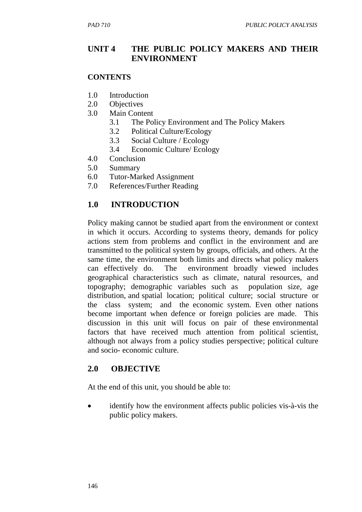## **UNIT 4 THE PUBLIC POLICY MAKERS AND THEIR ENVIRONMENT**

#### **CONTENTS**

- 1.0 Introduction
- 2.0 Objectives
- 3.0 Main Content
	- 3.1 The Policy Environment and The Policy Makers
	- 3.2 Political Culture/Ecology
	- 3.3 Social Culture / Ecology
	- 3.4 Economic Culture/ Ecology
- 4.0 Conclusion
- 5.0 Summary
- 6.0 Tutor-Marked Assignment
- 7.0 References/Further Reading

## **1.0 INTRODUCTION**

Policy making cannot be studied apart from the environment or context in which it occurs. According to systems theory, demands for policy actions stem from problems and conflict in the environment and are transmitted to the political system by groups, officials, and others. At the same time, the environment both limits and directs what policy makers can effectively do. The environment broadly viewed includes geographical characteristics such as climate, natural resources, and topography; demographic variables such as population size, age distribution, and spatial location; political culture; social structure or the class system; and the economic system. Even other nations become important when defence or foreign policies are made. This discussion in this unit will focus on pair of these environmental factors that have received much attention from political scientist, although not always from a policy studies perspective; political culture and socio- economic culture.

### **2.0 OBJECTIVE**

At the end of this unit, you should be able to:

identify how the environment affects public policies vis-à-vis the public policy makers.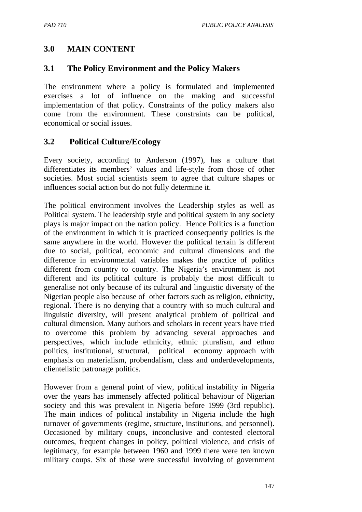# **3.0 MAIN CONTENT**

## **3.1 The Policy Environment and the Policy Makers**

The environment where a policy is formulated and implemented exercises a lot of influence on the making and successful implementation of that policy. Constraints of the policy makers also come from the environment. These constraints can be political, economical or social issues.

## **3.2 Political Culture/Ecology**

Every society, according to Anderson (1997), has a culture that differentiates its members' values and life-style from those of other societies. Most social scientists seem to agree that culture shapes or influences social action but do not fully determine it.

The political environment involves the Leadership styles as well as Political system. The leadership style and political system in any society plays is major impact on the nation policy. Hence Politics is a function of the environment in which it is practiced consequently politics is the same anywhere in the world. However the political terrain is different due to social, political, economic and cultural dimensions and the difference in environmental variables makes the practice of politics different from country to country. The Nigeria's environment is not different and its political culture is probably the most difficult to generalise not only because of its cultural and linguistic diversity of the Nigerian people also because of other factors such as religion, ethnicity, regional. There is no denying that a country with so much cultural and linguistic diversity, will present analytical problem of political and cultural dimension. Many authors and scholars in recent years have tried to overcome this problem by advancing several approaches and perspectives, which include ethnicity, ethnic pluralism, and ethno politics, institutional, structural, political economy approach with emphasis on materialism, probendalism, class and underdevelopments, clientelistic patronage politics.

However from a general point of view, political instability in Nigeria over the years has immensely affected political behaviour of Nigerian society and this was prevalent in Nigeria before 1999 (3rd republic). The main indices of political instability in Nigeria include the high turnover of governments (regime, structure, institutions, and personnel). Occasioned by military coups, inconclusive and contested electoral outcomes, frequent changes in policy, political violence, and crisis of legitimacy, for example between 1960 and 1999 there were ten known military coups. Six of these were successful involving of government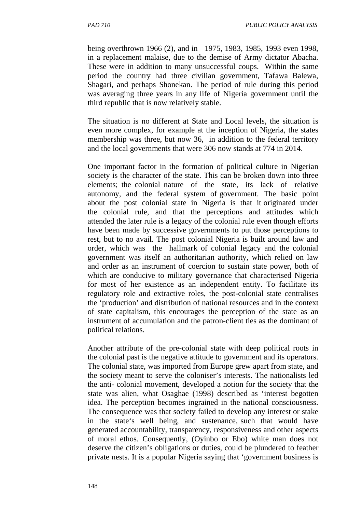being overthrown 1966 (2), and in 1975, 1983, 1985, 1993 even 1998, in a replacement malaise, due to the demise of Army dictator Abacha. These were in addition to many unsuccessful coups. Within the same period the country had three civilian government, Tafawa Balewa, Shagari, and perhaps Shonekan. The period of rule during this period was averaging three years in any life of Nigeria government until the third republic that is now relatively stable.

The situation is no different at State and Local levels, the situation is even more complex, for example at the inception of Nigeria, the states membership was three, but now 36, in addition to the federal territory and the local governments that were 306 now stands at 774 in 2014.

One important factor in the formation of political culture in Nigerian society is the character of the state. This can be broken down into three elements; the colonial nature of the state, its lack of relative autonomy, and the federal system of government. The basic point about the post colonial state in Nigeria is that it originated under the colonial rule, and that the perceptions and attitudes which attended the later rule is a legacy of the colonial rule even though efforts have been made by successive governments to put those perceptions to rest, but to no avail. The post colonial Nigeria is built around law and order, which was the hallmark of colonial legacy and the colonial government was itself an authoritarian authority, which relied on law and order as an instrument of coercion to sustain state power, both of which are conducive to military governance that characterised Nigeria for most of her existence as an independent entity. To facilitate its regulatory role and extractive roles, the post-colonial state centralises the 'production' and distribution of national resources and in the context of state capitalism, this encourages the perception of the state as an instrument of accumulation and the patron-client ties as the dominant of political relations.

Another attribute of the pre-colonial state with deep political roots in the colonial past is the negative attitude to government and its operators. The colonial state, was imported from Europe grew apart from state, and the society meant to serve the coloniser's interests. The nationalists led the anti- colonial movement, developed a notion for the society that the state was alien, what Osaghae (1998) described as 'interest begotten idea. The perception becomes ingrained in the national consciousness. The consequence was that society failed to develop any interest or stake in the state's well being, and sustenance, such that would have generated accountability, transparency, responsiveness and other aspects of moral ethos. Consequently, (Oyinbo or Ebo) white man does not deserve the citizen's obligations or duties, could be plundered to feather private nests. It is a popular Nigeria saying that 'government business is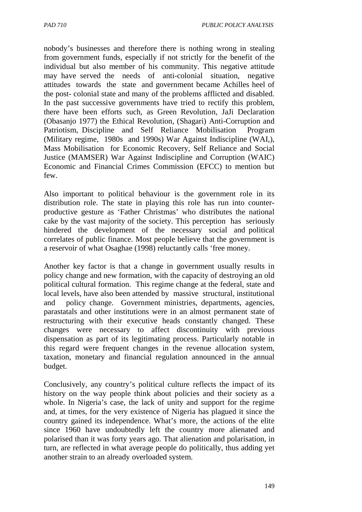nobody's businesses and therefore there is nothing wrong in stealing from government funds, especially if not strictly for the benefit of the individual but also member of his community. This negative attitude may have served the needs of anti-colonial situation, negative attitudes towards the state and government became Achilles heel of the post- colonial state and many of the problems afflicted and disabled. In the past successive governments have tried to rectify this problem, there have been efforts such, as Green Revolution, JaJi Declaration (Obasanjo 1977) the Ethical Revolution, (Shagari) Anti-Corruption and Patriotism, Discipline and Self Reliance Mobilisation Program (Military regime, 1980s and 1990s) War Against Indiscipline (WAI,), Mass Mobilisation for Economic Recovery, Self Reliance and Social Justice (MAMSER) War Against Indiscipline and Corruption (WAIC) Economic and Financial Crimes Commission (EFCC) to mention but few.

Also important to political behaviour is the government role in its distribution role. The state in playing this role has run into counterproductive gesture as 'Father Christmas' who distributes the national cake by the vast majority of the society. This perception has seriously hindered the development of the necessary social and political correlates of public finance. Most people believe that the government is a reservoir of what Osaghae (1998) reluctantly calls 'free money.

Another key factor is that a change in government usually results in policy change and new formation, with the capacity of destroying an old political cultural formation. This regime change at the federal, state and local levels, have also been attended by massive structural, institutional and policy change. Government ministries, departments, agencies, parastatals and other institutions were in an almost permanent state of restructuring with their executive heads constantly changed. These changes were necessary to affect discontinuity with previous dispensation as part of its legitimating process. Particularly notable in this regard were frequent changes in the revenue allocation system, taxation, monetary and financial regulation announced in the annual budget.

Conclusively, any country's political culture reflects the impact of its history on the way people think about policies and their society as a whole. In Nigeria's case, the lack of unity and support for the regime and, at times, for the very existence of Nigeria has plagued it since the country gained its independence. What's more, the actions of the elite since 1960 have undoubtedly left the country more alienated and polarised than it was forty years ago. That alienation and polarisation, in turn, are reflected in what average people do politically, thus adding yet another strain to an already overloaded system.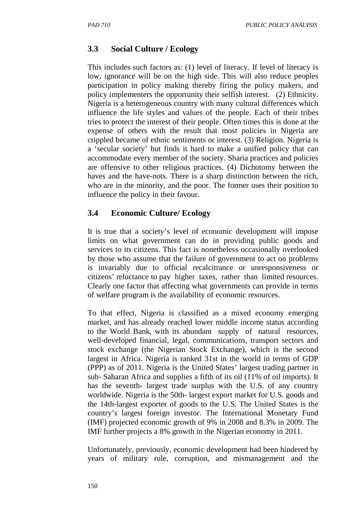## **3.3 Social Culture / Ecology**

This includes such factors as: (1) level of literacy. If level of literacy is low, ignorance will be on the high side. This will also reduce peoples participation in policy making thereby firing the policy makers, and policy implementers the opportunity their selfish interest. (2) Ethnicity. Nigeria is a heterogeneous country with many cultural differences which influence the life styles and values of the people. Each of their tribes tries to protect the interest of their people. Often times this is done at the expense of others with the result that most policies in Nigeria are crippled became of ethnic sentiments or interest. (3) Religion. Nigeria is a 'secular society' but finds it hard to make a unified policy that can accommodate every member of the society. Sharia practices and policies are offensive to other religious practices. (4) Dichotomy between the haves and the have-nots. There is a sharp distinction between the rich, who are in the minority, and the poor. The former uses their position to influence the policy in their favour.

## **3.4 Economic Culture/ Ecology**

It is true that a society's level of economic development will impose limits on what government can do in providing public goods and services to its citizens. This fact is nonetheless occasionally overlooked by those who assume that the failure of government to act on problems is invariably due to official recalcitrance or unresponsiveness or citizens' reluctance to pay higher taxes, rather than limited resources. Clearly one factor that affecting what governments can provide in terms of welfare program is the availability of economic resources.

To that effect, Nigeria is classified as a mixed economy emerging market, and has already reached lower middle income status according to the World Bank, with its abundant supply of natural resources, well-developed financial, legal, communications, transport sectors and stock exchange (the Nigerian Stock Exchange), which is the second largest in Africa. Nigeria is ranked 31st in the world in terms of GDP (PPP) as of 2011. Nigeria is the United States' largest trading partner in sub- Saharan Africa and supplies a fifth of its oil (11% of oil imports). It has the seventh- largest trade surplus with the U.S. of any country worldwide. Nigeria is the 50th- largest export market for U.S. goods and the 14th-largest exporter of goods to the U.S. The United States is the country's largest foreign investor. The International Monetary Fund (IMF) projected economic growth of 9% in 2008 and 8.3% in 2009. The IMF further projects a 8% growth in the Nigerian economy in 2011.

Unfortunately, previously, economic development had been hindered by years of military rule, corruption, and mismanagement and the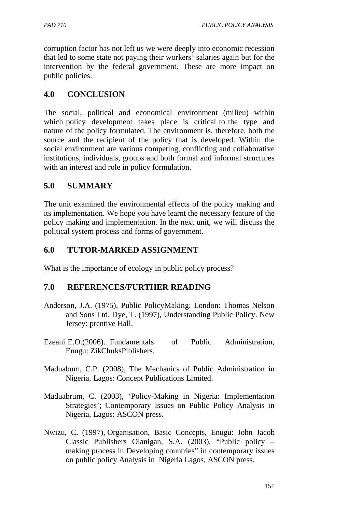corruption factor has not left us we were deeply into economic recession that led to some state not paying their workers' salaries again but for the intervention by the federal government. These are more impact on public policies.

## **4.0 CONCLUSION**

The social, political and economical environment (milieu) within which policy development takes place is critical to the type and nature of the policy formulated. The environment is, therefore, both the source and the recipient of the policy that is developed. Within the social environment are various competing, conflicting and collaborative institutions, individuals, groups and both formal and informal structures with an interest and role in policy formulation.

## **5.0 SUMMARY**

The unit examined the environmental effects of the policy making and its implementation. We hope you have learnt the necessary feature of the policy making and implementation. In the next unit, we will discuss the political system process and forms of government.

## **6.0 TUTOR-MARKED ASSIGNMENT**

What is the importance of ecology in public policy process?

### **7.0 REFERENCES/FURTHER READING**

- Anderson, J.A. (1975), Public PolicyMaking: London: Thomas Nelson and Sons Ltd. Dye, T. (1997), Understanding Public Policy. New Jersey: prentive Hall.
- Ezeani E.O.(2006). Fundamentals of Public Administration, Enugu: ZikChuksPiblishers.
- Maduabum, C.P. (2008), The Mechanics of Public Administration in Nigeria, Lagos: Concept Publications Limited.
- Maduabrum, C. (2003), 'Policy-Making in Nigeria: Implementation Strategies'; Contemporary Issues on Public Policy Analysis in Nigeria, Lagos: ASCON press.
- Nwizu, C. (1997), Organisation, Basic Concepts, Enugu: John Jacob Classic Publishers Olanigan, S.A. (2003), "Public policy – making process in Developing countries" in contemporary issues on public policy Analysis in Nigeria Lagos, ASCON press.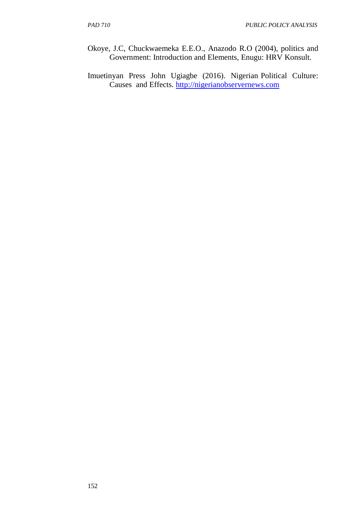- Okoye, J.C, Chuckwaemeka E.E.O., Anazodo R.O (2004), politics and Government: Introduction and Elements, Enugu: HRV Konsult.
- Imuetinyan Press John Ugiagbe (2016). Nigerian Political Culture: Causes and Effects. http://nigerianobservernews.com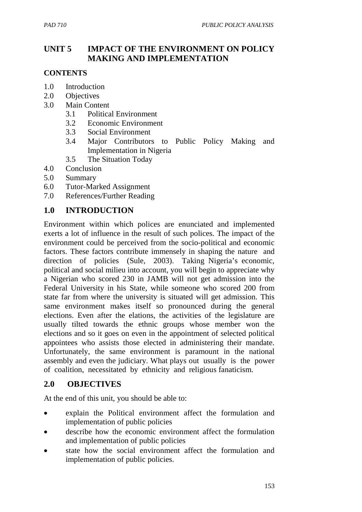# **UNIT 5 IMPACT OF THE ENVIRONMENT ON POLICY MAKING AND IMPLEMENTATION**

### **CONTENTS**

- 1.0 Introduction
- 2.0 Objectives
- 3.0 Main Content
	- 3.1 Political Environment
	- 3.2 Economic Environment
	- 3.3 Social Environment
	- 3.4 Major Contributors to Public Policy Making and Implementation in Nigeria
	- 3.5 The Situation Today
- 4.0 Conclusion
- 5.0 Summary
- 6.0 Tutor-Marked Assignment
- 7.0 References/Further Reading

### **1.0 INTRODUCTION**

Environment within which polices are enunciated and implemented exerts a lot of influence in the result of such polices. The impact of the environment could be perceived from the socio-political and economic factors. These factors contribute immensely in shaping the nature and direction of policies (Sule, 2003). Taking Nigeria's economic, political and social milieu into account, you will begin to appreciate why a Nigerian who scored 230 in JAMB will not get admission into the Federal University in his State, while someone who scored 200 from state far from where the university is situated will get admission. This same environment makes itself so pronounced during the general elections. Even after the elations, the activities of the legislature are usually tilted towards the ethnic groups whose member won the elections and so it goes on even in the appointment of selected political appointees who assists those elected in administering their mandate. Unfortunately, the same environment is paramount in the national assembly and even the judiciary. What plays out usually is the power of coalition, necessitated by ethnicity and religious fanaticism.

### **2.0 OBJECTIVES**

At the end of this unit, you should be able to:

- explain the Political environment affect the formulation and implementation of public policies
- describe how the economic environment affect the formulation and implementation of public policies
- state how the social environment affect the formulation and implementation of public policies.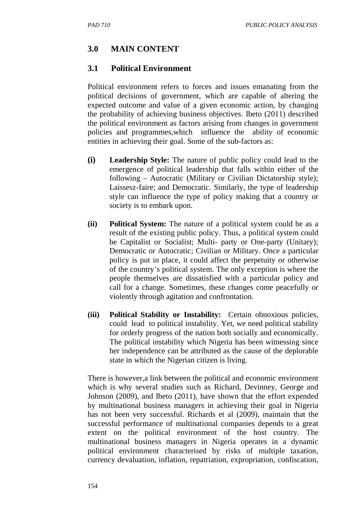# **3.0 MAIN CONTENT**

# **3.1 Political Environment**

Political environment refers to forces and issues emanating from the political decisions of government, which are capable of altering the expected outcome and value of a given economic action, by changing the probability of achieving business objectives. Ibeto (2011) described the political environment as factors arising from changes in government policies and programmes,which influence the ability of economic entities in achieving their goal. Some of the sub-factors as:

- **(i) Leadership Style:** The nature of public policy could lead to the emergence of political leadership that falls within either of the following – Autocratic (Military or Civilian Dictatorship style); Laissesz-faire; and Democratic. Similarly, the type of leadership style can influence the type of policy making that a country or society is to embark upon.
- **(ii) Political System:** The nature of a political system could be as a result of the existing public policy. Thus, a political system could be Capitalist or Socialist; Multi- party or One-party (Unitary); Democratic or Autocratic; Civilian or Military. Once a particular policy is put in place, it could affect the perpetuity or otherwise of the country's political system. The only exception is where the people themselves are dissatisfied with a particular policy and call for a change. Sometimes, these changes come peacefully or violently through agitation and confrontation.
- **(iii) Political Stability or Instability:** Certain obnoxious policies, could lead to political instability. Yet, we need political stability for orderly progress of the nation both socially and economically. The political instability which Nigeria has been witnessing since her independence can be attributed as the cause of the deplorable state in which the Nigerian citizen is living.

There is however,a link between the political and economic environment which is why several studies such as Richard, Devinney, George and Johnson (2009), and Ibeto (2011), have shown that the effort expended by multinational business managers in achieving their goal in Nigeria has not been very successful. Richards et al (2009), maintain that the successful performance of multinational companies depends to a great extent on the political environment of the host country. The multinational business managers in Nigeria operates in a dynamic political environment characterised by risks of multiple taxation, currency devaluation, inflation, repatriation, expropriation, confiscation,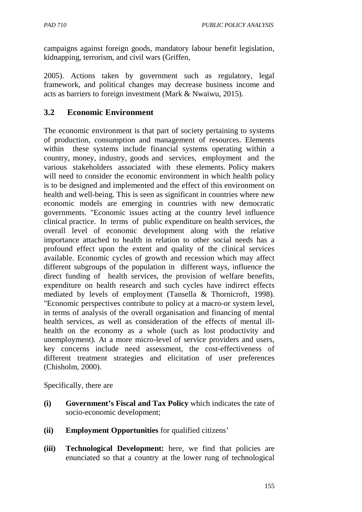campaigns against foreign goods, mandatory labour benefit legislation, kidnapping, terrorism, and civil wars (Griffen,

2005). Actions taken by government such as regulatory, legal framework, and political changes may decrease business income and acts as barriers to foreign investment (Mark & Nwaiwu, 2015).

## **3.2 Economic Environment**

The economic environment is that part of society pertaining to systems of production, consumption and management of resources. Elements within these systems include financial systems operating within a country, money, industry, goods and services, employment and the various stakeholders associated with these elements. Policy makers will need to consider the economic environment in which health policy is to be designed and implemented and the effect of this environment on health and well-being. This is seen as significant in countries where new economic models are emerging in countries with new democratic governments. "Economic issues acting at the country level influence clinical practice. In terms of public expenditure on health services, the overall level of economic development along with the relative importance attached to health in relation to other social needs has a profound effect upon the extent and quality of the clinical services available. Economic cycles of growth and recession which may affect different subgroups of the population in different ways, influence the direct funding of health services, the provision of welfare benefits, expenditure on health research and such cycles have indirect effects mediated by levels of employment (Tansella & Thornicroft, 1998). "Economic perspectives contribute to policy at a macro-or system level, in terms of analysis of the overall organisation and financing of mental health services, as well as consideration of the effects of mental illhealth on the economy as a whole (such as lost productivity and unemployment). At a more micro-level of service providers and users, key concerns include need assessment, the cost-effectiveness of different treatment strategies and elicitation of user preferences (Chisholm, 2000).

Specifically, there are

- **(i) Government's Fiscal and Tax Policy** which indicates the rate of socio-economic development;
- **(ii) Employment Opportunities** for qualified citizens'
- **(iii) Technological Development:** here, we find that policies are enunciated so that a country at the lower rung of technological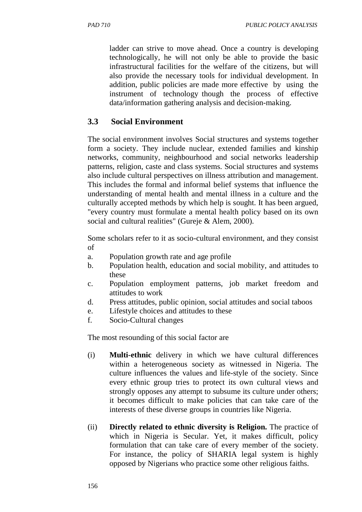ladder can strive to move ahead. Once a country is developing technologically, he will not only be able to provide the basic infrastructural facilities for the welfare of the citizens, but will also provide the necessary tools for individual development. In addition, public policies are made more effective by using the instrument of technology though the process of effective data/information gathering analysis and decision-making.

# **3.3 Social Environment**

The social environment involves Social structures and systems together form a society. They include nuclear, extended families and kinship networks, community, neighbourhood and social networks leadership patterns, religion, caste and class systems. Social structures and systems also include cultural perspectives on illness attribution and management. This includes the formal and informal belief systems that influence the understanding of mental health and mental illness in a culture and the culturally accepted methods by which help is sought. It has been argued, "every country must formulate a mental health policy based on its own social and cultural realities" (Gureje & Alem, 2000).

Some scholars refer to it as socio-cultural environment, and they consist of

- a. Population growth rate and age profile
- b. Population health, education and social mobility, and attitudes to these
- c. Population employment patterns, job market freedom and attitudes to work
- d. Press attitudes, public opinion, social attitudes and social taboos
- e. Lifestyle choices and attitudes to these
- f. Socio-Cultural changes

The most resounding of this social factor are

- (i) **Multi-ethnic** delivery in which we have cultural differences within a heterogeneous society as witnessed in Nigeria. The culture influences the values and life-style of the society. Since every ethnic group tries to protect its own cultural views and strongly opposes any attempt to subsume its culture under others; it becomes difficult to make policies that can take care of the interests of these diverse groups in countries like Nigeria.
- (ii) **Directly related to ethnic diversity is Religion.** The practice of which in Nigeria is Secular. Yet, it makes difficult, policy formulation that can take care of every member of the society. For instance, the policy of SHARIA legal system is highly opposed by Nigerians who practice some other religious faiths.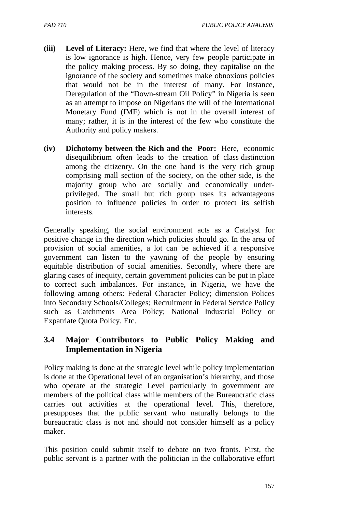- **(iii) Level of Literacy:** Here, we find that where the level of literacy is low ignorance is high. Hence, very few people participate in the policy making process. By so doing, they capitalise on the ignorance of the society and sometimes make obnoxious policies that would not be in the interest of many. For instance, Deregulation of the "Down-stream Oil Policy" in Nigeria is seen as an attempt to impose on Nigerians the will of the International Monetary Fund (IMF) which is not in the overall interest of many; rather, it is in the interest of the few who constitute the Authority and policy makers.
- **(iv) Dichotomy between the Rich and the Poor:** Here, economic disequilibrium often leads to the creation of class distinction among the citizenry. On the one hand is the very rich group comprising mall section of the society, on the other side, is the majority group who are socially and economically underprivileged. The small but rich group uses its advantageous position to influence policies in order to protect its selfish interests.

Generally speaking, the social environment acts as a Catalyst for positive change in the direction which policies should go. In the area of provision of social amenities, a lot can be achieved if a responsive government can listen to the yawning of the people by ensuring equitable distribution of social amenities. Secondly, where there are glaring cases of inequity, certain government policies can be put in place to correct such imbalances. For instance, in Nigeria, we have the following among others: Federal Character Policy; dimension Polices into Secondary Schools/Colleges; Recruitment in Federal Service Policy such as Catchments Area Policy; National Industrial Policy or Expatriate Quota Policy. Etc.

## **3.4 Major Contributors to Public Policy Making and Implementation in Nigeria**

Policy making is done at the strategic level while policy implementation is done at the Operational level of an organisation's hierarchy, and those who operate at the strategic Level particularly in government are members of the political class while members of the Bureaucratic class carries out activities at the operational level. This, therefore, presupposes that the public servant who naturally belongs to the bureaucratic class is not and should not consider himself as a policy maker.

This position could submit itself to debate on two fronts. First, the public servant is a partner with the politician in the collaborative effort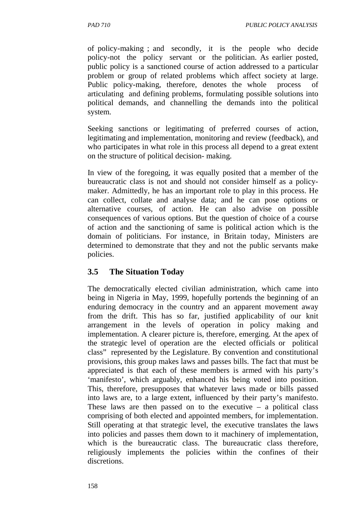of policy-making ; and secondly, it is the people who decide policy-not the policy servant or the politician. As earlier posted, public policy is a sanctioned course of action addressed to a particular problem or group of related problems which affect society at large. Public policy-making, therefore, denotes the whole process of articulating and defining problems, formulating possible solutions into political demands, and channelling the demands into the political system.

Seeking sanctions or legitimating of preferred courses of action, legitimating and implementation, monitoring and review (feedback), and who participates in what role in this process all depend to a great extent on the structure of political decision- making.

In view of the foregoing, it was equally posited that a member of the bureaucratic class is not and should not consider himself as a policymaker. Admittedly, he has an important role to play in this process. He can collect, collate and analyse data; and he can pose options or alternative courses, of action. He can also advise on possible consequences of various options. But the question of choice of a course of action and the sanctioning of same is political action which is the domain of politicians. For instance, in Britain today, Ministers are determined to demonstrate that they and not the public servants make policies.

### **3.5 The Situation Today**

The democratically elected civilian administration, which came into being in Nigeria in May, 1999, hopefully portends the beginning of an enduring democracy in the country and an apparent movement away from the drift. This has so far, justified applicability of our knit arrangement in the levels of operation in policy making and implementation. A clearer picture is, therefore, emerging. At the apex of the strategic level of operation are the elected officials or political class" represented by the Legislature. By convention and constitutional provisions, this group makes laws and passes bills. The fact that must be appreciated is that each of these members is armed with his party's 'manifesto', which arguably, enhanced his being voted into position. This, therefore, presupposes that whatever laws made or bills passed into laws are, to a large extent, influenced by their party's manifesto. These laws are then passed on to the executive  $-$  a political class comprising of both elected and appointed members, for implementation. Still operating at that strategic level, the executive translates the laws into policies and passes them down to it machinery of implementation, which is the bureaucratic class. The bureaucratic class therefore, religiously implements the policies within the confines of their discretions.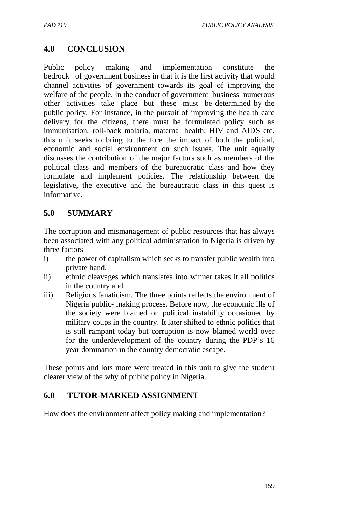# **4.0 CONCLUSION**

Public policy making and implementation constitute the bedrock of government business in that it is the first activity that would channel activities of government towards its goal of improving the welfare of the people. In the conduct of government business numerous other activities take place but these must be determined by the public policy. For instance, in the pursuit of improving the health care delivery for the citizens, there must be formulated policy such as immunisation, roll-back malaria, maternal health; HIV and AIDS etc. this unit seeks to bring to the fore the impact of both the political, economic and social environment on such issues. The unit equally discusses the contribution of the major factors such as members of the political class and members of the bureaucratic class and how they formulate and implement policies. The relationship between the legislative, the executive and the bureaucratic class in this quest is informative.

## **5.0 SUMMARY**

The corruption and mismanagement of public resources that has always been associated with any political administration in Nigeria is driven by three factors

- i) the power of capitalism which seeks to transfer public wealth into private hand,
- ii) ethnic cleavages which translates into winner takes it all politics in the country and
- iii) Religious fanaticism. The three points reflects the environment of Nigeria public- making process. Before now, the economic ills of the society were blamed on political instability occasioned by military coups in the country. It later shifted to ethnic politics that is still rampant today but corruption is now blamed world over for the underdevelopment of the country during the PDP's 16 year domination in the country democratic escape.

These points and lots more were treated in this unit to give the student clearer view of the why of public policy in Nigeria.

## **6.0 TUTOR-MARKED ASSIGNMENT**

How does the environment affect policy making and implementation?